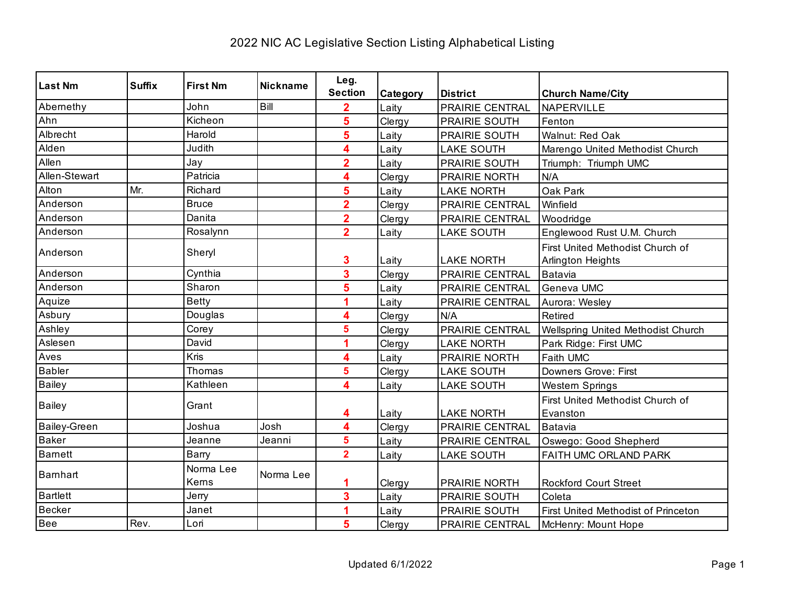| Last Nm         | <b>Suffix</b> | <b>First Nm</b>    | <b>Nickname</b> | Leg.                    |          |                   |                                                       |
|-----------------|---------------|--------------------|-----------------|-------------------------|----------|-------------------|-------------------------------------------------------|
|                 |               |                    |                 | <b>Section</b>          | Category | <b>District</b>   | <b>Church Name/City</b>                               |
| Abernethy       |               | John               | Bill            | $\overline{2}$          | Laity    | PRAIRIE CENTRAL   | NAPERVILLE                                            |
| Ahn             |               | Kicheon            |                 | 5                       | Clergy   | PRAIRIE SOUTH     | Fenton                                                |
| Albrecht        |               | Harold             |                 | 5                       | Laity    | PRAIRIE SOUTH     | Walnut: Red Oak                                       |
| Alden           |               | Judith             |                 | 4                       | Laity    | <b>LAKE SOUTH</b> | Marengo United Methodist Church                       |
| Allen           |               | Jay                |                 | $\overline{2}$          | Laity    | PRAIRIE SOUTH     | Triumph: Triumph UMC                                  |
| Allen-Stewart   |               | Patricia           |                 | 4                       | Clergy   | PRAIRIE NORTH     | N/A                                                   |
| Alton           | Mr.           | Richard            |                 | 5                       | Laity    | <b>LAKE NORTH</b> | Oak Park                                              |
| Anderson        |               | <b>Bruce</b>       |                 | $\overline{\mathbf{2}}$ | Clergy   | PRAIRIE CENTRAL   | Winfield                                              |
| Anderson        |               | Danita             |                 | $\overline{2}$          | Clergy   | PRAIRIE CENTRAL   | Woodridge                                             |
| Anderson        |               | Rosalynn           |                 | $\overline{2}$          | Laity    | <b>LAKE SOUTH</b> | Englewood Rust U.M. Church                            |
| Anderson        |               | Sheryl             |                 | 3                       | Laity    | <b>LAKE NORTH</b> | First United Methodist Church of<br>Arlington Heights |
| Anderson        |               | Cynthia            |                 | 3                       | Clergy   | PRAIRIE CENTRAL   | Batavia                                               |
| Anderson        |               | Sharon             |                 | 5                       | Laity    | PRAIRIE CENTRAL   | Geneva UMC                                            |
| Aquize          |               | <b>Betty</b>       |                 | 1                       | Laity    | PRAIRIE CENTRAL   | Aurora: Wesley                                        |
| Asbury          |               | Douglas            |                 | 4                       | Clergy   | N/A               | Retired                                               |
| Ashley          |               | Corey              |                 | 5                       | Clergy   | PRAIRIE CENTRAL   | Wellspring United Methodist Church                    |
| Aslesen         |               | David              |                 | 1                       | Clergy   | <b>LAKE NORTH</b> | Park Ridge: First UMC                                 |
| Aves            |               | <b>Kris</b>        |                 | 4                       | Laity    | PRAIRIE NORTH     | Faith UMC                                             |
| <b>Babler</b>   |               | Thomas             |                 | 5                       | Clergy   | <b>LAKE SOUTH</b> | Downers Grove: First                                  |
| <b>Bailey</b>   |               | Kathleen           |                 | 4                       | Laity    | <b>LAKE SOUTH</b> | <b>Western Springs</b>                                |
| <b>Bailey</b>   |               | Grant              |                 | 4                       | Laity    | <b>LAKE NORTH</b> | First United Methodist Church of<br>Evanston          |
| Bailey-Green    |               | Joshua             | Josh            | 4                       | Clergy   | PRAIRIE CENTRAL   | Batavia                                               |
| <b>Baker</b>    |               | Jeanne             | Jeanni          | 5                       | Laity    | PRAIRIE CENTRAL   | Oswego: Good Shepherd                                 |
| <b>Barnett</b>  |               | Barry              |                 | $\overline{2}$          | Laity    | <b>LAKE SOUTH</b> | FAITH UMC ORLAND PARK                                 |
| <b>Bamhart</b>  |               | Norma Lee<br>Kerns | Norma Lee       | 1                       | Clergy   | PRAIRIE NORTH     | <b>Rockford Court Street</b>                          |
| <b>Bartlett</b> |               | Jerry              |                 | $\overline{\mathbf{3}}$ | Laity    | PRAIRIE SOUTH     | Coleta                                                |
| <b>Becker</b>   |               | Janet              |                 | 1                       | Laity    | PRAIRIE SOUTH     | First United Methodist of Princeton                   |
| Bee             | Rev.          | Lori               |                 | 5                       | Clergy   | PRAIRIE CENTRAL   | McHenry: Mount Hope                                   |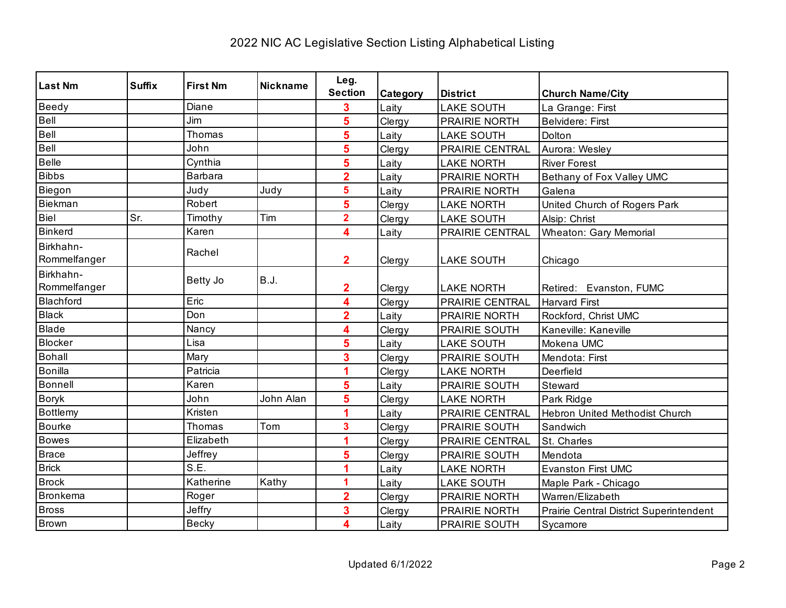| <b>Last Nm</b>            | <b>Suffix</b> | <b>First Nm</b> | <b>Nickname</b> | Leg.                    |          |                        |                                         |
|---------------------------|---------------|-----------------|-----------------|-------------------------|----------|------------------------|-----------------------------------------|
|                           |               |                 |                 | <b>Section</b>          | Category | <b>District</b>        | <b>Church Name/City</b>                 |
| Beedy                     |               | Diane           |                 | 3                       | Laity    | <b>LAKE SOUTH</b>      | La Grange: First                        |
| Bell                      |               | Jim             |                 | 5                       | Clergy   | PRAIRIE NORTH          | <b>Belvidere: First</b>                 |
| Bell                      |               | Thomas          |                 | 5                       | Laity    | <b>LAKE SOUTH</b>      | Dolton                                  |
| Bell                      |               | John            |                 | 5                       | Clergy   | PRAIRIE CENTRAL        | Aurora: Wesley                          |
| Belle                     |               | Cynthia         |                 | 5                       | Laity    | <b>LAKE NORTH</b>      | <b>River Forest</b>                     |
| <b>Bibbs</b>              |               | Barbara         |                 | $\overline{2}$          | Laity    | PRAIRIE NORTH          | Bethany of Fox Valley UMC               |
| Biegon                    |               | Judy            | Judy            | 5                       | Laity    | PRAIRIE NORTH          | Galena                                  |
| Biekman                   |               | Robert          |                 | 5                       | Clergy   | <b>LAKE NORTH</b>      | United Church of Rogers Park            |
| Biel                      | Sr.           | Timothy         | Tim             | $\overline{2}$          | Clergy   | <b>LAKE SOUTH</b>      | Alsip: Christ                           |
| <b>Binkerd</b>            |               | Karen           |                 | 4                       | Laity    | PRAIRIE CENTRAL        | <b>Wheaton: Gary Memorial</b>           |
| Birkhahn-<br>Rommelfanger |               | Rachel          |                 | $\overline{2}$          | Clergy   | <b>LAKE SOUTH</b>      | Chicago                                 |
| Birkhahn-<br>Rommelfanger |               | Betty Jo        | <b>B.J.</b>     | $\overline{\mathbf{2}}$ | Clergy   | <b>LAKE NORTH</b>      | Retired: Evanston, FUMC                 |
| <b>Blachford</b>          |               | Eric            |                 | 4                       | Clergy   | PRAIRIE CENTRAL        | <b>Harvard First</b>                    |
| <b>Black</b>              |               | Don             |                 | $\overline{\mathbf{2}}$ | Laity    | PRAIRIE NORTH          | Rockford, Christ UMC                    |
| Blade                     |               | Nancy           |                 | 4                       | Clergy   | PRAIRIE SOUTH          | Kaneville: Kaneville                    |
| Blocker                   |               | Lisa            |                 | 5                       | Laity    | <b>LAKE SOUTH</b>      | Mokena UMC                              |
| <b>Bohall</b>             |               | Mary            |                 | 3                       | Clergy   | PRAIRIE SOUTH          | Mendota: First                          |
| <b>Bonilla</b>            |               | Patricia        |                 | 1                       | Clergy   | <b>LAKE NORTH</b>      | Deerfield                               |
| Bonnell                   |               | Karen           |                 | 5                       | Laity    | <b>PRAIRIE SOUTH</b>   | Steward                                 |
| <b>Boryk</b>              |               | John            | John Alan       | 5                       | Clergy   | <b>LAKE NORTH</b>      | Park Ridge                              |
| Bottlemy                  |               | Kristen         |                 | 1                       | Laity    | <b>PRAIRIE CENTRAL</b> | Hebron United Methodist Church          |
| <b>Bourke</b>             |               | Thomas          | Tom             | 3                       | Clergy   | PRAIRIE SOUTH          | Sandwich                                |
| <b>Bowes</b>              |               | Elizabeth       |                 |                         | Clergy   | PRAIRIE CENTRAL        | St. Charles                             |
| Brace                     |               | Jeffrey         |                 | 5                       | Clergy   | PRAIRIE SOUTH          | Mendota                                 |
| <b>Brick</b>              |               | S.E.            |                 |                         | Laity    | <b>LAKE NORTH</b>      | <b>Evanston First UMC</b>               |
| <b>Brock</b>              |               | Katherine       | Kathy           | 1                       | Laity    | <b>LAKE SOUTH</b>      | Maple Park - Chicago                    |
| Bronkema                  |               | Roger           |                 | $\overline{2}$          | Clergy   | PRAIRIE NORTH          | Warren/Elizabeth                        |
| <b>Bross</b>              |               | Jeffry          |                 | 3                       | Clergy   | PRAIRIE NORTH          | Prairie Central District Superintendent |
| <b>Brown</b>              |               | Becky           |                 | 4                       | Laity    | PRAIRIE SOUTH          | Sycamore                                |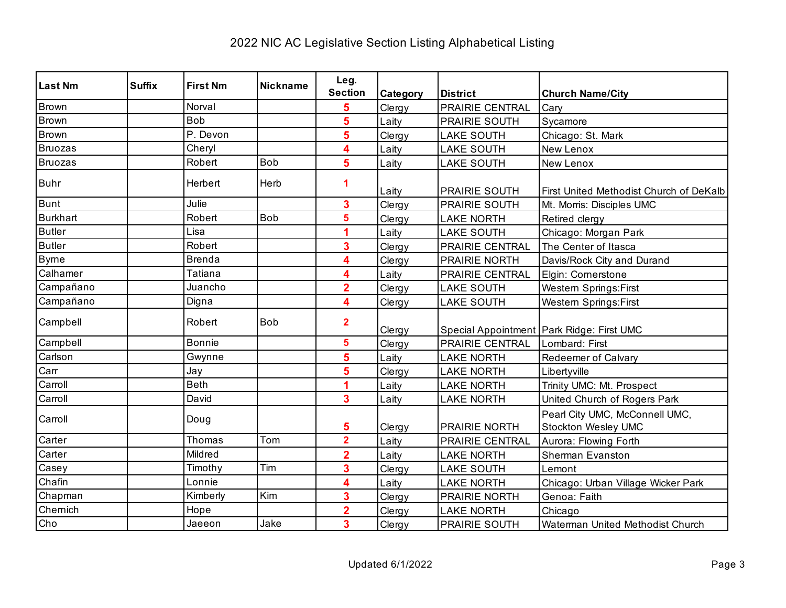| <b>Last Nm</b>  | <b>Suffix</b> | <b>First Nm</b> | <b>Nickname</b> | Leg.                    |          |                   |                                                       |
|-----------------|---------------|-----------------|-----------------|-------------------------|----------|-------------------|-------------------------------------------------------|
|                 |               |                 |                 | <b>Section</b>          | Category | <b>District</b>   | <b>Church Name/City</b>                               |
| <b>Brown</b>    |               | Norval          |                 | 5                       | Clergy   | PRAIRIE CENTRAL   | Cary                                                  |
| Brown           |               | <b>Bob</b>      |                 | 5                       | Laity    | PRAIRIE SOUTH     | Sycamore                                              |
| <b>Brown</b>    |               | P. Devon        |                 | 5                       | Clergy   | <b>LAKE SOUTH</b> | Chicago: St. Mark                                     |
| <b>Bruozas</b>  |               | Cheryl          |                 | 4                       | Laity    | <b>LAKE SOUTH</b> | New Lenox                                             |
| <b>Bruozas</b>  |               | Robert          | Bob             | 5                       | Laity    | <b>LAKE SOUTH</b> | New Lenox                                             |
| <b>Buhr</b>     |               | Herbert         | Herb            | 1                       | Laity    | PRAIRIE SOUTH     | First United Methodist Church of DeKalb               |
| <b>Bunt</b>     |               | Julie           |                 | 3                       | Clergy   | PRAIRIE SOUTH     | Mt. Morris: Disciples UMC                             |
| <b>Burkhart</b> |               | Robert          | <b>Bob</b>      | 5                       | Clergy   | <b>LAKE NORTH</b> | Retired clergy                                        |
| <b>Butler</b>   |               | Lisa            |                 | 1                       | Laity    | <b>LAKE SOUTH</b> | Chicago: Morgan Park                                  |
| <b>Butler</b>   |               | Robert          |                 | 3                       | Clergy   | PRAIRIE CENTRAL   | The Center of Itasca                                  |
| <b>Byrne</b>    |               | <b>Brenda</b>   |                 | 4                       | Clergy   | PRAIRIE NORTH     | Davis/Rock City and Durand                            |
| Calhamer        |               | Tatiana         |                 | 4                       | Laity    | PRAIRIE CENTRAL   | Elgin: Cornerstone                                    |
| Campañano       |               | Juancho         |                 | $\overline{\mathbf{2}}$ | Clergy   | <b>LAKE SOUTH</b> | <b>Western Springs:First</b>                          |
| Campañano       |               | Digna           |                 | 4                       | Clergy   | <b>LAKE SOUTH</b> | <b>Western Springs:First</b>                          |
| Campbell        |               | Robert          | <b>Bob</b>      | $\overline{\mathbf{2}}$ | Clergy   |                   | Special Appointment   Park Ridge: First UMC           |
| Campbell        |               | <b>Bonnie</b>   |                 | 5                       | Clergy   | PRAIRIE CENTRAL   | Lombard: First                                        |
| Carlson         |               | Gwynne          |                 | 5                       | Laity    | <b>LAKE NORTH</b> | Redeemer of Calvary                                   |
| Carr            |               | Jay             |                 | 5                       | Clergy   | <b>LAKE NORTH</b> | Libertyville                                          |
| Carroll         |               | <b>Beth</b>     |                 | 4                       | Laity    | <b>LAKE NORTH</b> | Trinity UMC: Mt. Prospect                             |
| Carroll         |               | David           |                 | 3                       | Laity    | <b>LAKE NORTH</b> | United Church of Rogers Park                          |
| Carroll         |               | Doug            |                 | 5                       | Clergy   | PRAIRIE NORTH     | Pearl City UMC, McConnell UMC,<br>Stockton Wesley UMC |
| Carter          |               | Thomas          | Tom             | $\overline{\mathbf{2}}$ | Laity    | PRAIRIE CENTRAL   | Aurora: Flowing Forth                                 |
| Carter          |               | Mildred         |                 | $\overline{\mathbf{2}}$ | Laity    | <b>LAKE NORTH</b> | Sherman Evanston                                      |
| Casey           |               | Timothy         | Tim             | 3                       | Clergy   | <b>LAKE SOUTH</b> | Lemont                                                |
| Chafin          |               | Lonnie          |                 | 4                       | Laity    | <b>LAKE NORTH</b> | Chicago: Urban Village Wicker Park                    |
| Chapman         |               | Kimberly        | Kim             | 3                       | Clergy   | PRAIRIE NORTH     | Genoa: Faith                                          |
| Chemich         |               | Hope            |                 | $\overline{\mathbf{2}}$ | Clergy   | <b>LAKE NORTH</b> | Chicago                                               |
| Cho             |               | Jaeeon          | Jake            | 3                       | Clergy   | PRAIRIE SOUTH     | Waterman United Methodist Church                      |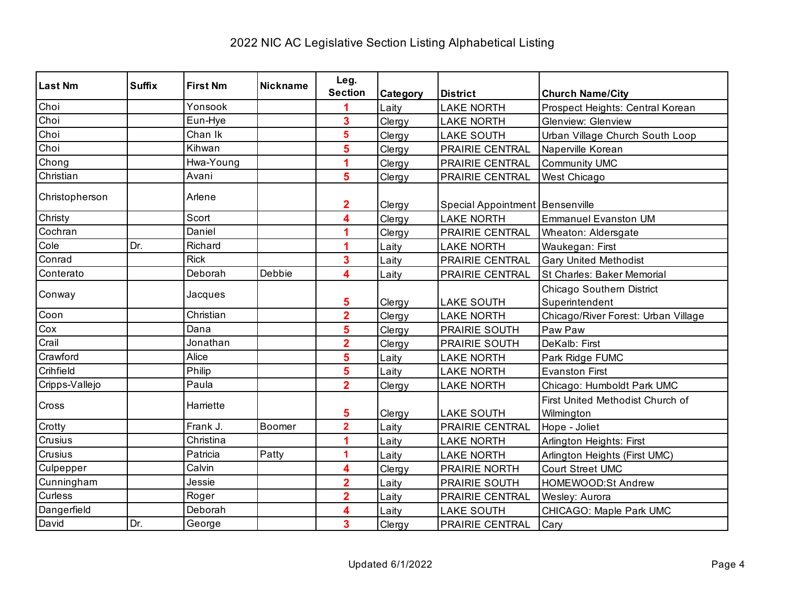| <b>Last Nm</b> | <b>Suffix</b> | <b>First Nm</b> | <b>Nickname</b> | Leg.                    |          |                                   |                                                |
|----------------|---------------|-----------------|-----------------|-------------------------|----------|-----------------------------------|------------------------------------------------|
|                |               |                 |                 | <b>Section</b>          | Category | <b>District</b>                   | <b>Church Name/City</b>                        |
| Choi           |               | Yonsook         |                 |                         | Laity    | <b>LAKE NORTH</b>                 | Prospect Heights: Central Korean               |
| Choi           |               | Eun-Hye         |                 | 3                       | Clergy   | <b>LAKE NORTH</b>                 | <b>Glenview: Glenview</b>                      |
| Choi           |               | Chan Ik         |                 | 5                       | Clergy   | <b>LAKE SOUTH</b>                 | Urban Village Church South Loop                |
| Choi           |               | Kihwan          |                 | 5                       | Clergy   | PRAIRIE CENTRAL                   | Naperville Korean                              |
| Chong          |               | Hwa-Young       |                 |                         | Clergy   | PRAIRIE CENTRAL                   | Community UMC                                  |
| Christian      |               | Avani           |                 | 5                       | Clergy   | PRAIRIE CENTRAL                   | West Chicago                                   |
| Christopherson |               | Arlene          |                 | 2                       | Clergy   | Special Appointment   Bensenville |                                                |
| Christy        |               | Scort           |                 | 4                       | Clergy   | <b>LAKE NORTH</b>                 | <b>Emmanuel Evanston UM</b>                    |
| Cochran        |               | Daniel          |                 | 4                       | Clergy   | PRAIRIE CENTRAL                   | Wheaton: Aldersgate                            |
| Cole           | Dr.           | Richard         |                 |                         | Laity    | <b>LAKE NORTH</b>                 | Waukegan: First                                |
| Conrad         |               | <b>Rick</b>     |                 | 3                       | Laity    | PRAIRIE CENTRAL                   | <b>Gary United Methodist</b>                   |
| Conterato      |               | Deborah         | Debbie          | $\overline{\mathbf{4}}$ | Laity    | PRAIRIE CENTRAL                   | St Charles: Baker Memorial                     |
| Conway         |               | Jacques         |                 | 5                       | Clergy   | <b>LAKE SOUTH</b>                 | Chicago Southern District<br>Superintendent    |
| Coon           |               | Christian       |                 | $\overline{\mathbf{2}}$ | Clergy   | <b>LAKE NORTH</b>                 | Chicago/River Forest: Urban Village            |
| Cox            |               | Dana            |                 | 5                       | Clergy   | PRAIRIE SOUTH                     | Paw Paw                                        |
| Crail          |               | Jonathan        |                 | $\overline{2}$          | Clergy   | PRAIRIE SOUTH                     | DeKalb: First                                  |
| Crawford       |               | Alice           |                 | 5                       | Laity    | <b>LAKE NORTH</b>                 | Park Ridge FUMC                                |
| Crihfield      |               | Philip          |                 | 5                       | Laity    | <b>LAKE NORTH</b>                 | <b>Evanston First</b>                          |
| Cripps-Vallejo |               | Paula           |                 | $\overline{2}$          | Clergy   | <b>LAKE NORTH</b>                 | Chicago: Humboldt Park UMC                     |
| Cross          |               | Harriette       |                 | 5                       | Clergy   | <b>LAKE SOUTH</b>                 | First United Methodist Church of<br>Wilmington |
| Crotty         |               | Frank J.        | Boomer          | $\overline{2}$          | Laity    | PRAIRIE CENTRAL                   | Hope - Joliet                                  |
| Crusius        |               | Christina       |                 | 4                       | Laity    | <b>LAKE NORTH</b>                 | Arlington Heights: First                       |
| Crusius        |               | Patricia        | Patty           | 1                       | Laity    | <b>LAKE NORTH</b>                 | Arlington Heights (First UMC)                  |
| Culpepper      |               | Calvin          |                 | 4                       | Clergy   | PRAIRIE NORTH                     | <b>Court Street UMC</b>                        |
| Cunningham     |               | Jessie          |                 | $\overline{2}$          | Laity    | PRAIRIE SOUTH                     | HOMEWOOD:St Andrew                             |
| Curless        |               | Roger           |                 | $\overline{2}$          | Laity    | PRAIRIE CENTRAL                   | Wesley: Aurora                                 |
| Dangerfield    |               | Deborah         |                 | 4                       | Laity    | <b>LAKE SOUTH</b>                 | CHICAGO: Maple Park UMC                        |
| David          | Dr.           | George          |                 | 3                       | Clergy   | PRAIRIE CENTRAL                   | Cary                                           |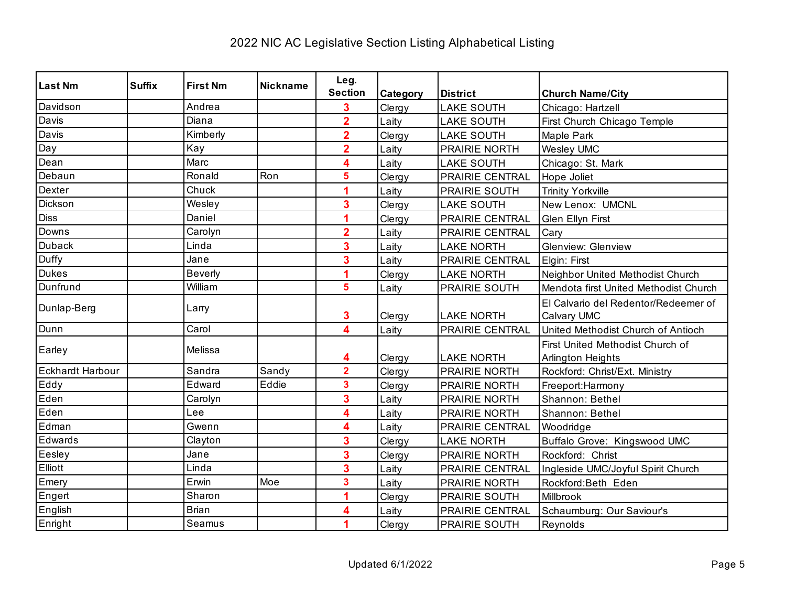| <b>Last Nm</b>          | <b>Suffix</b> | <b>First Nm</b> | <b>Nickname</b> | Leg.                    |          |                   |                                       |
|-------------------------|---------------|-----------------|-----------------|-------------------------|----------|-------------------|---------------------------------------|
|                         |               |                 |                 | <b>Section</b>          | Category | <b>District</b>   | <b>Church Name/City</b>               |
| Davidson                |               | Andrea          |                 | 3                       | Clergy   | <b>LAKE SOUTH</b> | Chicago: Hartzell                     |
| Davis                   |               | Diana           |                 | $\overline{2}$          | Laity    | <b>LAKE SOUTH</b> | First Church Chicago Temple           |
| Davis                   |               | Kimberly        |                 | $\overline{2}$          | Clergy   | <b>LAKE SOUTH</b> | Maple Park                            |
| Day                     |               | Kay             |                 | $\overline{\mathbf{2}}$ | Laity    | PRAIRIE NORTH     | <b>Wesley UMC</b>                     |
| Dean                    |               | Marc            |                 | 4                       | Laity    | <b>LAKE SOUTH</b> | Chicago: St. Mark                     |
| Debaun                  |               | Ronald          | Ron             | 5                       | Clergy   | PRAIRIE CENTRAL   | Hope Joliet                           |
| Dexter                  |               | Chuck           |                 | 1                       | Laity    | PRAIRIE SOUTH     | <b>Trinity Yorkville</b>              |
| Dickson                 |               | Wesley          |                 | 3                       | Clergy   | <b>LAKE SOUTH</b> | New Lenox: UMCNL                      |
| <b>Diss</b>             |               | Daniel          |                 | 1                       | Clergy   | PRAIRIE CENTRAL   | Glen Ellyn First                      |
| Downs                   |               | Carolyn         |                 | $\overline{\mathbf{2}}$ | Laity    | PRAIRIE CENTRAL   | Cary                                  |
| <b>Duback</b>           |               | Linda           |                 | 3                       | Laity    | <b>LAKE NORTH</b> | <b>Glenview: Glenview</b>             |
| Duffy                   |               | Jane            |                 | 3                       | Laity    | PRAIRIE CENTRAL   | Elgin: First                          |
| <b>Dukes</b>            |               | <b>Beverly</b>  |                 | 1                       | Clergy   | <b>LAKE NORTH</b> | Neighbor United Methodist Church      |
| Dunfrund                |               | William         |                 | 5                       | Laity    | PRAIRIE SOUTH     | Mendota first United Methodist Church |
| Dunlap-Berg             |               | Larry           |                 |                         |          |                   | El Calvario del Redentor/Redeemer of  |
|                         |               |                 |                 | 3                       | Clergy   | <b>LAKE NORTH</b> | Calvary UMC                           |
| Dunn                    |               | Carol           |                 | 4                       | Laity    | PRAIRIE CENTRAL   | United Methodist Church of Antioch    |
| Earley                  |               | Melissa         |                 |                         |          |                   | First United Methodist Church of      |
|                         |               |                 |                 | 4                       | Clergy   | <b>LAKE NORTH</b> | Arlington Heights                     |
| <b>Eckhardt Harbour</b> |               | Sandra          | Sandy           | $\overline{\mathbf{2}}$ | Clergy   | PRAIRIE NORTH     | Rockford: Christ/Ext. Ministry        |
| Eddy                    |               | Edward          | Eddie           | 3                       | Clergy   | PRAIRIE NORTH     | Freeport:Harmony                      |
| Eden                    |               | Carolyn         |                 | 3                       | Laity    | PRAIRIE NORTH     | Shannon: Bethel                       |
| Eden                    |               | Lee             |                 | 4                       | Laity    | PRAIRIE NORTH     | Shannon: Bethel                       |
| Edman                   |               | Gwenn           |                 | 4                       | Laity    | PRAIRIE CENTRAL   | Woodridge                             |
| Edwards                 |               | Clayton         |                 | 3                       | Clergy   | <b>LAKE NORTH</b> | Buffalo Grove: Kingswood UMC          |
| Eesley                  |               | Jane            |                 | 3                       | Clergy   | PRAIRIE NORTH     | Rockford: Christ                      |
| Elliott                 |               | Linda           |                 | 3                       | Laity    | PRAIRIE CENTRAL   | Ingleside UMC/Joyful Spirit Church    |
| Emery                   |               | Erwin           | Moe             | 3                       | Laity    | PRAIRIE NORTH     | Rockford:Beth Eden                    |
| Engert                  |               | Sharon          |                 | 1                       | Clergy   | PRAIRIE SOUTH     | Millbrook                             |
| English                 |               | <b>Brian</b>    |                 | 4                       | Laity    | PRAIRIE CENTRAL   | Schaumburg: Our Saviour's             |
| Enright                 |               | Seamus          |                 | 1                       | Clergy   | PRAIRIE SOUTH     | Reynolds                              |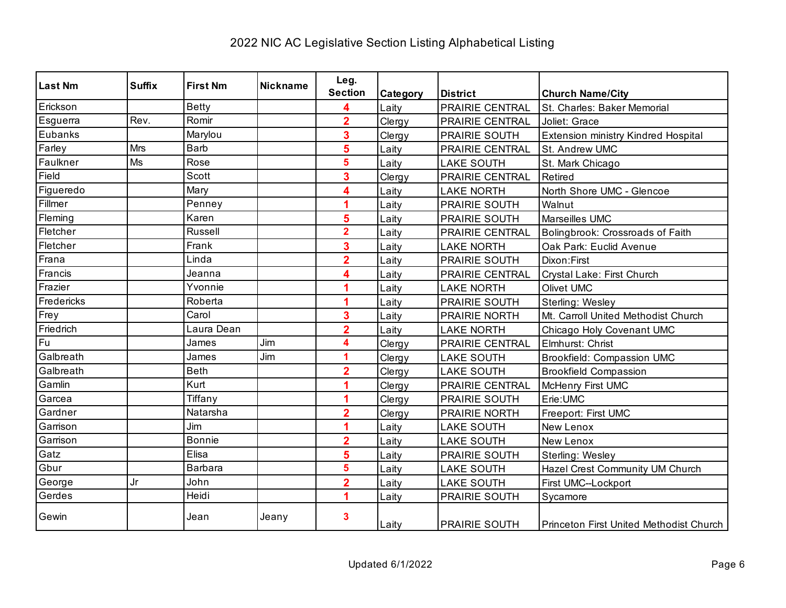| <b>Last Nm</b> | <b>Suffix</b> | <b>First Nm</b> | <b>Nickname</b> | Leg.                    |          |                        |                                                |
|----------------|---------------|-----------------|-----------------|-------------------------|----------|------------------------|------------------------------------------------|
|                |               |                 |                 | <b>Section</b>          | Category | <b>District</b>        | <b>Church Name/City</b>                        |
| Erickson       |               | <b>Betty</b>    |                 | 4                       | Laity    | <b>PRAIRIE CENTRAL</b> | St. Charles: Baker Memorial                    |
| Esguerra       | Rev.          | Romir           |                 | $\overline{2}$          | Clergy   | PRAIRIE CENTRAL        | Joliet: Grace                                  |
| Eubanks        |               | Marylou         |                 | 3                       | Clergy   | PRAIRIE SOUTH          | <b>Extension ministry Kindred Hospital</b>     |
| Farley         | Mrs           | <b>Barb</b>     |                 | 5                       | Laity    | PRAIRIE CENTRAL        | St. Andrew UMC                                 |
| Faulkner       | Ms            | Rose            |                 | 5                       | Laity    | <b>LAKE SOUTH</b>      | St. Mark Chicago                               |
| Field          |               | Scott           |                 | 3                       | Clergy   | PRAIRIE CENTRAL        | Retired                                        |
| Figueredo      |               | Mary            |                 | 4                       | Laity    | <b>LAKE NORTH</b>      | North Shore UMC - Glencoe                      |
| Fillmer        |               | Penney          |                 |                         | Laity    | <b>PRAIRIE SOUTH</b>   | Walnut                                         |
| Fleming        |               | Karen           |                 | 5                       | Laity    | PRAIRIE SOUTH          | Marseilles UMC                                 |
| Fletcher       |               | Russell         |                 | $\overline{\mathbf{2}}$ | Laity    | PRAIRIE CENTRAL        | Bolingbrook: Crossroads of Faith               |
| Fletcher       |               | Frank           |                 | 3                       | Laity    | <b>LAKE NORTH</b>      | Oak Park: Euclid Avenue                        |
| Frana          |               | Linda           |                 | $\overline{\mathbf{2}}$ | Laity    | PRAIRIE SOUTH          | Dixon: First                                   |
| Francis        |               | Jeanna          |                 | 4                       | Laity    | PRAIRIE CENTRAL        | Crystal Lake: First Church                     |
| Frazier        |               | Yvonnie         |                 | 1                       | Laity    | <b>LAKE NORTH</b>      | Olivet UMC                                     |
| Fredericks     |               | Roberta         |                 |                         | Laity    | PRAIRIE SOUTH          | Sterling: Wesley                               |
| Frey           |               | Carol           |                 | 3                       | Laity    | PRAIRIE NORTH          | Mt. Carroll United Methodist Church            |
| Friedrich      |               | Laura Dean      |                 | $\overline{2}$          | Laity    | <b>LAKE NORTH</b>      | Chicago Holy Covenant UMC                      |
| Fu             |               | James           | Jim             | 4                       | Clergy   | PRAIRIE CENTRAL        | Elmhurst: Christ                               |
| Galbreath      |               | James           | Jim             | 1                       | Clergy   | <b>LAKE SOUTH</b>      | <b>Brookfield: Compassion UMC</b>              |
| Galbreath      |               | <b>Beth</b>     |                 | $\overline{2}$          | Clergy   | <b>LAKE SOUTH</b>      | <b>Brookfield Compassion</b>                   |
| Gamlin         |               | Kurt            |                 |                         | Clergy   | PRAIRIE CENTRAL        | <b>McHenry First UMC</b>                       |
| Garcea         |               | Tiffany         |                 |                         | Clergy   | PRAIRIE SOUTH          | Erie:UMC                                       |
| Gardner        |               | Natarsha        |                 | $\overline{2}$          | Clergy   | <b>PRAIRIE NORTH</b>   | Freeport: First UMC                            |
| Garrison       |               | Jim             |                 | 1                       | Laity    | <b>LAKE SOUTH</b>      | New Lenox                                      |
| Garrison       |               | <b>Bonnie</b>   |                 | $\overline{\mathbf{2}}$ | Laity    | <b>LAKE SOUTH</b>      | New Lenox                                      |
| Gatz           |               | Elisa           |                 | 5                       | Laity    | PRAIRIE SOUTH          | Sterling: Wesley                               |
| Gbur           |               | <b>Barbara</b>  |                 | 5                       | Laity    | <b>LAKE SOUTH</b>      | Hazel Crest Community UM Church                |
| George         | Jr            | John            |                 | $\overline{2}$          | Laity    | <b>LAKE SOUTH</b>      | First UMC--Lockport                            |
| Gerdes         |               | Heidi           |                 | 1                       | Laity    | PRAIRIE SOUTH          | Sycamore                                       |
| Gewin          |               | Jean            | Jeany           | 3                       | Laity    | <b>PRAIRIE SOUTH</b>   | <b>Princeton First United Methodist Church</b> |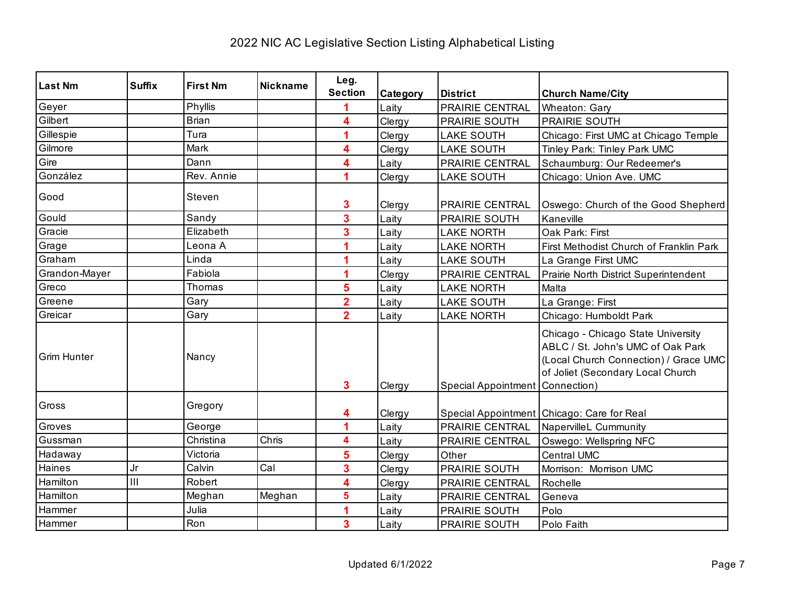| <b>Last Nm</b>     | <b>Suffix</b>             | <b>First Nm</b> | <b>Nickname</b> | Leg.                    |          |                                 |                                                                                                                                                       |
|--------------------|---------------------------|-----------------|-----------------|-------------------------|----------|---------------------------------|-------------------------------------------------------------------------------------------------------------------------------------------------------|
|                    |                           |                 |                 | <b>Section</b>          | Category | <b>District</b>                 | <b>Church Name/City</b>                                                                                                                               |
| Geyer              |                           | Phyllis         |                 |                         | Laity    | PRAIRIE CENTRAL                 | Wheaton: Gary                                                                                                                                         |
| Gilbert            |                           | <b>Brian</b>    |                 | 4                       | Clergy   | PRAIRIE SOUTH                   | PRAIRIE SOUTH                                                                                                                                         |
| Gillespie          |                           | Tura            |                 | 1                       | Clergy   | <b>LAKE SOUTH</b>               | Chicago: First UMC at Chicago Temple                                                                                                                  |
| Gilmore            |                           | Mark            |                 | 4                       | Clergy   | <b>LAKE SOUTH</b>               | Tinley Park: Tinley Park UMC                                                                                                                          |
| Gire               |                           | Dann            |                 | 4                       | Laity    | <b>PRAIRIE CENTRAL</b>          | Schaumburg: Our Redeemer's                                                                                                                            |
| González           |                           | Rev. Annie      |                 | 4                       | Clergy   | <b>LAKE SOUTH</b>               | Chicago: Union Ave. UMC                                                                                                                               |
| Good               |                           | Steven          |                 | 3                       | Clergy   | PRAIRIE CENTRAL                 | Oswego: Church of the Good Shepherd                                                                                                                   |
| Gould              |                           | Sandy           |                 | 3                       | Laity    | PRAIRIE SOUTH                   | Kaneville                                                                                                                                             |
| Gracie             |                           | Elizabeth       |                 | 3                       | Laity    | <b>LAKE NORTH</b>               | Oak Park: First                                                                                                                                       |
| Grage              |                           | Leona A         |                 |                         | Laity    | <b>LAKE NORTH</b>               | First Methodist Church of Franklin Park                                                                                                               |
| Graham             |                           | Linda           |                 |                         | Laity    | <b>LAKE SOUTH</b>               | La Grange First UMC                                                                                                                                   |
| Grandon-Mayer      |                           | Fabiola         |                 | 1                       | Clergy   | PRAIRIE CENTRAL                 | Prairie North District Superintendent                                                                                                                 |
| Greco              |                           | Thomas          |                 | 5                       | Laity    | <b>LAKE NORTH</b>               | Malta                                                                                                                                                 |
| Greene             |                           | Gary            |                 | $\overline{2}$          | Laity    | <b>LAKE SOUTH</b>               | La Grange: First                                                                                                                                      |
| Greicar            |                           | Gary            |                 | $\overline{2}$          | Laity    | <b>LAKE NORTH</b>               | Chicago: Humboldt Park                                                                                                                                |
| <b>Grim Hunter</b> |                           | Nancy           |                 | $\mathbf{3}$            | Clergy   | Special Appointment Connection) | Chicago - Chicago State University<br>ABLC / St. John's UMC of Oak Park<br>(Local Church Connection) / Grace UMC<br>of Joliet (Secondary Local Church |
| Gross              |                           | Gregory         |                 | 4                       | Clergy   |                                 | Special Appointment Chicago: Care for Real                                                                                                            |
| Groves             |                           | George          |                 | 1                       | Laity    | PRAIRIE CENTRAL                 | <b>NapervilleL Cummunity</b>                                                                                                                          |
| Gussman            |                           | Christina       | Chris           | 4                       | Laity    | PRAIRIE CENTRAL                 | Oswego: Wellspring NFC                                                                                                                                |
| Hadaway            |                           | Victoria        |                 | 5                       | Clergy   | Other                           | <b>Central UMC</b>                                                                                                                                    |
| Haines             | Jr                        | Calvin          | Cal             | 3                       | Clergy   | <b>PRAIRIE SOUTH</b>            | Morrison: Morrison UMC                                                                                                                                |
| Hamilton           | $\overline{\mathsf{III}}$ | Robert          |                 | 4                       | Clergy   | PRAIRIE CENTRAL                 | Rochelle                                                                                                                                              |
| Hamilton           |                           | Meghan          | Meghan          | 5                       | Laity    | <b>PRAIRIE CENTRAL</b>          | Geneva                                                                                                                                                |
| Hammer             |                           | Julia           |                 |                         | Laity    | PRAIRIE SOUTH                   | Polo                                                                                                                                                  |
| Hammer             |                           | Ron             |                 | $\overline{\mathbf{3}}$ | Laity    | PRAIRIE SOUTH                   | Polo Faith                                                                                                                                            |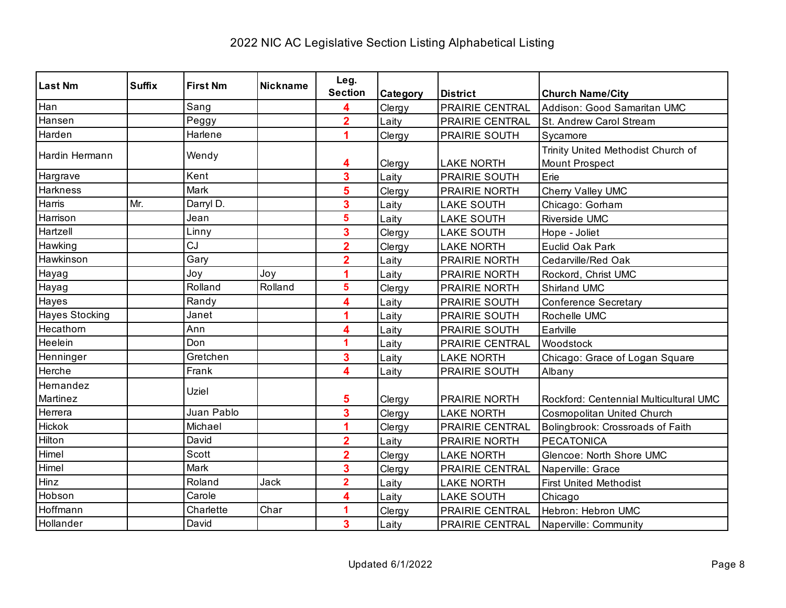| <b>Last Nm</b>        | <b>Suffix</b> | <b>First Nm</b> | <b>Nickname</b> | Leg.                    |          |                      |                                                      |
|-----------------------|---------------|-----------------|-----------------|-------------------------|----------|----------------------|------------------------------------------------------|
|                       |               |                 |                 | <b>Section</b>          | Category | <b>District</b>      | <b>Church Name/City</b>                              |
| Han                   |               | Sang            |                 |                         | Clergy   | PRAIRIE CENTRAL      | Addison: Good Samaritan UMC                          |
| Hansen                |               | Peggy           |                 | $\overline{2}$          | Laity    | PRAIRIE CENTRAL      | St. Andrew Carol Stream                              |
| Harden                |               | Harlene         |                 |                         | Clergy   | PRAIRIE SOUTH        | Sycamore                                             |
| Hardin Hermann        |               | Wendy           |                 | 4                       | Clergy   | <b>LAKE NORTH</b>    | Trinity United Methodist Church of<br>Mount Prospect |
| Hargrave              |               | Kent            |                 | 3                       | Laity    | PRAIRIE SOUTH        | Erie                                                 |
| Harkness              |               | Mark            |                 | 5                       | Clergy   | <b>PRAIRIE NORTH</b> | Cherry Valley UMC                                    |
| Harris                | Mr.           | Darryl D.       |                 | 3                       | Laity    | <b>LAKE SOUTH</b>    | Chicago: Gorham                                      |
| Harrison              |               | Jean            |                 | 5                       | Laity    | <b>LAKE SOUTH</b>    | Riverside UMC                                        |
| Hartzell              |               | Linny           |                 | 3                       | Clergy   | <b>LAKE SOUTH</b>    | Hope - Joliet                                        |
| Hawking               |               | CJ              |                 | $\overline{2}$          | Clergy   | <b>LAKE NORTH</b>    | Euclid Oak Park                                      |
| Hawkinson             |               | Gary            |                 | $\overline{2}$          | Laity    | PRAIRIE NORTH        | Cedarville/Red Oak                                   |
| Hayag                 |               | Joy             | Joy             | 4                       | Laity    | PRAIRIE NORTH        | Rockord, Christ UMC                                  |
| Hayag                 |               | Rolland         | Rolland         | 5                       | Clergy   | PRAIRIE NORTH        | Shirland UMC                                         |
| Hayes                 |               | Randy           |                 | 4                       | Laity    | PRAIRIE SOUTH        | <b>Conference Secretary</b>                          |
| <b>Hayes Stocking</b> |               | Janet           |                 | 1                       | Laity    | PRAIRIE SOUTH        | Rochelle UMC                                         |
| Hecathorn             |               | Ann             |                 | 4                       | Laity    | PRAIRIE SOUTH        | Earlville                                            |
| Heelein               |               | Don             |                 | 1                       | Laity    | PRAIRIE CENTRAL      | Woodstock                                            |
| Henninger             |               | Gretchen        |                 | 3                       | Laity    | <b>LAKE NORTH</b>    | Chicago: Grace of Logan Square                       |
| Herche                |               | Frank           |                 | 4                       | Laity    | PRAIRIE SOUTH        | Albany                                               |
| Hernandez<br>Martinez |               | Uziel           |                 | 5                       | Clergy   | PRAIRIE NORTH        | Rockford: Centennial Multicultural UMC               |
| Herrera               |               | Juan Pablo      |                 | 3                       | Clergy   | <b>LAKE NORTH</b>    | Cosmopolitan United Church                           |
| Hickok                |               | Michael         |                 |                         | Clergy   | PRAIRIE CENTRAL      | Bolingbrook: Crossroads of Faith                     |
| Hilton                |               | David           |                 | $\overline{\mathbf{2}}$ | Laity    | PRAIRIE NORTH        | <b>PECATONICA</b>                                    |
| Himel                 |               | Scott           |                 | $\overline{2}$          | Clergy   | <b>LAKE NORTH</b>    | Glencoe: North Shore UMC                             |
| Himel                 |               | Mark            |                 | 3                       | Clergy   | PRAIRIE CENTRAL      | Naperville: Grace                                    |
| Hinz                  |               | Roland          | Jack            | $\overline{\mathbf{2}}$ | Laity    | <b>LAKE NORTH</b>    | <b>First United Methodist</b>                        |
| Hobson                |               | Carole          |                 | 4                       | Laity    | <b>LAKE SOUTH</b>    | Chicago                                              |
| Hoffmann              |               | Charlette       | Char            | 1                       | Clergy   | PRAIRIE CENTRAL      | Hebron: Hebron UMC                                   |
| Hollander             |               | David           |                 | 3                       | Laity    | PRAIRIE CENTRAL      | Naperville: Community                                |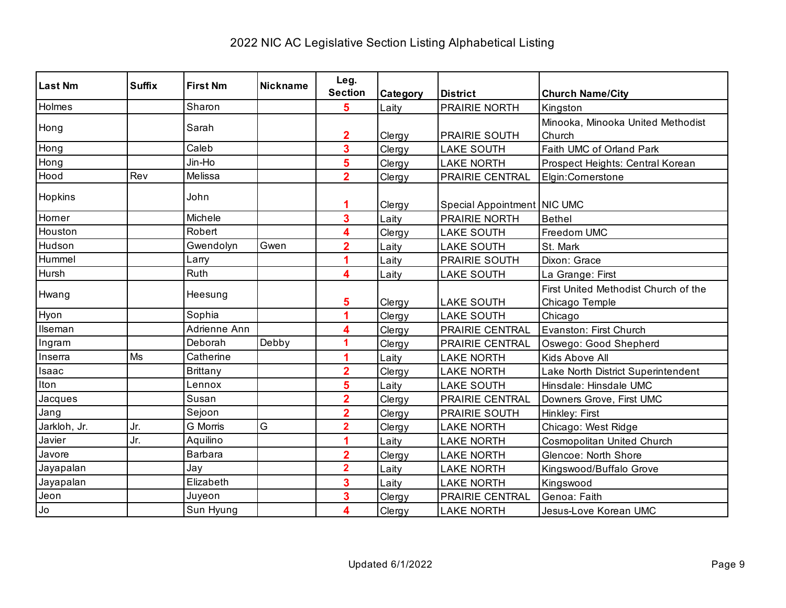| <b>Last Nm</b> | <b>Suffix</b> | <b>First Nm</b> | <b>Nickname</b> | Leg.                    |          |                             |                                      |
|----------------|---------------|-----------------|-----------------|-------------------------|----------|-----------------------------|--------------------------------------|
|                |               |                 |                 | <b>Section</b>          | Category | <b>District</b>             | <b>Church Name/City</b>              |
| Holmes         |               | Sharon          |                 | 5                       | Laity    | PRAIRIE NORTH               | Kingston                             |
| Hong           |               | Sarah           |                 |                         |          |                             | Minooka, Minooka United Methodist    |
|                |               |                 |                 | $\mathbf{2}$            | Clergy   | <b>PRAIRIE SOUTH</b>        | Church                               |
| Hong           |               | Caleb           |                 | 3                       | Clergy   | <b>LAKE SOUTH</b>           | Faith UMC of Orland Park             |
| Hong           |               | Jin-Ho          |                 | 5                       | Clergy   | <b>LAKE NORTH</b>           | Prospect Heights: Central Korean     |
| Hood           | Rev           | Melissa         |                 | $\overline{2}$          | Clergy   | PRAIRIE CENTRAL             | Elgin:Cornerstone                    |
| Hopkins        |               | John            |                 |                         | Clergy   | Special Appointment NIC UMC |                                      |
| Horner         |               | Michele         |                 | 3                       | Laity    | <b>PRAIRIE NORTH</b>        | Bethel                               |
| Houston        |               | Robert          |                 | 4                       | Clergy   | <b>LAKE SOUTH</b>           | Freedom UMC                          |
| Hudson         |               | Gwendolyn       | Gwen            | $\overline{2}$          | Laity    | <b>LAKE SOUTH</b>           | St. Mark                             |
| Hummel         |               | Larry           |                 |                         | Laity    | <b>PRAIRIE SOUTH</b>        | Dixon: Grace                         |
| Hursh          |               | Ruth            |                 | 4                       | Laity    | <b>LAKE SOUTH</b>           | La Grange: First                     |
| Hwang          |               | Heesung         |                 |                         |          |                             | First United Methodist Church of the |
|                |               |                 |                 | 5                       | Clergy   | <b>LAKE SOUTH</b>           | Chicago Temple                       |
| Hyon           |               | Sophia          |                 | 1                       | Clergy   | <b>LAKE SOUTH</b>           | Chicago                              |
| Ilseman        |               | Adrienne Ann    |                 | 4                       | Clergy   | PRAIRIE CENTRAL             | Evanston: First Church               |
| Ingram         |               | Deborah         | Debby           | 1                       | Clergy   | <b>PRAIRIE CENTRAL</b>      | Oswego: Good Shepherd                |
| Inserra        | Ms            | Catherine       |                 |                         | Laity    | <b>LAKE NORTH</b>           | Kids Above All                       |
| Isaac          |               | <b>Brittany</b> |                 | $\overline{2}$          | Clergy   | <b>LAKE NORTH</b>           | Lake North District Superintendent   |
| Iton           |               | Lennox          |                 | 5                       | Laity    | <b>LAKE SOUTH</b>           | Hinsdale: Hinsdale UMC               |
| Jacques        |               | Susan           |                 | $\overline{\mathbf{2}}$ | Clergy   | PRAIRIE CENTRAL             | Downers Grove, First UMC             |
| Jang           |               | Sejoon          |                 | $\overline{\mathbf{2}}$ | Clergy   | PRAIRIE SOUTH               | Hinkley: First                       |
| Jarkloh, Jr.   | Jr.           | <b>G</b> Morris | G               | $\overline{2}$          | Clergy   | <b>LAKE NORTH</b>           | Chicago: West Ridge                  |
| Javier         | Jr.           | Aquilino        |                 | 1                       | Laity    | <b>LAKE NORTH</b>           | Cosmopolitan United Church           |
| Javore         |               | Barbara         |                 | $\overline{\mathbf{2}}$ | Clergy   | <b>LAKE NORTH</b>           | Glencoe: North Shore                 |
| Jayapalan      |               | Jay             |                 | $\overline{\mathbf{2}}$ | Laity    | <b>LAKE NORTH</b>           | Kingswood/Buffalo Grove              |
| Jayapalan      |               | Elizabeth       |                 | 3                       | Laity    | <b>LAKE NORTH</b>           | Kingswood                            |
| Jeon           |               | Juyeon          |                 | $\overline{\mathbf{3}}$ | Clergy   | PRAIRIE CENTRAL             | Genoa: Faith                         |
| Jo             |               | Sun Hyung       |                 | 4                       | Clergy   | <b>LAKE NORTH</b>           | Jesus-Love Korean UMC                |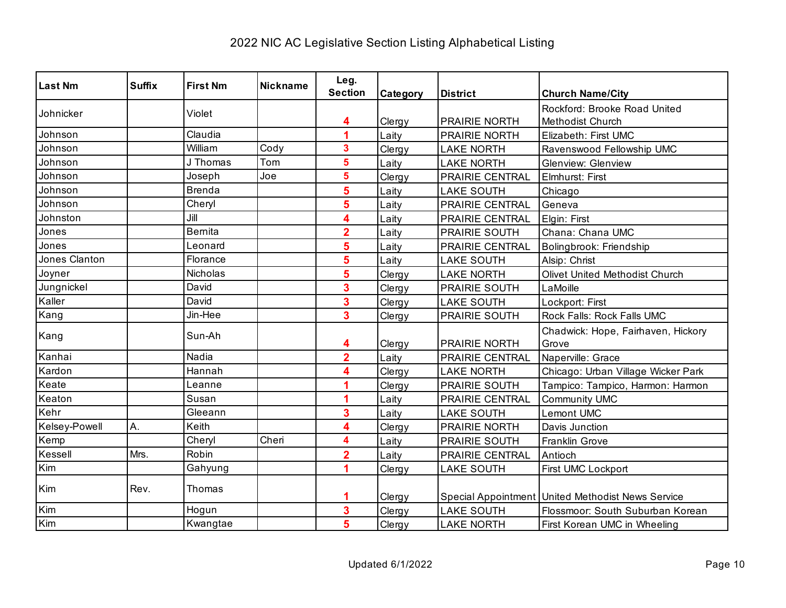| <b>Last Nm</b> | <b>Suffix</b> | <b>First Nm</b> | <b>Nickname</b> | Leg.<br><b>Section</b> | Category | <b>District</b>   | <b>Church Name/City</b>                           |
|----------------|---------------|-----------------|-----------------|------------------------|----------|-------------------|---------------------------------------------------|
|                |               | Violet          |                 |                        |          |                   | Rockford: Brooke Road United                      |
| Johnicker      |               |                 |                 | 4                      | Clergy   | PRAIRIE NORTH     | Methodist Church                                  |
| Johnson        |               | Claudia         |                 | 4                      | Laity    | PRAIRIE NORTH     | Elizabeth: First UMC                              |
| Johnson        |               | William         | Cody            | 3                      | Clergy   | <b>LAKE NORTH</b> | Ravenswood Fellowship UMC                         |
| Johnson        |               | J Thomas        | Tom             | 5                      | Laity    | <b>LAKE NORTH</b> | <b>Glenview: Glenview</b>                         |
| Johnson        |               | Joseph          | Joe             | 5                      | Clergy   | PRAIRIE CENTRAL   | Elmhurst: First                                   |
| Johnson        |               | <b>Brenda</b>   |                 | 5                      | Laity    | <b>LAKE SOUTH</b> | Chicago                                           |
| Johnson        |               | Cheryl          |                 | 5                      | Laity    | PRAIRIE CENTRAL   | Geneva                                            |
| Johnston       |               | Jill            |                 | 4                      | Laity    | PRAIRIE CENTRAL   | Elgin: First                                      |
| Jones          |               | <b>Bernita</b>  |                 | $\overline{2}$         | Laity    | PRAIRIE SOUTH     | Chana: Chana UMC                                  |
| Jones          |               | Leonard         |                 | 5                      | Laity    | PRAIRIE CENTRAL   | Bolingbrook: Friendship                           |
| Jones Clanton  |               | Florance        |                 | 5                      | Laity    | <b>LAKE SOUTH</b> | Alsip: Christ                                     |
| Joyner         |               | Nicholas        |                 | 5                      | Clergy   | <b>LAKE NORTH</b> | Olivet United Methodist Church                    |
| Jungnickel     |               | David           |                 | 3                      | Clergy   | PRAIRIE SOUTH     | LaMoille                                          |
| Kaller         |               | David           |                 | 3                      | Clergy   | <b>LAKE SOUTH</b> | Lockport: First                                   |
| Kang           |               | Jin-Hee         |                 | 3                      | Clergy   | PRAIRIE SOUTH     | Rock Falls: Rock Falls UMC                        |
| Kang           |               | Sun-Ah          |                 | 4                      | Clergy   | PRAIRIE NORTH     | Chadwick: Hope, Fairhaven, Hickory<br>Grove       |
| Kanhai         |               | Nadia           |                 | $\overline{2}$         | Laity    | PRAIRIE CENTRAL   | Naperville: Grace                                 |
| Kardon         |               | Hannah          |                 | 4                      | Clergy   | <b>LAKE NORTH</b> | Chicago: Urban Village Wicker Park                |
| Keate          |               | Leanne          |                 |                        | Clergy   | PRAIRIE SOUTH     | Tampico: Tampico, Harmon: Harmon                  |
| Keaton         |               | Susan           |                 | 4                      | Laity    | PRAIRIE CENTRAL   | Community UMC                                     |
| Kehr           |               | Gleeann         |                 | 3                      | Laity    | <b>LAKE SOUTH</b> | <b>Lemont UMC</b>                                 |
| Kelsey-Powell  | Α.            | Keith           |                 | 4                      | Clergy   | PRAIRIE NORTH     | Davis Junction                                    |
| Kemp           |               | Cheryl          | Cheri           | 4                      | Laity    | PRAIRIE SOUTH     | <b>Franklin Grove</b>                             |
| Kessell        | Mrs.          | Robin           |                 | $\overline{2}$         | Laity    | PRAIRIE CENTRAL   | Antioch                                           |
| Kim            |               | Gahyung         |                 |                        | Clergy   | <b>LAKE SOUTH</b> | First UMC Lockport                                |
| Kim            | Rev.          | Thomas          |                 |                        | Clergy   |                   | Special Appointment United Methodist News Service |
| Kim            |               | Hogun           |                 | 3                      | Clergy   | <b>LAKE SOUTH</b> | Flossmoor: South Suburban Korean                  |
| Kim            |               | Kwangtae        |                 | 5                      | Clergy   | <b>LAKE NORTH</b> | First Korean UMC in Wheeling                      |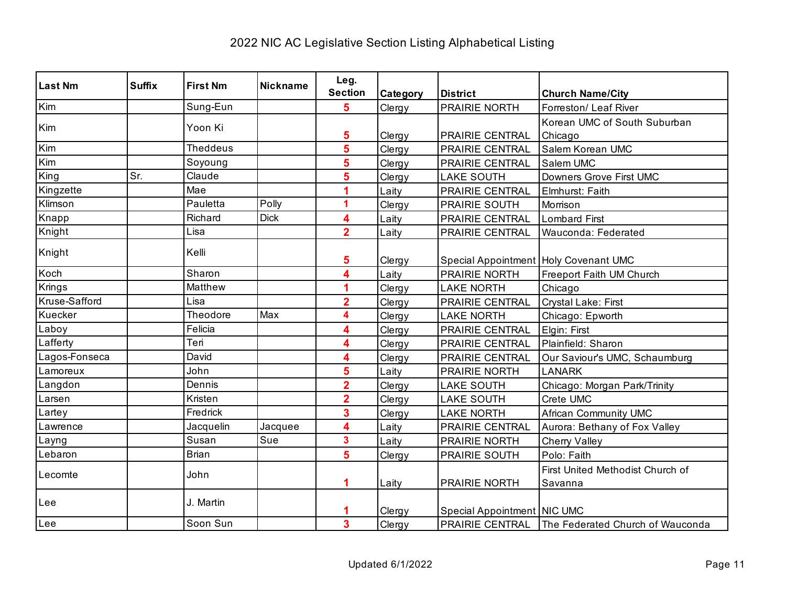| <b>Last Nm</b>          | <b>Suffix</b> | <b>First Nm</b> | <b>Nickname</b> | Leg.                    |          |                                       |                                                         |
|-------------------------|---------------|-----------------|-----------------|-------------------------|----------|---------------------------------------|---------------------------------------------------------|
|                         |               |                 |                 | <b>Section</b>          | Category | <b>District</b>                       | <b>Church Name/City</b>                                 |
| Kim                     |               | Sung-Eun        |                 | 5                       | Clergy   | PRAIRIE NORTH                         | Forreston/ Leaf River                                   |
| Kim                     |               | Yoon Ki         |                 |                         |          |                                       | Korean UMC of South Suburban                            |
|                         |               |                 |                 | 5                       | Clergy   | PRAIRIE CENTRAL                       | Chicago                                                 |
| Kim                     |               | <b>Theddeus</b> |                 | 5                       | Clergy   | PRAIRIE CENTRAL                       | Salem Korean UMC                                        |
| $\overline{\text{Kim}}$ |               | Soyoung         |                 | 5                       | Clergy   | PRAIRIE CENTRAL                       | Salem UMC                                               |
| King                    | Sr.           | Claude          |                 | 5                       | Clergy   | <b>LAKE SOUTH</b>                     | Downers Grove First UMC                                 |
| Kingzette               |               | Mae             |                 | 4                       | Laity    | PRAIRIE CENTRAL                       | Elmhurst: Faith                                         |
| Klimson                 |               | Pauletta        | Polly           | 1                       | Clergy   | PRAIRIE SOUTH                         | Morrison                                                |
| Knapp                   |               | Richard         | <b>Dick</b>     | 4                       | Laity    | PRAIRIE CENTRAL                       | <b>Lombard First</b>                                    |
| Knight                  |               | Lisa            |                 | $\overline{2}$          | Laity    | PRAIRIE CENTRAL                       | Wauconda: Federated                                     |
| Knight                  |               | Kelli           |                 |                         |          |                                       |                                                         |
|                         |               |                 |                 | 5                       | Clergy   | Special Appointment Holy Covenant UMC |                                                         |
| Koch                    |               | Sharon          |                 | 4                       | Laity    | PRAIRIE NORTH                         | Freeport Faith UM Church                                |
| Krings                  |               | Matthew         |                 | 1                       | Clergy   | <b>LAKE NORTH</b>                     | Chicago                                                 |
| Kruse-Safford           |               | Lisa            |                 | $\overline{\mathbf{2}}$ | Clergy   | PRAIRIE CENTRAL                       | Crystal Lake: First                                     |
| Kuecker                 |               | Theodore        | Max             | 4                       | Clergy   | <b>LAKE NORTH</b>                     | Chicago: Epworth                                        |
| Laboy                   |               | Felicia         |                 | 4                       | Clergy   | PRAIRIE CENTRAL                       | Elgin: First                                            |
| _afferty                |               | Teri            |                 | 4                       | Clergy   | PRAIRIE CENTRAL                       | Plainfield: Sharon                                      |
| agos-Fonseca            |               | David           |                 | 4                       | Clergy   | PRAIRIE CENTRAL                       | Our Saviour's UMC, Schaumburg                           |
| _amoreux                |               | John            |                 | 5                       | Laity    | PRAIRIE NORTH                         | <b>LANARK</b>                                           |
| Langdon                 |               | Dennis          |                 | $\overline{\mathbf{2}}$ | Clergy   | <b>LAKE SOUTH</b>                     | Chicago: Morgan Park/Trinity                            |
| Larsen                  |               | Kristen         |                 | $\overline{\mathbf{2}}$ | Clergy   | <b>LAKE SOUTH</b>                     | Crete UMC                                               |
| Lartey                  |               | Fredrick        |                 | 3                       | Clergy   | <b>LAKE NORTH</b>                     | <b>African Community UMC</b>                            |
| Lawrence                |               | Jacquelin       | Jacquee         | 4                       | Laity    | PRAIRIE CENTRAL                       | Aurora: Bethany of Fox Valley                           |
| Layng                   |               | Susan           | Sue             | $\overline{\mathbf{3}}$ | Laity    | PRAIRIE NORTH                         | Cherry Valley                                           |
| Lebaron                 |               | <b>Brian</b>    |                 | 5                       | Clergy   | PRAIRIE SOUTH                         | Polo: Faith                                             |
|                         |               |                 |                 |                         |          |                                       | First United Methodist Church of                        |
| Lecomte                 |               | John            |                 | 1                       | Laity    | PRAIRIE NORTH                         | Savanna                                                 |
|                         |               |                 |                 |                         |          |                                       |                                                         |
| Lee                     |               | J. Martin       |                 |                         | Clergy   | Special Appointment NIC UMC           |                                                         |
| Lee                     |               | Soon Sun        |                 | $\overline{\mathbf{3}}$ | Clergy   |                                       | <b>PRAIRIE CENTRAL</b> The Federated Church of Wauconda |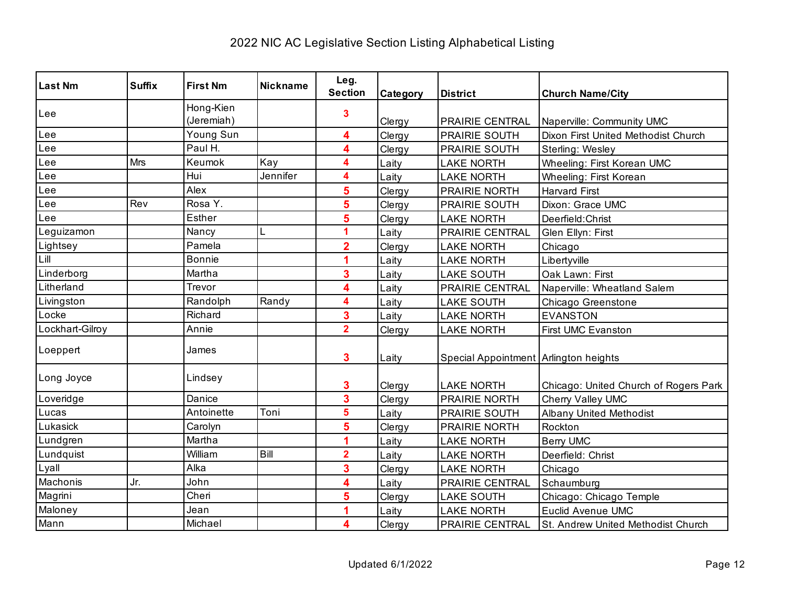| <b>Last Nm</b>  | <b>Suffix</b> | <b>First Nm</b>         | <b>Nickname</b> | Leg.<br><b>Section</b>  | Category | <b>District</b>                       | <b>Church Name/City</b>               |
|-----------------|---------------|-------------------------|-----------------|-------------------------|----------|---------------------------------------|---------------------------------------|
| Lee             |               | Hong-Kien<br>(Jeremiah) |                 | 3                       | Clergy   | PRAIRIE CENTRAL                       | Naperville: Community UMC             |
| Lee             |               | Young Sun               |                 | 4                       | Clergy   | <b>PRAIRIE SOUTH</b>                  | Dixon First United Methodist Church   |
| Lee             |               | Paul H.                 |                 | 4                       | Clergy   | PRAIRIE SOUTH                         | Sterling: Wesley                      |
| Lee             | <b>Mrs</b>    | Keumok                  | Kay             | 4                       | Laity    | <b>LAKE NORTH</b>                     | Wheeling: First Korean UMC            |
| Lee             |               | Hui                     | Jennifer        | 4                       | Laity    | <b>LAKE NORTH</b>                     | Wheeling: First Korean                |
| Lee             |               | Alex                    |                 | 5                       | Clergy   | PRAIRIE NORTH                         | <b>Harvard First</b>                  |
| Lee             | Rev           | Rosa Y.                 |                 | 5                       | Clergy   | <b>PRAIRIE SOUTH</b>                  | Dixon: Grace UMC                      |
| Lee             |               | <b>Esther</b>           |                 | 5                       | Clergy   | <b>LAKE NORTH</b>                     | Deerfield: Christ                     |
| Leguizamon      |               | Nancy                   | L               | 1                       | Laity    | PRAIRIE CENTRAL                       | Glen Ellyn: First                     |
| Lightsey        |               | Pamela                  |                 | $\overline{2}$          | Clergy   | <b>LAKE NORTH</b>                     | Chicago                               |
| Lill            |               | <b>Bonnie</b>           |                 |                         | Laity    | <b>LAKE NORTH</b>                     | Libertyville                          |
| Linderborg      |               | Martha                  |                 | 3                       | Laity    | <b>LAKE SOUTH</b>                     | Oak Lawn: First                       |
| Litherland      |               | Trevor                  |                 | 4                       | Laity    | PRAIRIE CENTRAL                       | Naperville: Wheatland Salem           |
| Livingston      |               | Randolph                | Randy           | 4                       | Laity    | <b>LAKE SOUTH</b>                     | Chicago Greenstone                    |
| Locke           |               | Richard                 |                 | 3                       | Laity    | <b>LAKE NORTH</b>                     | <b>EVANSTON</b>                       |
| Lockhart-Gilroy |               | Annie                   |                 | $\overline{2}$          | Clergy   | <b>LAKE NORTH</b>                     | First UMC Evanston                    |
| Loeppert        |               | James                   |                 | 3                       | Laity    | Special Appointment Arlington heights |                                       |
| Long Joyce      |               | Lindsey                 |                 | 3                       | Clergy   | <b>LAKE NORTH</b>                     | Chicago: United Church of Rogers Park |
| Loveridge       |               | Danice                  |                 | 3                       | Clergy   | PRAIRIE NORTH                         | Cherry Valley UMC                     |
| Lucas           |               | Antoinette              | Toni            | 5                       | Laity    | <b>PRAIRIE SOUTH</b>                  | <b>Albany United Methodist</b>        |
| Lukasick        |               | Carolyn                 |                 | 5                       | Clergy   | PRAIRIE NORTH                         | Rockton                               |
| Lundgren        |               | Martha                  |                 |                         | Laity    | <b>LAKE NORTH</b>                     | <b>Berry UMC</b>                      |
| Lundquist       |               | William                 | Bill            | $\overline{\mathbf{2}}$ | Laity    | <b>LAKE NORTH</b>                     | Deerfield: Christ                     |
| Lyall           |               | Alka                    |                 | 3                       | Clergy   | <b>LAKE NORTH</b>                     | Chicago                               |
| Machonis        | Jr.           | John                    |                 | 4                       | Laity    | PRAIRIE CENTRAL                       | Schaumburg                            |
| Magrini         |               | Cheri                   |                 | 5                       | Clergy   | <b>LAKE SOUTH</b>                     | Chicago: Chicago Temple               |
| Maloney         |               | Jean                    |                 |                         | Laity    | <b>LAKE NORTH</b>                     | <b>Euclid Avenue UMC</b>              |
| Mann            |               | Michael                 |                 | 4                       | Clergy   | PRAIRIE CENTRAL                       | St. Andrew United Methodist Church    |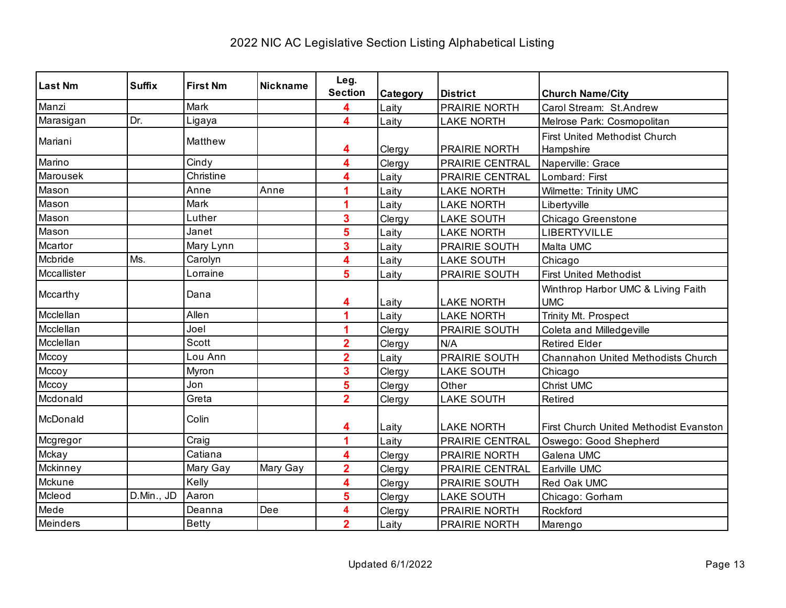| <b>Last Nm</b> | <b>Suffix</b> | <b>First Nm</b> | <b>Nickname</b> | Leg.                    |          |                   |                                        |
|----------------|---------------|-----------------|-----------------|-------------------------|----------|-------------------|----------------------------------------|
|                |               |                 |                 | <b>Section</b>          | Category | <b>District</b>   | <b>Church Name/City</b>                |
| Manzi          |               | Mark            |                 | 4                       | Laity    | PRAIRIE NORTH     | Carol Stream: St.Andrew                |
| Marasigan      | Dr.           | Ligaya          |                 | 4                       | Laity    | <b>LAKE NORTH</b> | Melrose Park: Cosmopolitan             |
| Mariani        |               | Matthew         |                 |                         |          |                   | <b>First United Methodist Church</b>   |
|                |               |                 |                 | 4                       | Clergy   | PRAIRIE NORTH     | Hampshire                              |
| Marino         |               | Cindy           |                 | 4                       | Clergy   | PRAIRIE CENTRAL   | Naperville: Grace                      |
| Marousek       |               | Christine       |                 | 4                       | Laity    | PRAIRIE CENTRAL   | Lombard: First                         |
| Mason          |               | Anne            | Anne            | 4                       | Laity    | <b>LAKE NORTH</b> | Wilmette: Trinity UMC                  |
| Mason          |               | Mark            |                 | 1                       | Laity    | <b>LAKE NORTH</b> | Libertyville                           |
| Mason          |               | Luther          |                 | 3                       | Clergy   | <b>LAKE SOUTH</b> | Chicago Greenstone                     |
| Mason          |               | Janet           |                 | 5                       | Laity    | <b>LAKE NORTH</b> | LIBERTYVILLE                           |
| Mcartor        |               | Mary Lynn       |                 | 3                       | Laity    | PRAIRIE SOUTH     | Malta UMC                              |
| Mcbride        | Ms.           | Carolyn         |                 | 4                       | Laity    | <b>LAKE SOUTH</b> | Chicago                                |
| Mccallister    |               | Lorraine        |                 | 5                       | Laity    | PRAIRIE SOUTH     | <b>First United Methodist</b>          |
| Mccarthy       |               | Dana            |                 |                         |          |                   | Winthrop Harbor UMC & Living Faith     |
|                |               |                 |                 | 4                       | Laity    | <b>LAKE NORTH</b> | <b>UMC</b>                             |
| Mcclellan      |               | Allen           |                 | 1                       | Laity    | <b>LAKE NORTH</b> | Trinity Mt. Prospect                   |
| Mcclellan      |               | Joel            |                 | 1                       | Clergy   | PRAIRIE SOUTH     | Coleta and Milledgeville               |
| Mcclellan      |               | Scott           |                 | $\overline{2}$          | Clergy   | N/A               | <b>Retired Elder</b>                   |
| Mccoy          |               | Lou Ann         |                 | $\overline{2}$          | Laity    | PRAIRIE SOUTH     | Channahon United Methodists Church     |
| Mccoy          |               | Myron           |                 | 3                       | Clergy   | <b>LAKE SOUTH</b> | Chicago                                |
| Mccoy          |               | Jon             |                 | 5                       | Clergy   | Other             | <b>Christ UMC</b>                      |
| Mcdonald       |               | Greta           |                 | $\overline{\mathbf{2}}$ | Clergy   | <b>LAKE SOUTH</b> | Retired                                |
| McDonald       |               | Colin           |                 |                         |          |                   |                                        |
|                |               |                 |                 | 4                       | Laity    | <b>LAKE NORTH</b> | First Church United Methodist Evanston |
| Mcgregor       |               | Craig           |                 | 4                       | Laity    | PRAIRIE CENTRAL   | Oswego: Good Shepherd                  |
| Mckay          |               | Catiana         |                 | 4                       | Clergy   | PRAIRIE NORTH     | Galena UMC                             |
| Mckinney       |               | Mary Gay        | Mary Gay        | $\overline{\mathbf{2}}$ | Clergy   | PRAIRIE CENTRAL   | Earlville UMC                          |
| Mckune         |               | Kelly           |                 | 4                       | Clergy   | PRAIRIE SOUTH     | Red Oak UMC                            |
| Mcleod         | D.Min., JD    | Aaron           |                 | 5                       | Clergy   | <b>LAKE SOUTH</b> | Chicago: Gorham                        |
| Mede           |               | Deanna          | Dee             | 4                       | Clergy   | PRAIRIE NORTH     | Rockford                               |
| Meinders       |               | <b>Betty</b>    |                 | $\overline{2}$          | Laity    | PRAIRIE NORTH     | Marengo                                |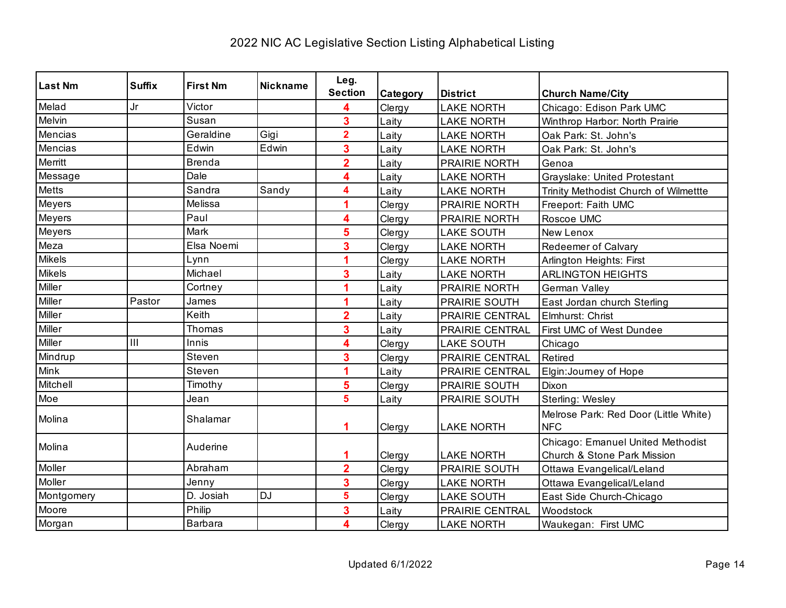| <b>Last Nm</b> | <b>Suffix</b> | <b>First Nm</b> | <b>Nickname</b> | Leg.                    |          |                   |                                                                  |
|----------------|---------------|-----------------|-----------------|-------------------------|----------|-------------------|------------------------------------------------------------------|
|                |               |                 |                 | <b>Section</b>          | Category | <b>District</b>   | <b>Church Name/City</b>                                          |
| Melad          | Jr            | Victor          |                 | 4                       | Clergy   | <b>LAKE NORTH</b> | Chicago: Edison Park UMC                                         |
| Melvin         |               | Susan           |                 | 3                       | Laity    | <b>LAKE NORTH</b> | Winthrop Harbor: North Prairie                                   |
| Mencias        |               | Geraldine       | Gigi            | $\overline{\mathbf{2}}$ | Laity    | <b>LAKE NORTH</b> | Oak Park: St. John's                                             |
| Mencias        |               | Edwin           | Edwin           | 3                       | Laity    | <b>LAKE NORTH</b> | Oak Park: St. John's                                             |
| Merritt        |               | <b>Brenda</b>   |                 | $\overline{2}$          | Laity    | PRAIRIE NORTH     | Genoa                                                            |
| Message        |               | Dale            |                 | 4                       | Laity    | <b>LAKE NORTH</b> | Grayslake: United Protestant                                     |
| <b>Metts</b>   |               | Sandra          | Sandy           | 4                       | Laity    | <b>LAKE NORTH</b> | Trinity Methodist Church of Wilmettte                            |
| Meyers         |               | Melissa         |                 | 1                       | Clergy   | PRAIRIE NORTH     | Freeport: Faith UMC                                              |
| Meyers         |               | Paul            |                 | 4                       | Clergy   | PRAIRIE NORTH     | Roscoe UMC                                                       |
| Meyers         |               | Mark            |                 | 5                       | Clergy   | <b>LAKE SOUTH</b> | New Lenox                                                        |
| Meza           |               | Elsa Noemi      |                 | 3                       | Clergy   | <b>LAKE NORTH</b> | <b>Redeemer of Calvary</b>                                       |
| <b>Mikels</b>  |               | Lynn            |                 | 1                       | Clergy   | <b>LAKE NORTH</b> | Arlington Heights: First                                         |
| <b>Mikels</b>  |               | Michael         |                 | 3                       | Laity    | <b>LAKE NORTH</b> | <b>ARLINGTON HEIGHTS</b>                                         |
| Miller         |               | Cortney         |                 | 1                       | Laity    | PRAIRIE NORTH     | German Valley                                                    |
| Miller         | Pastor        | James           |                 | 1                       | Laity    | PRAIRIE SOUTH     | East Jordan church Sterling                                      |
| Miller         |               | Keith           |                 | $\overline{2}$          | Laity    | PRAIRIE CENTRAL   | Elmhurst: Christ                                                 |
| Miller         |               | Thomas          |                 | 3                       | Laity    | PRAIRIE CENTRAL   | First UMC of West Dundee                                         |
| Miller         | III           | Innis           |                 | 4                       | Clergy   | <b>LAKE SOUTH</b> | Chicago                                                          |
| Mindrup        |               | Steven          |                 | 3                       | Clergy   | PRAIRIE CENTRAL   | Retired                                                          |
| Mink           |               | Steven          |                 | 1                       | Laity    | PRAIRIE CENTRAL   | Elgin: Journey of Hope                                           |
| Mitchell       |               | Timothy         |                 | 5                       | Clergy   | PRAIRIE SOUTH     | Dixon                                                            |
| Moe            |               | Jean            |                 | 5                       | Laity    | PRAIRIE SOUTH     | Sterling: Wesley                                                 |
| Molina         |               | Shalamar        |                 | 1                       | Clergy   | <b>LAKE NORTH</b> | Melrose Park: Red Door (Little White)<br><b>NFC</b>              |
| Molina         |               | Auderine        |                 | 1                       | Clergy   | <b>LAKE NORTH</b> | Chicago: Emanuel United Methodist<br>Church & Stone Park Mission |
| Moller         |               | Abraham         |                 | $\overline{\mathbf{2}}$ | Clergy   | PRAIRIE SOUTH     | Ottawa Evangelical/Leland                                        |
| Moller         |               | Jenny           |                 | 3                       | Clergy   | <b>LAKE NORTH</b> | Ottawa Evangelical/Leland                                        |
| Montgomery     |               | D. Josiah       | <b>DJ</b>       | 5                       | Clergy   | <b>LAKE SOUTH</b> | East Side Church-Chicago                                         |
| Moore          |               | Philip          |                 | 3                       | Laity    | PRAIRIE CENTRAL   | Woodstock                                                        |
| Morgan         |               | <b>Barbara</b>  |                 | 4                       | Clergy   | <b>LAKE NORTH</b> | Waukegan: First UMC                                              |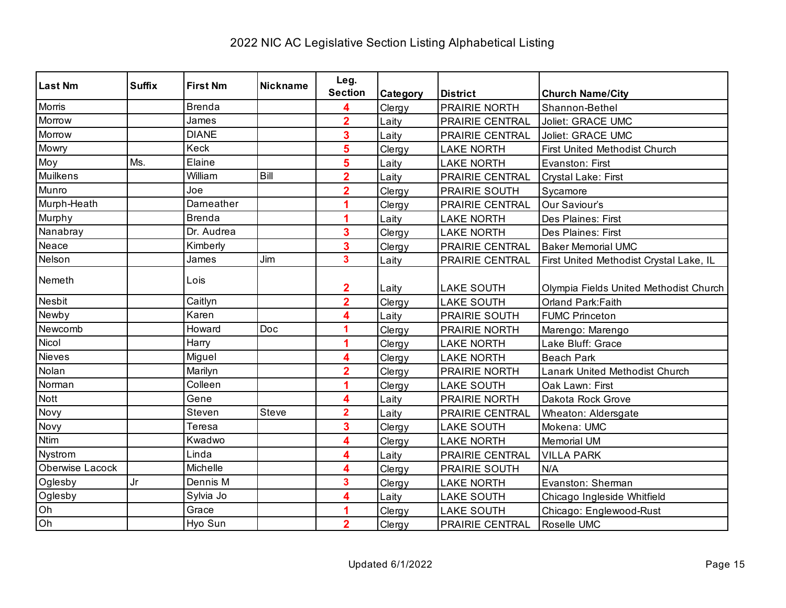| <b>Last Nm</b>  | <b>Suffix</b> | <b>First Nm</b> | <b>Nickname</b> | Leg.                    |          |                        |                                         |
|-----------------|---------------|-----------------|-----------------|-------------------------|----------|------------------------|-----------------------------------------|
|                 |               |                 |                 | <b>Section</b>          | Category | <b>District</b>        | <b>Church Name/City</b>                 |
| Morris          |               | <b>Brenda</b>   |                 | 4                       | Clergy   | <b>PRAIRIE NORTH</b>   | Shannon-Bethel                          |
| Morrow          |               | James           |                 | $\overline{2}$          | Laity    | PRAIRIE CENTRAL        | Joliet: GRACE UMC                       |
| Morrow          |               | <b>DIANE</b>    |                 | 3                       | Laity    | PRAIRIE CENTRAL        | Joliet: GRACE UMC                       |
| Mowry           |               | Keck            |                 | 5                       | Clergy   | <b>LAKE NORTH</b>      | First United Methodist Church           |
| Moy             | Ms.           | Elaine          |                 | 5                       | Laity    | <b>LAKE NORTH</b>      | Evanston: First                         |
| Muilkens        |               | William         | Bill            | $\overline{\mathbf{2}}$ | Laity    | PRAIRIE CENTRAL        | Crystal Lake: First                     |
| Munro           |               | Joe             |                 | $\overline{2}$          | Clergy   | PRAIRIE SOUTH          | Sycamore                                |
| Murph-Heath     |               | Darneather      |                 |                         | Clergy   | <b>PRAIRIE CENTRAL</b> | Our Saviour's                           |
| Murphy          |               | <b>Brenda</b>   |                 |                         | Laity    | <b>LAKE NORTH</b>      | Des Plaines: First                      |
| Nanabray        |               | Dr. Audrea      |                 | 3                       | Clergy   | <b>LAKE NORTH</b>      | Des Plaines: First                      |
| Neace           |               | Kimberly        |                 | 3                       | Clergy   | PRAIRIE CENTRAL        | <b>Baker Memorial UMC</b>               |
| Nelson          |               | James           | Jim             | 3                       | Laity    | PRAIRIE CENTRAL        | First United Methodist Crystal Lake, IL |
| Nemeth          |               | Lois            |                 |                         |          |                        |                                         |
|                 |               |                 |                 | $\overline{\mathbf{2}}$ | Laity    | <b>LAKE SOUTH</b>      | Olympia Fields United Methodist Church  |
| Nesbit          |               | Caitlyn         |                 | $\overline{2}$          | Clergy   | <b>LAKE SOUTH</b>      | Orland Park: Faith                      |
| Newby           |               | Karen           |                 | 4                       | Laity    | PRAIRIE SOUTH          | <b>FUMC Princeton</b>                   |
| Newcomb         |               | Howard          | Doc             | 1                       | Clergy   | PRAIRIE NORTH          | Marengo: Marengo                        |
| Nicol           |               | Harry           |                 | 1                       | Clergy   | <b>LAKE NORTH</b>      | Lake Bluff: Grace                       |
| Nieves          |               | Miguel          |                 | 4                       | Clergy   | <b>LAKE NORTH</b>      | <b>Beach Park</b>                       |
| Nolan           |               | Marilyn         |                 | $\overline{2}$          | Clergy   | PRAIRIE NORTH          | Lanark United Methodist Church          |
| Norman          |               | Colleen         |                 |                         | Clergy   | <b>LAKE SOUTH</b>      | Oak Lawn: First                         |
| Nott            |               | Gene            |                 | 4                       | Laity    | PRAIRIE NORTH          | Dakota Rock Grove                       |
| Novy            |               | Steven          | Steve           | $\overline{2}$          | Laity    | <b>PRAIRIE CENTRAL</b> | Wheaton: Aldersgate                     |
| Novy            |               | Teresa          |                 | 3                       | Clergy   | <b>LAKE SOUTH</b>      | Mokena: UMC                             |
| <b>Ntim</b>     |               | Kwadwo          |                 | 4                       | Clergy   | <b>LAKE NORTH</b>      | <b>Memorial UM</b>                      |
| Nystrom         |               | Linda           |                 | 4                       | Laity    | PRAIRIE CENTRAL        | <b>VILLA PARK</b>                       |
| Oberwise Lacock |               | Michelle        |                 | 4                       | Clergy   | <b>PRAIRIE SOUTH</b>   | N/A                                     |
| Oglesby         | Jr            | Dennis M        |                 | 3                       | Clergy   | <b>LAKE NORTH</b>      | Evanston: Sherman                       |
| Oglesby         |               | Sylvia Jo       |                 | 4                       | Laity    | <b>LAKE SOUTH</b>      | Chicago Ingleside Whitfield             |
| Oh              |               | Grace           |                 |                         | Clergy   | <b>LAKE SOUTH</b>      | Chicago: Englewood-Rust                 |
| Oh              |               | Hyo Sun         |                 | $\overline{\mathbf{2}}$ | Clergy   | PRAIRIE CENTRAL        | Roselle UMC                             |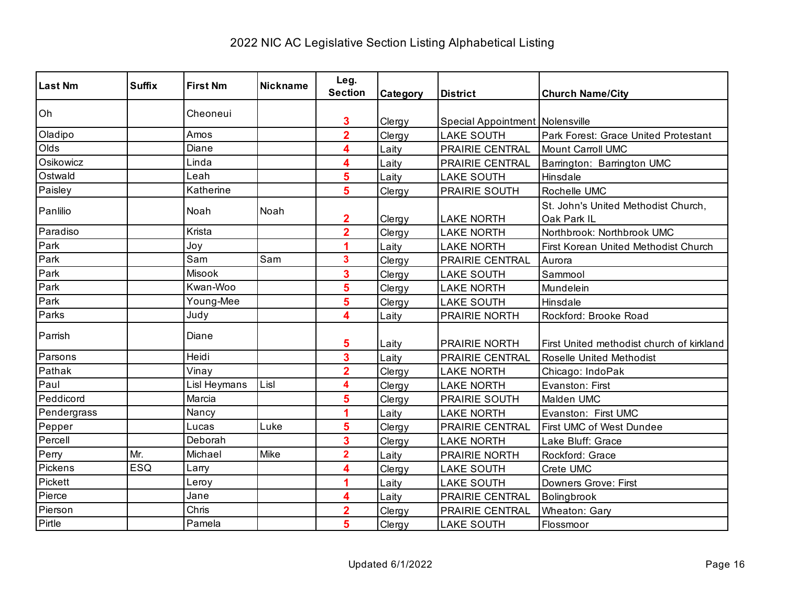| <b>Last Nm</b> | <b>Suffix</b> | <b>First Nm</b> | <b>Nickname</b> | Leg.<br><b>Section</b>  | Category | <b>District</b>                   | <b>Church Name/City</b>                            |
|----------------|---------------|-----------------|-----------------|-------------------------|----------|-----------------------------------|----------------------------------------------------|
| Oh             |               | Cheoneui        |                 | 3                       | Clergy   | Special Appointment   Nolensville |                                                    |
| Oladipo        |               | Amos            |                 | $\overline{\mathbf{2}}$ | Clergy   | <b>LAKE SOUTH</b>                 | Park Forest: Grace United Protestant               |
| Olds           |               | Diane           |                 | 4                       | Laity    | PRAIRIE CENTRAL                   | <b>Mount Carroll UMC</b>                           |
| Osikowicz      |               | Linda           |                 | 4                       | Laity    | PRAIRIE CENTRAL                   | Barrington: Barrington UMC                         |
| Ostwald        |               | Leah            |                 | 5                       | Laity    | <b>LAKE SOUTH</b>                 | Hinsdale                                           |
| Paisley        |               | Katherine       |                 | 5                       | Clergy   | PRAIRIE SOUTH                     | Rochelle UMC                                       |
| Panlilio       |               | Noah            | Noah            | $\mathbf 2$             | Clergy   | <b>LAKE NORTH</b>                 | St. John's United Methodist Church,<br>Oak Park IL |
| Paradiso       |               | Krista          |                 | $\overline{2}$          | Clergy   | <b>LAKE NORTH</b>                 | Northbrook: Northbrook UMC                         |
| Park           |               | Joy             |                 | 1                       | Laity    | <b>LAKE NORTH</b>                 | First Korean United Methodist Church               |
| Park           |               | Sam             | Sam             | 3                       | Clergy   | <b>PRAIRIE CENTRAL</b>            | Aurora                                             |
| Park           |               | Misook          |                 | 3                       | Clergy   | <b>LAKE SOUTH</b>                 | Sammool                                            |
| Park           |               | Kwan-Woo        |                 | 5                       | Clergy   | <b>LAKE NORTH</b>                 | Mundelein                                          |
| Park           |               | Young-Mee       |                 | 5                       | Clergy   | <b>LAKE SOUTH</b>                 | Hinsdale                                           |
| Parks          |               | Judy            |                 | 4                       | Laity    | PRAIRIE NORTH                     | Rockford: Brooke Road                              |
| Parrish        |               | Diane           |                 | 5                       | Laity    | <b>PRAIRIE NORTH</b>              | First United methodist church of kirkland          |
| Parsons        |               | Heidi           |                 | 3                       | Laitv    | PRAIRIE CENTRAL                   | <b>Roselle United Methodist</b>                    |
| Pathak         |               | Vinay           |                 | $\overline{\mathbf{2}}$ | Clergy   | <b>LAKE NORTH</b>                 | Chicago: IndoPak                                   |
| Paul           |               | Lisl Heymans    | Lisl            | 4                       | Clergy   | <b>LAKE NORTH</b>                 | Evanston: First                                    |
| Peddicord      |               | Marcia          |                 | 5                       | Clergy   | PRAIRIE SOUTH                     | Malden UMC                                         |
| Pendergrass    |               | Nancy           |                 | 1                       | Laity    | <b>LAKE NORTH</b>                 | Evanston: First UMC                                |
| Pepper         |               | Lucas           | Luke            | 5                       | Clergy   | PRAIRIE CENTRAL                   | First UMC of West Dundee                           |
| Percell        |               | Deborah         |                 | 3                       | Clergy   | <b>LAKE NORTH</b>                 | Lake Bluff: Grace                                  |
| Perry          | Mr.           | Michael         | Mike            | $\overline{2}$          | Laity    | PRAIRIE NORTH                     | Rockford: Grace                                    |
| Pickens        | <b>ESQ</b>    | Larry           |                 | 4                       | Clergy   | <b>LAKE SOUTH</b>                 | Crete UMC                                          |
| Pickett        |               | Leroy           |                 | 1                       | Laity    | <b>LAKE SOUTH</b>                 | Downers Grove: First                               |
| Pierce         |               | Jane            |                 | 4                       | Laity    | PRAIRIE CENTRAL                   | Bolingbrook                                        |
| Pierson        |               | Chris           |                 | $\overline{2}$          | Clergy   | PRAIRIE CENTRAL                   | Wheaton: Gary                                      |
| Pirtle         |               | Pamela          |                 | 5                       | Clergy   | <b>LAKE SOUTH</b>                 | Flossmoor                                          |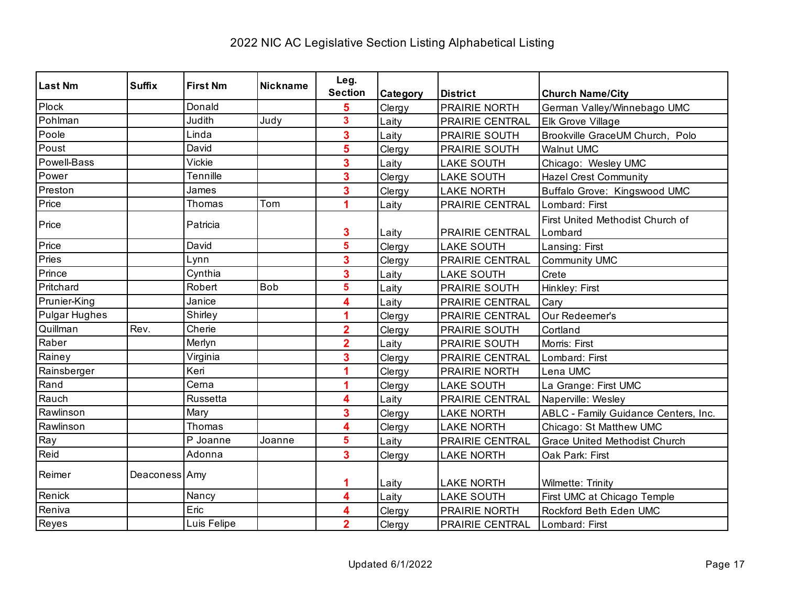| Last Nm              | <b>Suffix</b> | <b>First Nm</b> | <b>Nickname</b> | Leg.                    |          |                   |                                      |
|----------------------|---------------|-----------------|-----------------|-------------------------|----------|-------------------|--------------------------------------|
|                      |               |                 |                 | <b>Section</b>          | Category | <b>District</b>   | <b>Church Name/City</b>              |
| Plock                |               | Donald          |                 | 5                       | Clergy   | PRAIRIE NORTH     | German Valley/Winnebago UMC          |
| Pohlman              |               | Judith          | Judy            | 3                       | Laity    | PRAIRIE CENTRAL   | <b>Elk Grove Village</b>             |
| Poole                |               | Linda           |                 | 3                       | Laity    | PRAIRIE SOUTH     | Brookville GraceUM Church, Polo      |
| Poust                |               | David           |                 | 5                       | Clergy   | PRAIRIE SOUTH     | <b>Walnut UMC</b>                    |
| Powell-Bass          |               | Vickie          |                 | 3                       | Laity    | <b>LAKE SOUTH</b> | Chicago: Wesley UMC                  |
| Power                |               | Tennille        |                 | 3                       | Clergy   | <b>LAKE SOUTH</b> | <b>Hazel Crest Community</b>         |
| Preston              |               | James           |                 | 3                       | Clergy   | <b>LAKE NORTH</b> | Buffalo Grove: Kingswood UMC         |
| Price                |               | Thomas          | Tom             | 1                       | Laity    | PRAIRIE CENTRAL   | Lombard: First                       |
| Price                |               | Patricia        |                 |                         |          |                   | First United Methodist Church of     |
|                      |               |                 |                 | 3                       | Laity    | PRAIRIE CENTRAL   | Lombard                              |
| Price                |               | David           |                 | 5                       | Clergy   | <b>LAKE SOUTH</b> | Lansing: First                       |
| Pries                |               | Lynn            |                 | 3                       | Clergy   | PRAIRIE CENTRAL   | <b>Community UMC</b>                 |
| Prince               |               | Cynthia         |                 | 3                       | Laity    | <b>LAKE SOUTH</b> | Crete                                |
| Pritchard            |               | Robert          | <b>Bob</b>      | 5                       | Laity    | PRAIRIE SOUTH     | Hinkley: First                       |
| Prunier-King         |               | Janice          |                 | 4                       | Laity    | PRAIRIE CENTRAL   | Cary                                 |
| <b>Pulgar Hughes</b> |               | Shirley         |                 | 1                       | Clergy   | PRAIRIE CENTRAL   | Our Redeemer's                       |
| Quillman             | Rev.          | Cherie          |                 | $\overline{2}$          | Clergy   | PRAIRIE SOUTH     | Cortland                             |
| Raber                |               | Merlyn          |                 | $\overline{2}$          | Laity    | PRAIRIE SOUTH     | Morris: First                        |
| Rainey               |               | Virginia        |                 | 3                       | Clergy   | PRAIRIE CENTRAL   | Lombard: First                       |
| Rainsberger          |               | Keri            |                 | 1                       | Clergy   | PRAIRIE NORTH     | Lena UMC                             |
| Rand                 |               | Cerna           |                 | 1                       | Clergy   | <b>LAKE SOUTH</b> | La Grange: First UMC                 |
| Rauch                |               | Russetta        |                 | 4                       | Laity    | PRAIRIE CENTRAL   | Naperville: Wesley                   |
| Rawlinson            |               | Mary            |                 | 3                       | Clergy   | <b>LAKE NORTH</b> | ABLC - Family Guidance Centers, Inc. |
| Rawlinson            |               | Thomas          |                 | 4                       | Clergy   | <b>LAKE NORTH</b> | Chicago: St Matthew UMC              |
| Ray                  |               | P Joanne        | Joanne          | 5                       | Laity    | PRAIRIE CENTRAL   | <b>Grace United Methodist Church</b> |
| Reid                 |               | Adonna          |                 | $\overline{\mathbf{3}}$ | Clergy   | <b>LAKE NORTH</b> | Oak Park: First                      |
| Reimer               | Deaconess Amy |                 |                 | 1                       | Laity    | <b>LAKE NORTH</b> | Wilmette: Trinity                    |
| Renick               |               | Nancy           |                 | 4                       | Laity    | <b>LAKE SOUTH</b> | First UMC at Chicago Temple          |
| Reniva               |               | Eric            |                 | 4                       | Clergy   | PRAIRIE NORTH     | Rockford Beth Eden UMC               |
| Reyes                |               | Luis Felipe     |                 | $\overline{\mathbf{2}}$ | Clergy   | PRAIRIE CENTRAL   | Lombard: First                       |
|                      |               |                 |                 |                         |          |                   |                                      |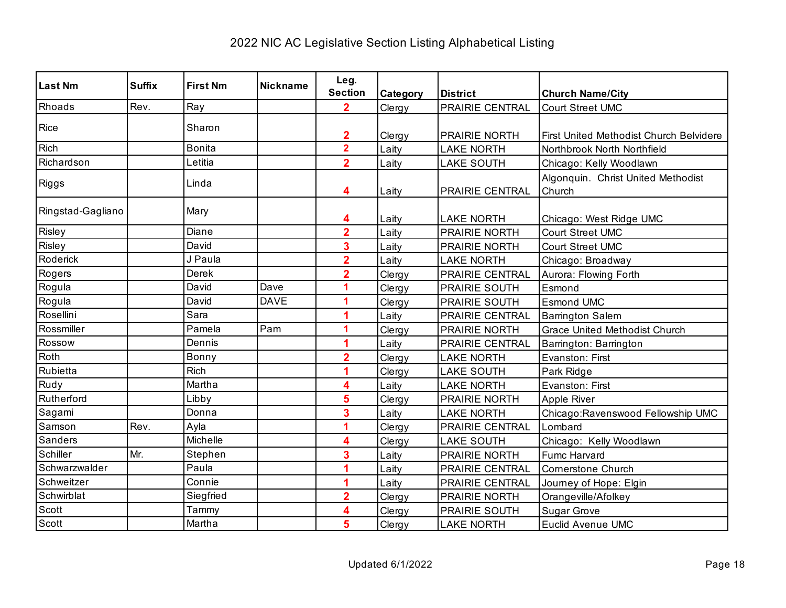| <b>Last Nm</b>    | <b>Suffix</b> | <b>First Nm</b> | <b>Nickname</b> | Leg.                    |                 |                        |                                                |
|-------------------|---------------|-----------------|-----------------|-------------------------|-----------------|------------------------|------------------------------------------------|
|                   |               |                 |                 | <b>Section</b>          | <b>Category</b> | <b>District</b>        | <b>Church Name/City</b>                        |
| Rhoads            | Rev.          | Ray             |                 | $\mathbf{2}$            | Clergy          | <b>PRAIRIE CENTRAL</b> | <b>Court Street UMC</b>                        |
| Rice              |               | Sharon          |                 |                         |                 |                        |                                                |
|                   |               |                 |                 | $\overline{\mathbf{2}}$ | Clergy          | <b>PRAIRIE NORTH</b>   | <b>First United Methodist Church Belvidere</b> |
| <b>Rich</b>       |               | <b>Bonita</b>   |                 | $\overline{\mathbf{2}}$ | Laity           | <b>LAKE NORTH</b>      | Northbrook North Northfield                    |
| Richardson        |               | Letitia         |                 | $\overline{2}$          | Laity           | <b>LAKE SOUTH</b>      | Chicago: Kelly Woodlawn                        |
| Riggs             |               | Linda           |                 |                         |                 |                        | Algonquin. Christ United Methodist             |
|                   |               |                 |                 | 4                       | Laity           | PRAIRIE CENTRAL        | Church                                         |
| Ringstad-Gagliano |               | Mary            |                 | 4                       | Laity           | <b>LAKE NORTH</b>      | Chicago: West Ridge UMC                        |
| Risley            |               | Diane           |                 | $\overline{2}$          | Laity           | PRAIRIE NORTH          | <b>Court Street UMC</b>                        |
| Risley            |               | David           |                 | 3                       | Laity           | PRAIRIE NORTH          | Court Street UMC                               |
| Roderick          |               | J Paula         |                 | $\overline{\mathbf{2}}$ | Laity           | <b>LAKE NORTH</b>      | Chicago: Broadway                              |
| Rogers            |               | Derek           |                 | $\overline{\mathbf{2}}$ | Clergy          | PRAIRIE CENTRAL        | Aurora: Flowing Forth                          |
| Rogula            |               | David           | Dave            | 1                       | Clergy          | <b>PRAIRIE SOUTH</b>   | Esmond                                         |
| Rogula            |               | David           | <b>DAVE</b>     | 1                       | Clergy          | <b>PRAIRIE SOUTH</b>   | <b>Esmond UMC</b>                              |
| Rosellini         |               | Sara            |                 | 1                       | Laity           | PRAIRIE CENTRAL        | <b>Barrington Salem</b>                        |
| Rossmiller        |               | Pamela          | Pam             | 1                       | Clergy          | PRAIRIE NORTH          | <b>Grace United Methodist Church</b>           |
| Rossow            |               | Dennis          |                 | 1                       | Laity           | PRAIRIE CENTRAL        | Barrington: Barrington                         |
| Roth              |               | Bonny           |                 | $\overline{2}$          | Clergy          | <b>LAKE NORTH</b>      | Evanston: First                                |
| Rubietta          |               | Rich            |                 | 1                       | Clergy          | <b>LAKE SOUTH</b>      | Park Ridge                                     |
| Rudy              |               | Martha          |                 | 4                       | Laity           | <b>LAKE NORTH</b>      | Evanston: First                                |
| Rutherford        |               | Libby           |                 | 5                       | Clergy          | PRAIRIE NORTH          | Apple River                                    |
| Sagami            |               | Donna           |                 | 3                       | Laity           | <b>LAKE NORTH</b>      | Chicago: Ravenswood Fellowship UMC             |
| Samson            | Rev.          | Ayla            |                 | 1                       | Clergy          | PRAIRIE CENTRAL        | Lombard                                        |
| Sanders           |               | Michelle        |                 | 4                       | Clergy          | <b>LAKE SOUTH</b>      | Chicago: Kelly Woodlawn                        |
| Schiller          | Mr.           | Stephen         |                 | 3                       | Laity           | PRAIRIE NORTH          | Fumc Harvard                                   |
| Schwarzwalder     |               | Paula           |                 | 1                       | Laity           | PRAIRIE CENTRAL        | <b>Cornerstone Church</b>                      |
| Schweitzer        |               | Connie          |                 | 4                       | Laity           | PRAIRIE CENTRAL        | Journey of Hope: Elgin                         |
| Schwirblat        |               | Siegfried       |                 | $\overline{\mathbf{2}}$ | Clergy          | PRAIRIE NORTH          | Orangeville/Afolkey                            |
| Scott             |               | Tammy           |                 | 4                       | Clergy          | PRAIRIE SOUTH          | <b>Sugar Grove</b>                             |
| Scott             |               | Martha          |                 | 5                       | Clergy          | <b>LAKE NORTH</b>      | <b>Euclid Avenue UMC</b>                       |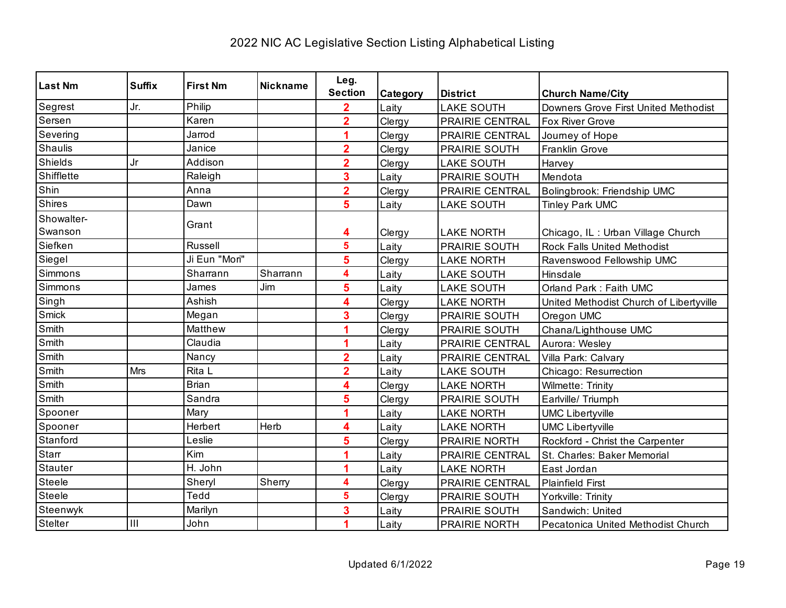| <b>Last Nm</b>               | <b>Suffix</b> | <b>First Nm</b> | <b>Nickname</b> | Leg.                    |          |                   |                                         |
|------------------------------|---------------|-----------------|-----------------|-------------------------|----------|-------------------|-----------------------------------------|
|                              |               |                 |                 | <b>Section</b>          | Category | <b>District</b>   | <b>Church Name/City</b>                 |
| Segrest                      | Jr.           | Philip          |                 | $\overline{2}$          | Laity    | <b>LAKE SOUTH</b> | Downers Grove First United Methodist    |
| Sersen                       |               | Karen           |                 | $\overline{2}$          | Clergy   | PRAIRIE CENTRAL   | <b>Fox River Grove</b>                  |
| Severing                     |               | Jarrod          |                 | 1                       | Clergy   | PRAIRIE CENTRAL   | Journey of Hope                         |
| Shaulis                      |               | Janice          |                 | $\overline{\mathbf{2}}$ | Clergy   | PRAIRIE SOUTH     | Franklin Grove                          |
| Shields                      | Jr            | Addison         |                 | $\overline{\mathbf{2}}$ | Clergy   | <b>LAKE SOUTH</b> | Harvey                                  |
| Shifflette                   |               | Raleigh         |                 | 3                       | Laity    | PRAIRIE SOUTH     | Mendota                                 |
| Shin                         |               | Anna            |                 | $\overline{\mathbf{2}}$ | Clergy   | PRAIRIE CENTRAL   | Bolingbrook: Friendship UMC             |
| Shires                       |               | Dawn            |                 | 5                       | Laity    | <b>LAKE SOUTH</b> | <b>Tinley Park UMC</b>                  |
| Showalter-                   |               | Grant           |                 |                         |          |                   |                                         |
| Swanson                      |               |                 |                 | 4                       | Clergy   | <b>LAKE NORTH</b> | Chicago, IL: Urban Village Church       |
| Siefken                      |               | <b>Russell</b>  |                 | 5                       | Laity    | PRAIRIE SOUTH     | Rock Falls United Methodist             |
| Siegel                       |               | Ji Eun "Mori"   |                 | 5                       | Clergy   | <b>LAKE NORTH</b> | Ravenswood Fellowship UMC               |
| Simmons                      |               | Sharrann        | Sharrann        | 4                       | Laity    | <b>LAKE SOUTH</b> | Hinsdale                                |
| Simmons                      |               | James           | Jim             | 5                       | Laity    | <b>LAKE SOUTH</b> | Orland Park: Faith UMC                  |
| Singh                        |               | Ashish          |                 | 4                       | Clergy   | <b>LAKE NORTH</b> | United Methodist Church of Libertyville |
| Smick                        |               | Megan           |                 | 3                       | Clergy   | PRAIRIE SOUTH     | Oregon UMC                              |
| Smith                        |               | Matthew         |                 | 1                       | Clergy   | PRAIRIE SOUTH     | Chana/Lighthouse UMC                    |
| Smith                        |               | Claudia         |                 | 1                       | Laity    | PRAIRIE CENTRAL   | Aurora: Wesley                          |
| Smith                        |               | Nancy           |                 | $\overline{2}$          | Laity    | PRAIRIE CENTRAL   | Villa Park: Calvary                     |
| $\overline{\mathsf{S}}$ mith | Mrs           | Rita L          |                 | $\overline{\mathbf{2}}$ | Laity    | <b>LAKE SOUTH</b> | Chicago: Resurrection                   |
| Smith                        |               | <b>Brian</b>    |                 | 4                       | Clergy   | <b>LAKE NORTH</b> | Wilmette: Trinity                       |
| Smith                        |               | Sandra          |                 | 5                       | Clergy   | PRAIRIE SOUTH     | Earlville/ Triumph                      |
| Spooner                      |               | Mary            |                 | 1                       | Laity    | <b>LAKE NORTH</b> | <b>UMC Libertyville</b>                 |
| Spooner                      |               | Herbert         | Herb            | 4                       | Laity    | <b>LAKE NORTH</b> | <b>UMC Libertyville</b>                 |
| Stanford                     |               | Leslie          |                 | 5                       | Clergy   | PRAIRIE NORTH     | Rockford - Christ the Carpenter         |
| Starr                        |               | Kim             |                 |                         | Laity    | PRAIRIE CENTRAL   | St. Charles: Baker Memorial             |
| <b>Stauter</b>               |               | H. John         |                 | 1                       | Laity    | <b>LAKE NORTH</b> | East Jordan                             |
| Steele                       |               | Sheryl          | Sherry          | 4                       | Clergy   | PRAIRIE CENTRAL   | <b>Plainfield First</b>                 |
| Steele                       |               | Tedd            |                 | 5                       | Clergy   | PRAIRIE SOUTH     | Yorkville: Trinity                      |
| Steenwyk                     |               | Marilyn         |                 | 3                       | Laity    | PRAIRIE SOUTH     | Sandwich: United                        |
| Stelter                      | III           | John            |                 | 1                       | Laity    | PRAIRIE NORTH     | Pecatonica United Methodist Church      |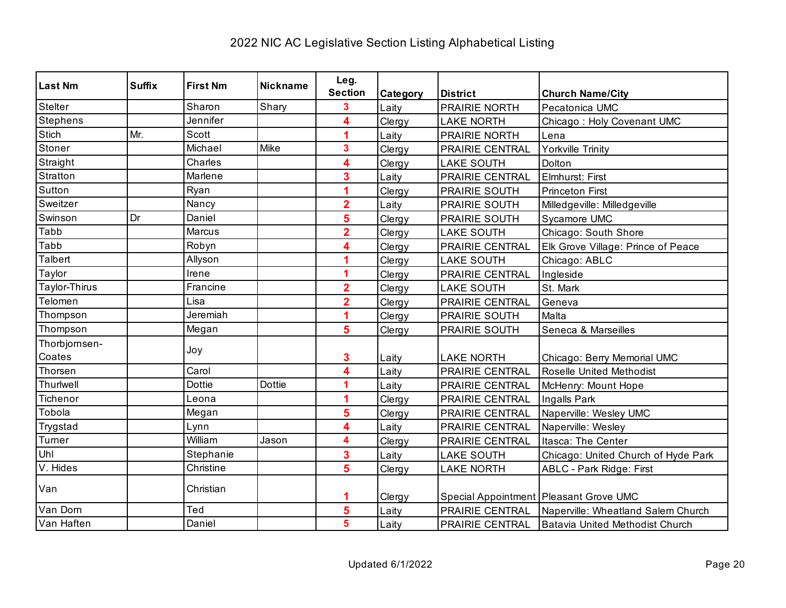| <b>Last Nm</b>  | <b>Suffix</b> | <b>First Nm</b> | <b>Nickname</b> | Leg.                    |          |                        |                                        |
|-----------------|---------------|-----------------|-----------------|-------------------------|----------|------------------------|----------------------------------------|
|                 |               |                 |                 | <b>Section</b>          | Category | <b>District</b>        | <b>Church Name/City</b>                |
| Stelter         |               | Sharon          | Shary           | 3                       | Laity    | PRAIRIE NORTH          | Pecatonica UMC                         |
| <b>Stephens</b> |               | Jennifer        |                 | 4                       | Clergy   | <b>LAKE NORTH</b>      | Chicago: Holy Covenant UMC             |
| Stich           | Mr.           | Scott           |                 | 1                       | Laity    | PRAIRIE NORTH          | Lena                                   |
| Stoner          |               | Michael         | Mike            | 3                       | Clergy   | PRAIRIE CENTRAL        | <b>Yorkville Trinity</b>               |
| Straight        |               | Charles         |                 | 4                       | Clergy   | <b>LAKE SOUTH</b>      | Dolton                                 |
| Stratton        |               | Marlene         |                 | 3                       | Laity    | PRAIRIE CENTRAL        | Elmhurst: First                        |
| Sutton          |               | Ryan            |                 |                         | Clergy   | PRAIRIE SOUTH          | <b>Princeton First</b>                 |
| Sweitzer        |               | Nancy           |                 | $\overline{2}$          | Laity    | PRAIRIE SOUTH          | Milledgeville: Milledgeville           |
| Swinson         | Dr            | Daniel          |                 | 5                       | Clergy   | PRAIRIE SOUTH          | Sycamore UMC                           |
| Tabb            |               | Marcus          |                 | $\overline{2}$          | Clergy   | <b>LAKE SOUTH</b>      | Chicago: South Shore                   |
| Tabb            |               | Robyn           |                 | 4                       | Clergy   | PRAIRIE CENTRAL        | Elk Grove Village: Prince of Peace     |
| Talbert         |               | Allyson         |                 |                         | Clergy   | <b>LAKE SOUTH</b>      | Chicago: ABLC                          |
| Taylor          |               | Irene           |                 | 1                       | Clergy   | PRAIRIE CENTRAL        | Ingleside                              |
| Taylor-Thirus   |               | Francine        |                 | $\overline{2}$          | Clergy   | <b>LAKE SOUTH</b>      | St. Mark                               |
| Telomen         |               | Lisa            |                 | $\overline{\mathbf{2}}$ | Clergy   | PRAIRIE CENTRAL        | Geneva                                 |
| Thompson        |               | Jeremiah        |                 | 1                       | Clergy   | PRAIRIE SOUTH          | Malta                                  |
| Thompson        |               | Megan           |                 | 5                       | Clergy   | PRAIRIE SOUTH          | Seneca & Marseilles                    |
| Thorbjornsen-   |               | Joy             |                 |                         |          |                        |                                        |
| Coates          |               |                 |                 | 3                       | Laity    | <b>LAKE NORTH</b>      | Chicago: Berry Memorial UMC            |
| Thorsen         |               | Carol           |                 | 4                       | Laity    | PRAIRIE CENTRAL        | Roselle United Methodist               |
| Thurlwell       |               | <b>Dottie</b>   | <b>Dottie</b>   | 1                       | Laity    | PRAIRIE CENTRAL        | McHenry: Mount Hope                    |
| Tichenor        |               | Leona           |                 | 1                       | Clergy   | PRAIRIE CENTRAL        | Ingalls Park                           |
| Tobola          |               | Megan           |                 | 5                       | Clergy   | <b>PRAIRIE CENTRAL</b> | Naperville: Wesley UMC                 |
| Trygstad        |               | Lynn            |                 | 4                       | Laity    | PRAIRIE CENTRAL        | Naperville: Wesley                     |
| Turner          |               | William         | Jason           | 4                       | Clergy   | PRAIRIE CENTRAL        | Itasca: The Center                     |
| Uhl             |               | Stephanie       |                 | 3                       | Laity    | <b>LAKE SOUTH</b>      | Chicago: United Church of Hyde Park    |
| V. Hides        |               | Christine       |                 | 5                       | Clergy   | <b>LAKE NORTH</b>      | <b>ABLC - Park Ridge: First</b>        |
| Van             |               | Christian       |                 | 1                       | Clergy   |                        | Special Appointment Pleasant Grove UMC |
| Van Dorn        |               | Ted             |                 | 5                       | Laity    | PRAIRIE CENTRAL        | Naperville: Wheatland Salem Church     |
| Van Haften      |               | Daniel          |                 | 5                       | Laity    | PRAIRIE CENTRAL        | Batavia United Methodist Church        |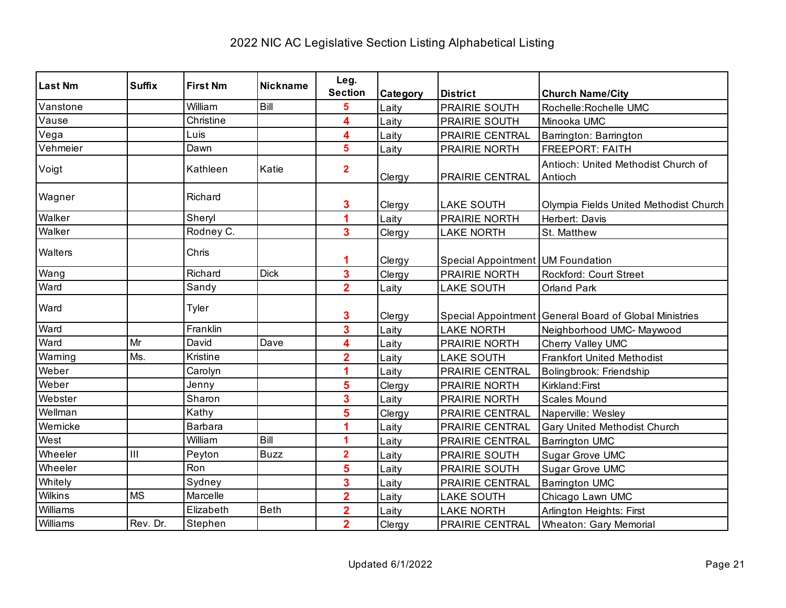| <b>Last Nm</b> | <b>Suffix</b> | <b>First Nm</b> | <b>Nickname</b> | Leg.                    |          |                                   |                                                          |
|----------------|---------------|-----------------|-----------------|-------------------------|----------|-----------------------------------|----------------------------------------------------------|
|                |               |                 |                 | <b>Section</b>          | Category | <b>District</b>                   | <b>Church Name/City</b>                                  |
| Vanstone       |               | William         | Bill            | 5                       | Laity    | PRAIRIE SOUTH                     | Rochelle: Rochelle UMC                                   |
| Vause          |               | Christine       |                 | 4                       | Laity    | PRAIRIE SOUTH                     | Minooka UMC                                              |
| Vega           |               | Luis            |                 | 4                       | Laity    | PRAIRIE CENTRAL                   | Barrington: Barrington                                   |
| Vehmeier       |               | Dawn            |                 | 5                       | Laity    | PRAIRIE NORTH                     | <b>FREEPORT: FAITH</b>                                   |
| Voigt          |               | Kathleen        | Katie           | $\overline{2}$          | Clergy   | PRAIRIE CENTRAL                   | Antioch: United Methodist Church of<br>Antioch           |
| Wagner         |               | Richard         |                 | 3                       | Clergy   | <b>LAKE SOUTH</b>                 | Olympia Fields United Methodist Church                   |
| Walker         |               | Sheryl          |                 | 4                       | Laity    | PRAIRIE NORTH                     | Herbert: Davis                                           |
| Walker         |               | Rodney C.       |                 | $\overline{\mathbf{3}}$ | Clergy   | <b>LAKE NORTH</b>                 | St. Matthew                                              |
| Walters        |               | Chris           |                 | 1                       | Clergy   | Special Appointment UM Foundation |                                                          |
| Wang           |               | Richard         | <b>Dick</b>     | 3                       | Clergy   | PRAIRIE NORTH                     | Rockford: Court Street                                   |
| Ward           |               | Sandy           |                 | $\overline{2}$          | Laity    | <b>LAKE SOUTH</b>                 | <b>Orland Park</b>                                       |
| Ward           |               | Tyler           |                 | 3                       | Clergy   |                                   | Special Appointment   General Board of Global Ministries |
| Ward           |               | Franklin        |                 | 3                       | Laity    | <b>LAKE NORTH</b>                 | Neighborhood UMC- Maywood                                |
| Ward           | Mr            | David           | Dave            | 4                       | Laity    | PRAIRIE NORTH                     | Cherry Valley UMC                                        |
| Warning        | Ms.           | Kristine        |                 | $\overline{\mathbf{2}}$ | Laity    | <b>LAKE SOUTH</b>                 | <b>Frankfort United Methodist</b>                        |
| Weber          |               | Carolyn         |                 |                         | Laity    | PRAIRIE CENTRAL                   | Bolingbrook: Friendship                                  |
| Weber          |               | Jenny           |                 | 5                       | Clergy   | PRAIRIE NORTH                     | Kirkland: First                                          |
| Webster        |               | Sharon          |                 | 3                       | Laity    | PRAIRIE NORTH                     | <b>Scales Mound</b>                                      |
| Wellman        |               | Kathy           |                 | 5                       | Clergy   | PRAIRIE CENTRAL                   | Naperville: Wesley                                       |
| Wernicke       |               | <b>Barbara</b>  |                 |                         | Laity    | PRAIRIE CENTRAL                   | Gary United Methodist Church                             |
| West           |               | William         | Bill            | 1                       | Laity    | PRAIRIE CENTRAL                   | <b>Barrington UMC</b>                                    |
| Wheeler        | III           | Peyton          | <b>Buzz</b>     | $\overline{\mathbf{2}}$ | Laity    | PRAIRIE SOUTH                     | Sugar Grove UMC                                          |
| Wheeler        |               | Ron             |                 | 5                       | Laity    | PRAIRIE SOUTH                     | Sugar Grove UMC                                          |
| Whitely        |               | Sydney          |                 | 3                       | Laity    | PRAIRIE CENTRAL                   | <b>Barrington UMC</b>                                    |
| Wilkins        | <b>MS</b>     | Marcelle        |                 | $\overline{\mathbf{2}}$ | Laity    | <b>LAKE SOUTH</b>                 | Chicago Lawn UMC                                         |
| Williams       |               | Elizabeth       | Beth            | $\overline{2}$          | Laity    | <b>LAKE NORTH</b>                 | Arlington Heights: First                                 |
| Williams       | Rev. Dr.      | Stephen         |                 | $\overline{2}$          | Clergy   | PRAIRIE CENTRAL                   | <b>Wheaton: Gary Memorial</b>                            |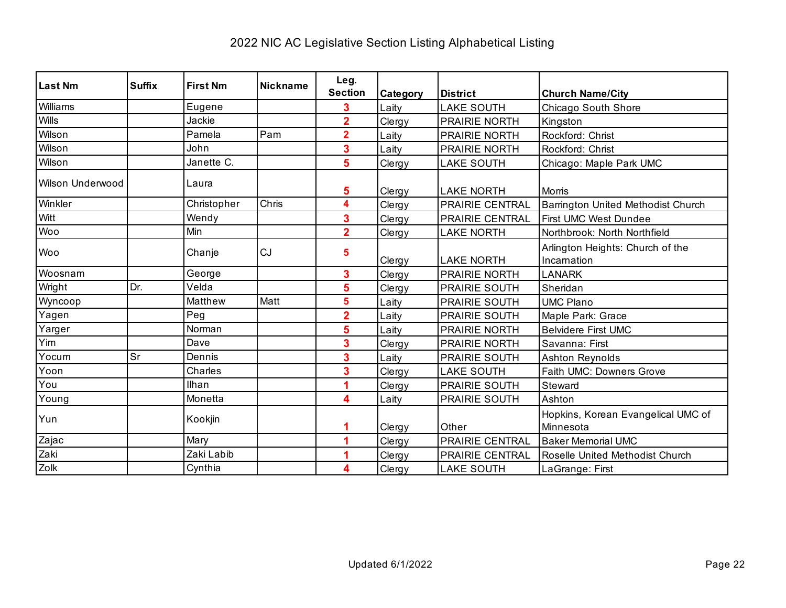| <b>Last Nm</b>          | <b>Suffix</b> | <b>First Nm</b> | <b>Nickname</b> | Leg.<br><b>Section</b> | Category | <b>District</b>      | <b>Church Name/City</b>                         |
|-------------------------|---------------|-----------------|-----------------|------------------------|----------|----------------------|-------------------------------------------------|
| Williams                |               | Eugene          |                 | 3                      | Laity    | <b>LAKE SOUTH</b>    | Chicago South Shore                             |
| <b>Wills</b>            |               | Jackie          |                 | $\overline{2}$         | Clergy   | PRAIRIE NORTH        | Kingston                                        |
| Wilson                  |               | Pamela          | Pam             | $\overline{2}$         | Laity    | PRAIRIE NORTH        | Rockford: Christ                                |
| Wilson                  |               | John            |                 | 3                      | Laity    | PRAIRIE NORTH        | Rockford: Christ                                |
| Wilson                  |               | Janette C.      |                 | 5                      | Clergy   | <b>LAKE SOUTH</b>    | Chicago: Maple Park UMC                         |
| <b>Wilson Underwood</b> |               | Laura           |                 | 5                      | Clergy   | <b>LAKE NORTH</b>    | Morris                                          |
| Winkler                 |               | Christopher     | Chris           | 4                      | Clergy   | PRAIRIE CENTRAL      | Barrington United Methodist Church              |
| Witt                    |               | Wendy           |                 | 3                      | Clergy   | PRAIRIE CENTRAL      | First UMC West Dundee                           |
| Woo                     |               | Min             |                 | $\overline{2}$         | Clergy   | <b>LAKE NORTH</b>    | Northbrook: North Northfield                    |
| Woo                     |               | Chanje          | CJ              | 5                      | Clergy   | <b>LAKE NORTH</b>    | Arlington Heights: Church of the<br>Incarnation |
| Woosnam                 |               | George          |                 | 3                      | Clergy   | <b>PRAIRIE NORTH</b> | <b>LANARK</b>                                   |
| Wright                  | Dr.           | Velda           |                 | 5                      | Clergy   | PRAIRIE SOUTH        | Sheridan                                        |
| Wyncoop                 |               | Matthew         | Matt            | 5                      | Laity    | PRAIRIE SOUTH        | <b>UMC Plano</b>                                |
| Yagen                   |               | Peg             |                 | $\overline{2}$         | Laity    | PRAIRIE SOUTH        | Maple Park: Grace                               |
| Yarger                  |               | Norman          |                 | 5                      | Laity    | PRAIRIE NORTH        | <b>Belvidere First UMC</b>                      |
| Yim                     |               | Dave            |                 | 3                      | Clergy   | PRAIRIE NORTH        | Savanna: First                                  |
| Yocum                   | Sr            | Dennis          |                 | 3                      | Laity    | PRAIRIE SOUTH        | <b>Ashton Reynolds</b>                          |
| Yoon                    |               | Charles         |                 | 3                      | Clergy   | <b>LAKE SOUTH</b>    | Faith UMC: Downers Grove                        |
| You                     |               | Ilhan           |                 |                        | Clergy   | PRAIRIE SOUTH        | Steward                                         |
| Young                   |               | Monetta         |                 | 4                      | Laity    | PRAIRIE SOUTH        | Ashton                                          |
| Yun                     |               | Kookjin         |                 |                        | Clergy   | Other                | Hopkins, Korean Evangelical UMC of<br>Minnesota |
| Zajac                   |               | Mary            |                 |                        | Clergy   | PRAIRIE CENTRAL      | <b>Baker Memorial UMC</b>                       |
| Zaki                    |               | Zaki Labib      |                 |                        | Clergy   | PRAIRIE CENTRAL      | Roselle United Methodist Church                 |
| Zolk                    |               | Cynthia         |                 | 4                      | Clergy   | <b>LAKE SOUTH</b>    | LaGrange: First                                 |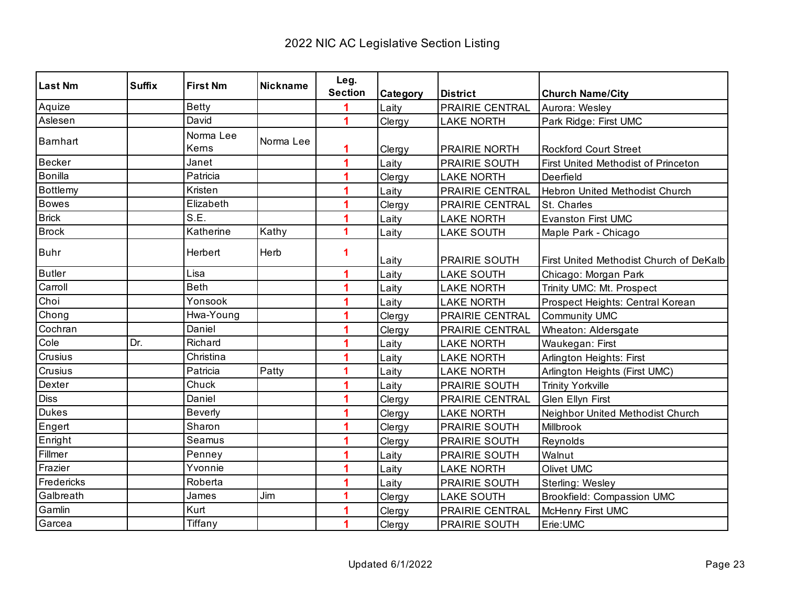| <b>Last Nm</b> | <b>Suffix</b> | <b>First Nm</b>    | <b>Nickname</b> | Leg.<br><b>Section</b> | Category | <b>District</b>        | <b>Church Name/City</b>                    |
|----------------|---------------|--------------------|-----------------|------------------------|----------|------------------------|--------------------------------------------|
| Aquize         |               | <b>Betty</b>       |                 |                        | Laity    | PRAIRIE CENTRAL        | Aurora: Wesley                             |
| Aslesen        |               | David              |                 | 4                      | Clergy   | <b>LAKE NORTH</b>      | Park Ridge: First UMC                      |
| Barnhart       |               | Norma Lee<br>Kerns | Norma Lee       | 1                      | Clergy   | <b>PRAIRIE NORTH</b>   | <b>Rockford Court Street</b>               |
| Becker         |               | Janet              |                 | 1                      | Laity    | PRAIRIE SOUTH          | <b>First United Methodist of Princeton</b> |
| Bonilla        |               | Patricia           |                 |                        | Clergy   | <b>LAKE NORTH</b>      | Deerfield                                  |
| Bottlemy       |               | Kristen            |                 |                        | Laity    | PRAIRIE CENTRAL        | Hebron United Methodist Church             |
| <b>Bowes</b>   |               | Elizabeth          |                 |                        | Clergy   | <b>PRAIRIE CENTRAL</b> | St. Charles                                |
| Brick          |               | S.E.               |                 |                        | Laity    | <b>LAKE NORTH</b>      | <b>Evanston First UMC</b>                  |
| <b>Brock</b>   |               | Katherine          | Kathy           | 1                      | Laity    | <b>LAKE SOUTH</b>      | Maple Park - Chicago                       |
| <b>Buhr</b>    |               | Herbert            | Herb            | 1                      | Laity    | <b>PRAIRIE SOUTH</b>   | First United Methodist Church of DeKalb    |
| <b>Butler</b>  |               | Lisa               |                 | 1                      | Laity    | <b>LAKE SOUTH</b>      | Chicago: Morgan Park                       |
| Carroll        |               | <b>Beth</b>        |                 | 1                      | Laity    | <b>LAKE NORTH</b>      | Trinity UMC: Mt. Prospect                  |
| Choi           |               | Yonsook            |                 |                        | Laity    | <b>LAKE NORTH</b>      | Prospect Heights: Central Korean           |
| Chong          |               | Hwa-Young          |                 | 1                      | Clergy   | PRAIRIE CENTRAL        | Community UMC                              |
| Cochran        |               | Daniel             |                 |                        | Clergy   | PRAIRIE CENTRAL        | Wheaton: Aldersgate                        |
| Cole           | Dr.           | Richard            |                 |                        | Laity    | <b>LAKE NORTH</b>      | Waukegan: First                            |
| Crusius        |               | Christina          |                 |                        | Laity    | <b>LAKE NORTH</b>      | Arlington Heights: First                   |
| Crusius        |               | Patricia           | Patty           | 1                      | Laity    | <b>LAKE NORTH</b>      | Arlington Heights (First UMC)              |
| Dexter         |               | Chuck              |                 |                        | Laity    | PRAIRIE SOUTH          | <b>Trinity Yorkville</b>                   |
| <b>Diss</b>    |               | Daniel             |                 |                        | Clergy   | PRAIRIE CENTRAL        | <b>Glen Ellyn First</b>                    |
| <b>Dukes</b>   |               | <b>Beverly</b>     |                 |                        | Clergy   | <b>LAKE NORTH</b>      | Neighbor United Methodist Church           |
| Engert         |               | Sharon             |                 |                        | Clergy   | PRAIRIE SOUTH          | Millbrook                                  |
| Enright        |               | Seamus             |                 |                        | Clergy   | PRAIRIE SOUTH          | Reynolds                                   |
| Fillmer        |               | Penney             |                 |                        | Laity    | PRAIRIE SOUTH          | Walnut                                     |
| Frazier        |               | Yvonnie            |                 |                        | Laity    | <b>LAKE NORTH</b>      | Olivet UMC                                 |
| Fredericks     |               | Roberta            |                 | 4                      | Laity    | PRAIRIE SOUTH          | Sterling: Wesley                           |
| Galbreath      |               | James              | Jim             | 1                      | Clergy   | <b>LAKE SOUTH</b>      | <b>Brookfield: Compassion UMC</b>          |
| Gamlin         |               | Kurt               |                 |                        | Clergy   | PRAIRIE CENTRAL        | McHenry First UMC                          |
| Garcea         |               | Tiffany            |                 | 1                      | Clergy   | PRAIRIE SOUTH          | Erie:UMC                                   |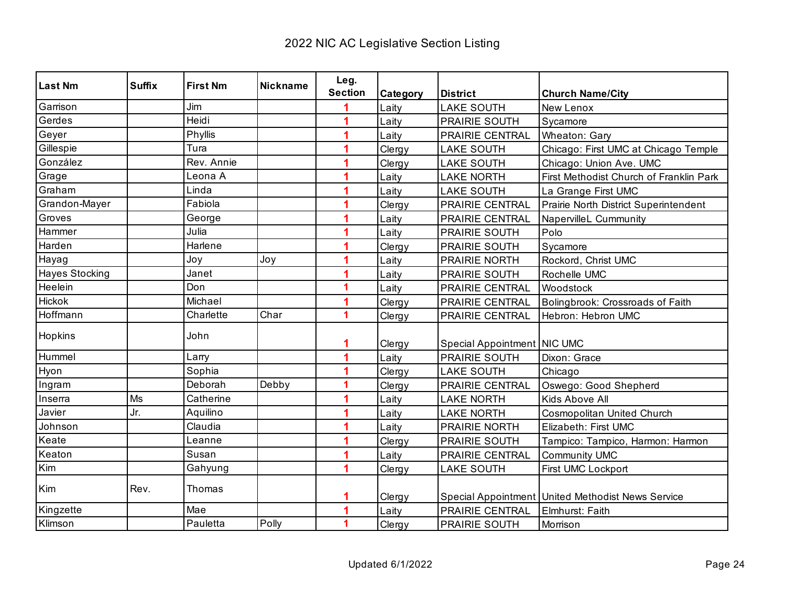| <b>Last Nm</b> | <b>Suffix</b> | <b>First Nm</b> | Nickname | Leg.           |          |                             |                                                     |
|----------------|---------------|-----------------|----------|----------------|----------|-----------------------------|-----------------------------------------------------|
|                |               |                 |          | <b>Section</b> | Category | <b>District</b>             | <b>Church Name/City</b>                             |
| Garrison       |               | Jim             |          |                | Laity    | <b>LAKE SOUTH</b>           | New Lenox                                           |
| Gerdes         |               | Heidi           |          |                | Laity    | PRAIRIE SOUTH               | Sycamore                                            |
| Geyer          |               | Phyllis         |          |                | Laity    | PRAIRIE CENTRAL             | Wheaton: Gary                                       |
| Gillespie      |               | Tura            |          |                | Clergy   | <b>LAKE SOUTH</b>           | Chicago: First UMC at Chicago Temple                |
| González       |               | Rev. Annie      |          |                | Clergy   | <b>LAKE SOUTH</b>           | Chicago: Union Ave. UMC                             |
| Grage          |               | Leona A         |          |                | Laity    | <b>LAKE NORTH</b>           | First Methodist Church of Franklin Park             |
| Graham         |               | Linda           |          |                | Laity    | <b>LAKE SOUTH</b>           | La Grange First UMC                                 |
| Grandon-Mayer  |               | Fabiola         |          | 1              | Clergy   | <b>PRAIRIE CENTRAL</b>      | Prairie North District Superintendent               |
| Groves         |               | George          |          | 1              | Laity    | PRAIRIE CENTRAL             | NapervilleL Cummunity                               |
| Hammer         |               | Julia           |          | 1              | Laity    | PRAIRIE SOUTH               | Polo                                                |
| Harden         |               | Harlene         |          |                | Clergy   | PRAIRIE SOUTH               | Sycamore                                            |
| Hayag          |               | Joy             | Joy      | 1              | Laity    | PRAIRIE NORTH               | Rockord, Christ UMC                                 |
| Hayes Stocking |               | Janet           |          | 1              | Laity    | PRAIRIE SOUTH               | Rochelle UMC                                        |
| Heelein        |               | Don             |          | 1              | Laity    | PRAIRIE CENTRAL             | Woodstock                                           |
| <b>Hickok</b>  |               | Michael         |          |                | Clergy   | <b>PRAIRIE CENTRAL</b>      | Bolingbrook: Crossroads of Faith                    |
| Hoffmann       |               | Charlette       | Char     | 1              | Clergy   | PRAIRIE CENTRAL             | Hebron: Hebron UMC                                  |
| Hopkins        |               | John            |          |                |          |                             |                                                     |
|                |               |                 |          | 1              | Clergy   | Special Appointment NIC UMC |                                                     |
| Hummel         |               | Larry           |          |                | Laity    | <b>PRAIRIE SOUTH</b>        | Dixon: Grace                                        |
| Hyon           |               | Sophia          |          | 1              | Clergy   | <b>LAKE SOUTH</b>           | Chicago                                             |
| Ingram         |               | Deborah         | Debby    | 1              | Clergy   | <b>PRAIRIE CENTRAL</b>      | Oswego: Good Shepherd                               |
| Inserra        | Ms            | Catherine       |          |                | Laity    | <b>LAKE NORTH</b>           | Kids Above All                                      |
| Javier         | Jr.           | Aquilino        |          |                | Laity    | <b>LAKE NORTH</b>           | Cosmopolitan United Church                          |
| Johnson        |               | Claudia         |          |                | Laity    | PRAIRIE NORTH               | Elizabeth: First UMC                                |
| Keate          |               | Leanne          |          |                | Clergy   | <b>PRAIRIE SOUTH</b>        | Tampico: Tampico, Harmon: Harmon                    |
| Keaton         |               | Susan           |          |                | Laity    | PRAIRIE CENTRAL             | <b>Community UMC</b>                                |
| Kim            |               | Gahyung         |          |                | Clergy   | <b>LAKE SOUTH</b>           | First UMC Lockport                                  |
| Kim            | Rev.          | Thomas          |          | 1              | Clergy   |                             | Special Appointment   United Methodist News Service |
| Kingzette      |               | Mae             |          |                | Laity    | PRAIRIE CENTRAL             | Elmhurst: Faith                                     |
| Klimson        |               | Pauletta        | Polly    | 1              | Clergy   | PRAIRIE SOUTH               | Morrison                                            |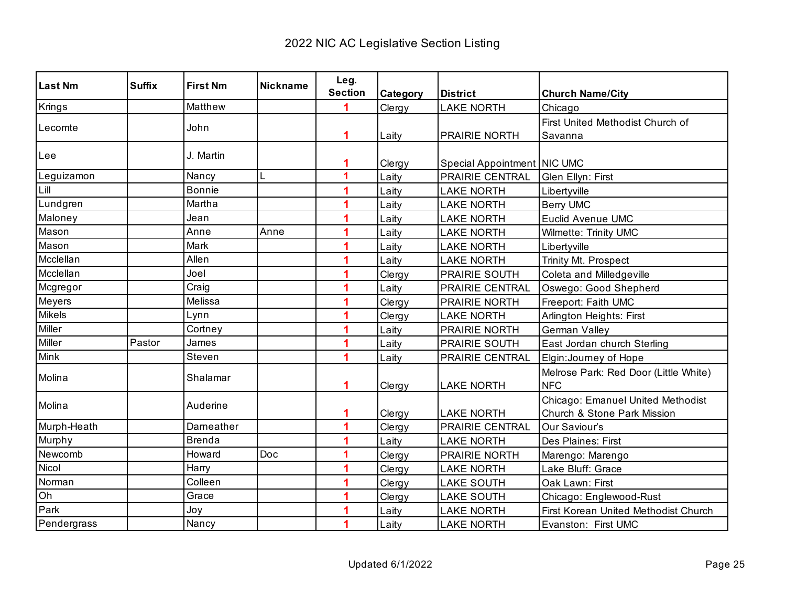| <b>Last Nm</b> | <b>Suffix</b> | <b>First Nm</b> | <b>Nickname</b> | Leg.           |          |                             |                                       |
|----------------|---------------|-----------------|-----------------|----------------|----------|-----------------------------|---------------------------------------|
|                |               |                 |                 | <b>Section</b> | Category | <b>District</b>             | <b>Church Name/City</b>               |
| Krings         |               | Matthew         |                 |                | Clergy   | <b>LAKE NORTH</b>           | Chicago                               |
| Lecomte        |               | John            |                 |                |          |                             | First United Methodist Church of      |
|                |               |                 |                 | 1              | Laity    | PRAIRIE NORTH               | Savanna                               |
| Lee            |               | J. Martin       |                 |                |          |                             |                                       |
|                |               |                 |                 | 1              | Clergy   | Special Appointment NIC UMC |                                       |
| Leguizamon     |               | Nancy           | L               | 1              | Laity    | PRAIRIE CENTRAL             | Glen Ellyn: First                     |
| Lill           |               | <b>Bonnie</b>   |                 |                | Laity    | <b>LAKE NORTH</b>           | Libertyville                          |
| Lundgren       |               | Martha          |                 | 1              | Laity    | <b>LAKE NORTH</b>           | <b>Berry UMC</b>                      |
| Maloney        |               | Jean            |                 |                | Laity    | <b>LAKE NORTH</b>           | <b>Euclid Avenue UMC</b>              |
| Mason          |               | Anne            | Anne            | 1              | Laity    | <b>LAKE NORTH</b>           | Wilmette: Trinity UMC                 |
| Mason          |               | Mark            |                 |                | Laity    | <b>LAKE NORTH</b>           | Libertyville                          |
| Mcclellan      |               | Allen           |                 | 1              | Laity    | <b>LAKE NORTH</b>           | Trinity Mt. Prospect                  |
| Mcclellan      |               | Joel            |                 | 1              | Clergy   | PRAIRIE SOUTH               | Coleta and Milledgeville              |
| Mcgregor       |               | Craig           |                 | 1              | Laity    | PRAIRIE CENTRAL             | Oswego: Good Shepherd                 |
| Meyers         |               | Melissa         |                 | 1              | Clergy   | PRAIRIE NORTH               | Freeport: Faith UMC                   |
| Mikels         |               | Lynn            |                 | 1              | Clergy   | <b>LAKE NORTH</b>           | Arlington Heights: First              |
| Miller         |               | Cortney         |                 | 1              | Laity    | <b>PRAIRIE NORTH</b>        | German Valley                         |
| Miller         | Pastor        | James           |                 |                | Laity    | PRAIRIE SOUTH               | East Jordan church Sterling           |
| Mink           |               | Steven          |                 | 1              | Laity    | PRAIRIE CENTRAL             | Elgin: Journey of Hope                |
| Molina         |               | Shalamar        |                 |                |          |                             | Melrose Park: Red Door (Little White) |
|                |               |                 |                 | 1              | Clergy   | <b>LAKE NORTH</b>           | <b>NFC</b>                            |
| Molina         |               | Auderine        |                 |                |          |                             | Chicago: Emanuel United Methodist     |
|                |               |                 |                 | 1              | Clergy   | <b>LAKE NORTH</b>           | Church & Stone Park Mission           |
| Murph-Heath    |               | Darneather      |                 | 1              | Clergy   | PRAIRIE CENTRAL             | Our Saviour's                         |
| Murphy         |               | <b>Brenda</b>   |                 | 1              | Laity    | <b>LAKE NORTH</b>           | Des Plaines: First                    |
| Newcomb        |               | Howard          | Doc             | 1              | Clergy   | <b>PRAIRIE NORTH</b>        | Marengo: Marengo                      |
| Nicol          |               | Harry           |                 | 1              | Clergy   | <b>LAKE NORTH</b>           | Lake Bluff: Grace                     |
| Norman         |               | Colleen         |                 | 1              | Clergy   | <b>LAKE SOUTH</b>           | Oak Lawn: First                       |
| Oh             |               | Grace           |                 | 1              | Clergy   | <b>LAKE SOUTH</b>           | Chicago: Englewood-Rust               |
| Park           |               | Joy             |                 |                | Laity    | <b>LAKE NORTH</b>           | First Korean United Methodist Church  |
| Pendergrass    |               | Nancy           |                 | 1              | Laity    | <b>LAKE NORTH</b>           | Evanston: First UMC                   |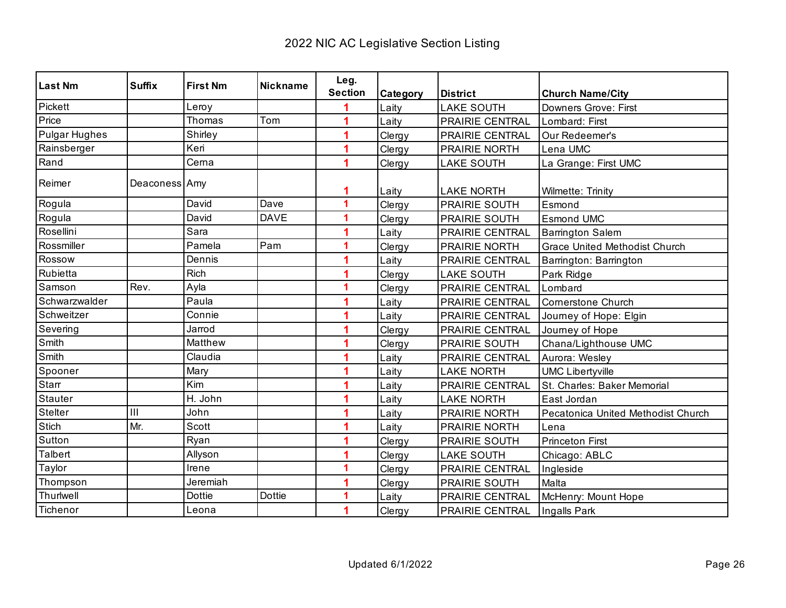| <b>Last Nm</b>       | <b>Suffix</b> | <b>First Nm</b> | <b>Nickname</b> | Leg.           |          |                        |                                      |
|----------------------|---------------|-----------------|-----------------|----------------|----------|------------------------|--------------------------------------|
|                      |               |                 |                 | <b>Section</b> | Category | <b>District</b>        | <b>Church Name/City</b>              |
| Pickett              |               | Leroy           |                 |                | Laity    | <b>LAKE SOUTH</b>      | <b>Downers Grove: First</b>          |
| Price                |               | Thomas          | Tom             |                | Laity    | PRAIRIE CENTRAL        | Lombard: First                       |
| <b>Pulgar Hughes</b> |               | Shirley         |                 |                | Clergy   | <b>PRAIRIE CENTRAL</b> | Our Redeemer's                       |
| Rainsberger          |               | Keri            |                 | 1              | Clergy   | PRAIRIE NORTH          | Lena UMC                             |
| Rand                 |               | Cerna           |                 |                | Clergy   | <b>LAKE SOUTH</b>      | La Grange: First UMC                 |
| Reimer               | Deaconess Amy |                 |                 |                | Laity    | <b>LAKE NORTH</b>      | Wilmette: Trinity                    |
| Rogula               |               | David           | Dave            | 1              | Clergy   | PRAIRIE SOUTH          | Esmond                               |
| Rogula               |               | David           | <b>DAVE</b>     | 1              | Clergy   | <b>PRAIRIE SOUTH</b>   | <b>Esmond UMC</b>                    |
| Rosellini            |               | Sara            |                 | 1              | Laity    | PRAIRIE CENTRAL        | <b>Barrington Salem</b>              |
| Rossmiller           |               | Pamela          | Pam             | 1              | Clergy   | PRAIRIE NORTH          | <b>Grace United Methodist Church</b> |
| Rossow               |               | Dennis          |                 |                | Laity    | PRAIRIE CENTRAL        | Barrington: Barrington               |
| Rubietta             |               | <b>Rich</b>     |                 |                | Clergy   | <b>LAKE SOUTH</b>      | Park Ridge                           |
| Samson               | Rev.          | Ayla            |                 | 1              | Clergy   | PRAIRIE CENTRAL        | Lombard                              |
| Schwarzwalder        |               | Paula           |                 |                | Laity    | PRAIRIE CENTRAL        | <b>Cornerstone Church</b>            |
| Schweitzer           |               | Connie          |                 |                | Laity    | PRAIRIE CENTRAL        | Journey of Hope: Elgin               |
| Severing             |               | Jarrod          |                 |                | Clergy   | PRAIRIE CENTRAL        | Journey of Hope                      |
| Smith                |               | Matthew         |                 |                | Clergy   | PRAIRIE SOUTH          | Chana/Lighthouse UMC                 |
| Smith                |               | Claudia         |                 |                | Laity    | PRAIRIE CENTRAL        | Aurora: Wesley                       |
| Spooner              |               | Mary            |                 |                | Laity    | <b>LAKE NORTH</b>      | <b>UMC Libertyville</b>              |
| Starr                |               | Kim             |                 |                | Laity    | PRAIRIE CENTRAL        | St. Charles: Baker Memorial          |
| <b>Stauter</b>       |               | H. John         |                 |                | Laity    | <b>LAKE NORTH</b>      | East Jordan                          |
| Stelter              | III           | John            |                 |                | Laity    | PRAIRIE NORTH          | Pecatonica United Methodist Church   |
| Stich                | Mr.           | Scott           |                 | 1              | Laity    | PRAIRIE NORTH          | Lena                                 |
| Sutton               |               | Ryan            |                 |                | Clergy   | PRAIRIE SOUTH          | <b>Princeton First</b>               |
| <b>Talbert</b>       |               | Allyson         |                 |                | Clergy   | <b>LAKE SOUTH</b>      | Chicago: ABLC                        |
| Taylor               |               | Irene           |                 | 1              | Clergy   | PRAIRIE CENTRAL        | Ingleside                            |
| Thompson             |               | Jeremiah        |                 |                | Clergy   | <b>PRAIRIE SOUTH</b>   | Malta                                |
| Thurlwell            |               | <b>Dottie</b>   | <b>Dottie</b>   | 1              | Laity    | PRAIRIE CENTRAL        | McHenry: Mount Hope                  |
| Tichenor             |               | Leona           |                 | 1              | Clergy   | PRAIRIE CENTRAL        | Ingalls Park                         |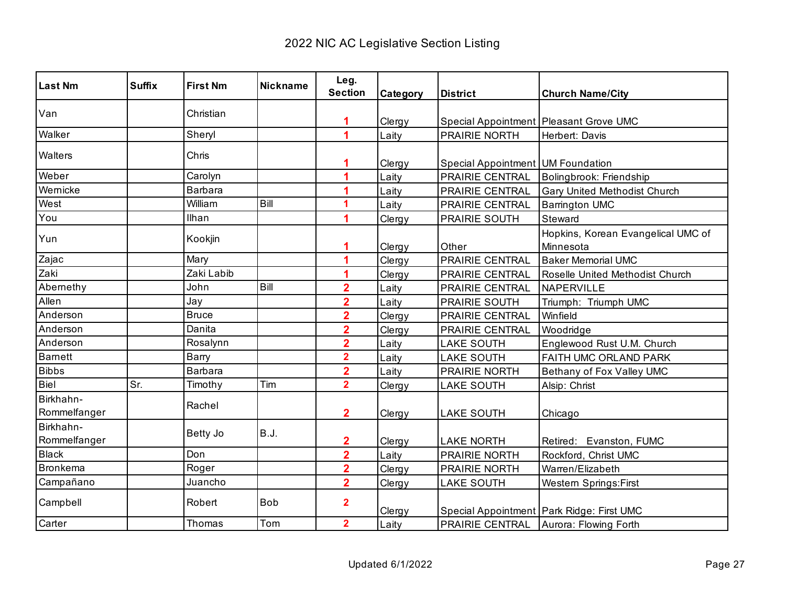| <b>Last Nm</b>            | <b>Suffix</b> | <b>First Nm</b> | <b>Nickname</b> | Leg.                    |          |                                   |                                                 |
|---------------------------|---------------|-----------------|-----------------|-------------------------|----------|-----------------------------------|-------------------------------------------------|
|                           |               |                 |                 | <b>Section</b>          | Category | <b>District</b>                   | <b>Church Name/City</b>                         |
| Van                       |               | Christian       |                 | 1                       | Clergy   |                                   | Special Appointment Pleasant Grove UMC          |
| Walker                    |               | Sheryl          |                 | 1                       | Laity    | PRAIRIE NORTH                     | Herbert: Davis                                  |
| Walters                   |               | Chris           |                 |                         | Clergy   | Special Appointment UM Foundation |                                                 |
| Weber                     |               | Carolyn         |                 | 1                       | Laity    | PRAIRIE CENTRAL                   | Bolingbrook: Friendship                         |
| Wernicke                  |               | <b>Barbara</b>  |                 |                         | Laity    | PRAIRIE CENTRAL                   | Gary United Methodist Church                    |
| West                      |               | William         | Bill            | 1                       | Laity    | PRAIRIE CENTRAL                   | <b>Barrington UMC</b>                           |
| You                       |               | Ilhan           |                 | 1                       | Clergy   | PRAIRIE SOUTH                     | Steward                                         |
| Yun                       |               | Kookjin         |                 | 1                       | Clergy   | Other                             | Hopkins, Korean Evangelical UMC of<br>Minnesota |
| Zajac                     |               | Mary            |                 | 1                       | Clergy   | PRAIRIE CENTRAL                   | <b>Baker Memorial UMC</b>                       |
| Zaki                      |               | Zaki Labib      |                 | 1                       | Clergy   | PRAIRIE CENTRAL                   | Roselle United Methodist Church                 |
| Abernethy                 |               | John            | Bill            | $\overline{\mathbf{2}}$ | Laity    | PRAIRIE CENTRAL                   | NAPERVILLE                                      |
| Allen                     |               | Jay             |                 | $\overline{\mathbf{2}}$ | Laity    | PRAIRIE SOUTH                     | Triumph: Triumph UMC                            |
| Anderson                  |               | <b>Bruce</b>    |                 | $\overline{\mathbf{2}}$ | Clergy   | PRAIRIE CENTRAL                   | Winfield                                        |
| Anderson                  |               | Danita          |                 | $\overline{2}$          | Clergy   | PRAIRIE CENTRAL                   | Woodridge                                       |
| Anderson                  |               | Rosalynn        |                 | $\overline{\mathbf{2}}$ | Laity    | <b>LAKE SOUTH</b>                 | Englewood Rust U.M. Church                      |
| <b>Barnett</b>            |               | Barry           |                 | $\overline{2}$          | Laity    | <b>LAKE SOUTH</b>                 | FAITH UMC ORLAND PARK                           |
| <b>Bibbs</b>              |               | <b>Barbara</b>  |                 | $\overline{2}$          | Laity    | PRAIRIE NORTH                     | Bethany of Fox Valley UMC                       |
| Biel                      | Sr.           | Timothy         | Tim             | $\overline{2}$          | Clergy   | <b>LAKE SOUTH</b>                 | Alsip: Christ                                   |
| Birkhahn-<br>Rommelfanger |               | Rachel          |                 | $\mathbf 2$             | Clergy   | <b>LAKE SOUTH</b>                 | Chicago                                         |
| Birkhahn-<br>Rommelfanger |               | Betty Jo        | <b>B.J.</b>     | 2                       | Clergy   | <b>LAKE NORTH</b>                 | Retired: Evanston, FUMC                         |
| <b>Black</b>              |               | Don             |                 | $\overline{\mathbf{2}}$ | Laity    | PRAIRIE NORTH                     | Rockford, Christ UMC                            |
| <b>Bronkema</b>           |               | Roger           |                 | $\overline{\mathbf{2}}$ | Clergy   | PRAIRIE NORTH                     | Warren/Elizabeth                                |
| Campañano                 |               | Juancho         |                 | $\overline{2}$          | Clergy   | <b>LAKE SOUTH</b>                 | <b>Western Springs:First</b>                    |
| Campbell                  |               | Robert          | <b>Bob</b>      | $\overline{2}$          | Clergy   |                                   | Special Appointment   Park Ridge: First UMC     |
| Carter                    |               | Thomas          | Tom             | $\overline{2}$          | Laity    |                                   | <b>PRAIRIE CENTRAL</b> Aurora: Flowing Forth    |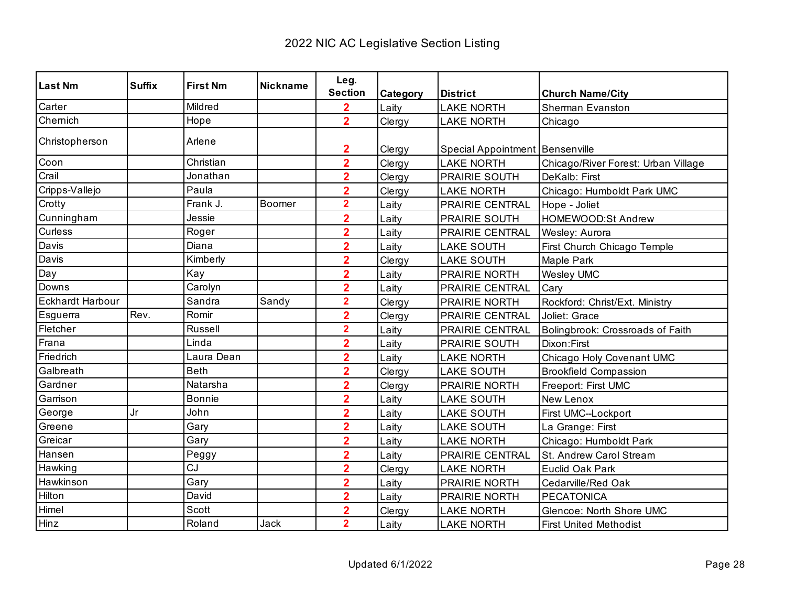| <b>Last Nm</b>          | <b>Suffix</b> | <b>First Nm</b> | <b>Nickname</b> | Leg.                             |          |                                                        |                                     |
|-------------------------|---------------|-----------------|-----------------|----------------------------------|----------|--------------------------------------------------------|-------------------------------------|
|                         |               |                 |                 | <b>Section</b>                   | Category | <b>District</b>                                        | <b>Church Name/City</b>             |
| Carter                  |               | Mildred         |                 | $\overline{2}$                   | Laity    | <b>LAKE NORTH</b>                                      | <b>Sherman Evanston</b>             |
| Chemich                 |               | Hope            |                 | $\overline{2}$                   | Clergy   | <b>LAKE NORTH</b>                                      | Chicago                             |
| Christopherson          |               | Arlene          |                 |                                  |          |                                                        |                                     |
| Coon                    |               | Christian       |                 | 2<br>$\overline{2}$              | Clergy   | Special Appointment   Bensenville<br><b>LAKE NORTH</b> |                                     |
| Crail                   |               | Jonathan        |                 | $\overline{2}$                   | Clergy   |                                                        | Chicago/River Forest: Urban Village |
|                         |               | Paula           |                 |                                  | Clergy   | PRAIRIE SOUTH                                          | DeKalb: First                       |
| Cripps-Vallejo          |               | Frank J.        | Boomer          | $\overline{2}$<br>$\overline{2}$ | Clergy   | <b>LAKE NORTH</b>                                      | Chicago: Humboldt Park UMC          |
| Crotty                  |               |                 |                 |                                  | Laity    | <b>PRAIRIE CENTRAL</b>                                 | Hope - Joliet                       |
| Cunningham              |               | Jessie          |                 | $\overline{2}$                   | Laity    | PRAIRIE SOUTH                                          | HOMEWOOD:St Andrew                  |
| Curless                 |               | Roger           |                 | $\overline{2}$                   | Laity    | PRAIRIE CENTRAL                                        | Wesley: Aurora                      |
| Davis                   |               | Diana           |                 | $\overline{\mathbf{2}}$          | Laity    | <b>LAKE SOUTH</b>                                      | First Church Chicago Temple         |
| Davis                   |               | Kimberly        |                 | $\overline{2}$                   | Clergy   | <b>LAKE SOUTH</b>                                      | Maple Park                          |
| Day                     |               | Kay             |                 | $\overline{\mathbf{2}}$          | Laity    | PRAIRIE NORTH                                          | <b>Wesley UMC</b>                   |
| Downs                   |               | Carolyn         |                 | $\overline{2}$                   | Laity    | PRAIRIE CENTRAL                                        | Cary                                |
| <b>Eckhardt Harbour</b> |               | Sandra          | Sandy           | $\overline{\mathbf{2}}$          | Clergy   | PRAIRIE NORTH                                          | Rockford: Christ/Ext. Ministry      |
| Esguerra                | Rev.          | Romir           |                 | $\overline{2}$                   | Clergy   | PRAIRIE CENTRAL                                        | Joliet: Grace                       |
| Fletcher                |               | Russell         |                 | $\overline{\mathbf{2}}$          | Laity    | PRAIRIE CENTRAL                                        | Bolingbrook: Crossroads of Faith    |
| Frana                   |               | Linda           |                 | $\overline{\mathbf{2}}$          | Laity    | PRAIRIE SOUTH                                          | Dixon: First                        |
| Friedrich               |               | Laura Dean      |                 | $\overline{\mathbf{2}}$          | Laity    | <b>LAKE NORTH</b>                                      | Chicago Holy Covenant UMC           |
| Galbreath               |               | <b>Beth</b>     |                 | $\overline{2}$                   | Clergy   | <b>LAKE SOUTH</b>                                      | <b>Brookfield Compassion</b>        |
| Gardner                 |               | Natarsha        |                 | $\overline{2}$                   | Clergy   | PRAIRIE NORTH                                          | Freeport: First UMC                 |
| Garrison                |               | <b>Bonnie</b>   |                 | $\overline{2}$                   | Laity    | <b>LAKE SOUTH</b>                                      | <b>New Lenox</b>                    |
| George                  | Jr            | John            |                 | $\overline{2}$                   | Laity    | <b>LAKE SOUTH</b>                                      | First UMC--Lockport                 |
| Greene                  |               | Gary            |                 | $\overline{2}$                   | Laity    | <b>LAKE SOUTH</b>                                      | La Grange: First                    |
| Greicar                 |               | Gary            |                 | $\overline{2}$                   | Laity    | <b>LAKE NORTH</b>                                      | Chicago: Humboldt Park              |
| Hansen                  |               | Peggy           |                 | $\overline{2}$                   | Laity    | PRAIRIE CENTRAL                                        | St. Andrew Carol Stream             |
| Hawking                 |               | CJ              |                 | $\overline{\mathbf{2}}$          | Clergy   | <b>LAKE NORTH</b>                                      | Euclid Oak Park                     |
| Hawkinson               |               | Gary            |                 | $\overline{\mathbf{2}}$          | Laity    | PRAIRIE NORTH                                          | Cedarville/Red Oak                  |
| Hilton                  |               | David           |                 | $\overline{2}$                   | Laity    | PRAIRIE NORTH                                          | <b>PECATONICA</b>                   |
| Himel                   |               | Scott           |                 | $\overline{2}$                   | Clergy   | <b>LAKE NORTH</b>                                      | Glencoe: North Shore UMC            |
| Hinz                    |               | Roland          | Jack            | $\overline{2}$                   | Laity    | <b>LAKE NORTH</b>                                      | <b>First United Methodist</b>       |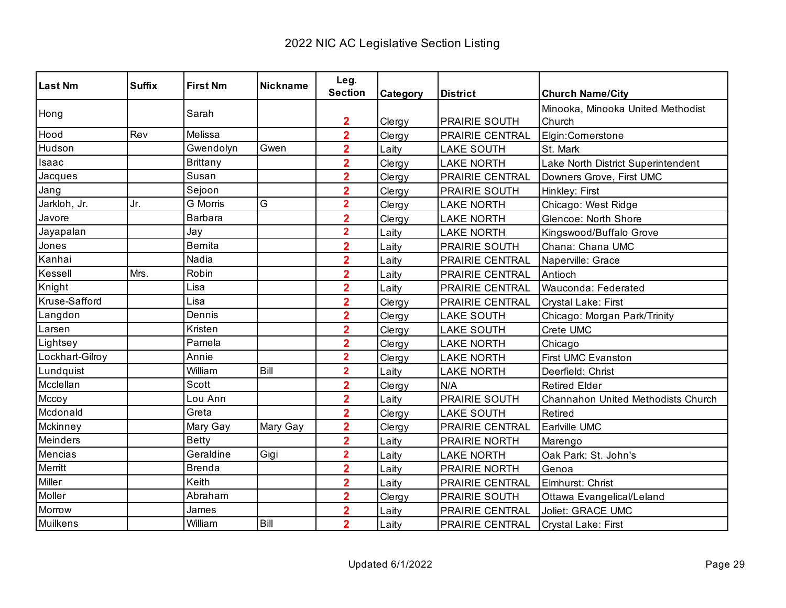| <b>Last Nm</b>  | <b>Suffix</b> | <b>First Nm</b> | <b>Nickname</b> | Leg.                    |          |                      |                                    |
|-----------------|---------------|-----------------|-----------------|-------------------------|----------|----------------------|------------------------------------|
|                 |               |                 |                 | <b>Section</b>          | Category | <b>District</b>      | <b>Church Name/City</b>            |
| Hong            |               | Sarah           |                 |                         |          |                      | Minooka, Minooka United Methodist  |
|                 |               |                 |                 | 2                       | Clergy   | <b>PRAIRIE SOUTH</b> | Church                             |
| Hood            | Rev           | Melissa         |                 | $\overline{2}$          | Clergy   | PRAIRIE CENTRAL      | Elgin:Cornerstone                  |
| Hudson          |               | Gwendolyn       | Gwen            | $\overline{2}$          | Laity    | <b>LAKE SOUTH</b>    | St. Mark                           |
| Isaac           |               | <b>Brittany</b> |                 | $\overline{2}$          | Clergy   | <b>LAKE NORTH</b>    | Lake North District Superintendent |
| Jacques         |               | Susan           |                 | $\overline{2}$          | Clergy   | PRAIRIE CENTRAL      | Downers Grove, First UMC           |
| Jang            |               | Sejoon          |                 | $\overline{\mathbf{2}}$ | Clergy   | PRAIRIE SOUTH        | Hinkley: First                     |
| Jarkloh, Jr.    | Jr.           | <b>G</b> Morris | G               | $\overline{2}$          | Clergy   | <b>LAKE NORTH</b>    | Chicago: West Ridge                |
| Javore          |               | Barbara         |                 | $\overline{\mathbf{2}}$ | Clergy   | <b>LAKE NORTH</b>    | Glencoe: North Shore               |
| Jayapalan       |               | Jay             |                 | $\overline{\mathbf{2}}$ | Laity    | <b>LAKE NORTH</b>    | Kingswood/Buffalo Grove            |
| Jones           |               | <b>Bernita</b>  |                 | $\overline{\mathbf{2}}$ | Laity    | PRAIRIE SOUTH        | Chana: Chana UMC                   |
| Kanhai          |               | Nadia           |                 | $\overline{\mathbf{2}}$ | Laity    | PRAIRIE CENTRAL      | Naperville: Grace                  |
| Kessell         | Mrs.          | Robin           |                 | $\overline{2}$          | Laity    | PRAIRIE CENTRAL      | Antioch                            |
| Knight          |               | Lisa            |                 | $\overline{2}$          | Laity    | PRAIRIE CENTRAL      | Wauconda: Federated                |
| Kruse-Safford   |               | Lisa            |                 | $\overline{\mathbf{2}}$ | Clergy   | PRAIRIE CENTRAL      | Crystal Lake: First                |
| Langdon         |               | Dennis          |                 | $\overline{2}$          | Clergy   | <b>LAKE SOUTH</b>    | Chicago: Morgan Park/Trinity       |
| Larsen          |               | Kristen         |                 | $\overline{2}$          | Clergy   | <b>LAKE SOUTH</b>    | Crete UMC                          |
| Lightsey        |               | Pamela          |                 | $\overline{2}$          | Clergy   | <b>LAKE NORTH</b>    | Chicago                            |
| Lockhart-Gilroy |               | Annie           |                 | $\overline{\mathbf{2}}$ | Clergy   | <b>LAKE NORTH</b>    | <b>First UMC Evanston</b>          |
| Lundquist       |               | William         | Bill            | $\overline{\mathbf{2}}$ | Laity    | <b>LAKE NORTH</b>    | Deerfield: Christ                  |
| Mcclellan       |               | <b>Scott</b>    |                 | $\overline{2}$          | Clergy   | N/A                  | <b>Retired Elder</b>               |
| Mccoy           |               | Lou Ann         |                 | $\overline{2}$          | Laity    | PRAIRIE SOUTH        | Channahon United Methodists Church |
| Mcdonald        |               | Greta           |                 | $\overline{2}$          | Clergy   | <b>LAKE SOUTH</b>    | Retired                            |
| Mckinney        |               | Mary Gay        | Mary Gay        | $\overline{2}$          | Clergy   | PRAIRIE CENTRAL      | Earlville UMC                      |
| Meinders        |               | <b>Betty</b>    |                 | $\overline{2}$          | Laity    | PRAIRIE NORTH        | Marengo                            |
| Mencias         |               | Geraldine       | Gigi            | $\overline{\mathbf{2}}$ | Laity    | <b>LAKE NORTH</b>    | Oak Park: St. John's               |
| Merritt         |               | <b>Brenda</b>   |                 | $\overline{\mathbf{2}}$ | Laity    | PRAIRIE NORTH        | Genoa                              |
| Miller          |               | Keith           |                 | $\overline{\mathbf{2}}$ | Laity    | PRAIRIE CENTRAL      | Elmhurst: Christ                   |
| Moller          |               | Abraham         |                 | $\overline{\mathbf{2}}$ | Clergy   | PRAIRIE SOUTH        | Ottawa Evangelical/Leland          |
| Morrow          |               | James           |                 | $\overline{\mathbf{2}}$ | Laity    | PRAIRIE CENTRAL      | Joliet: GRACE UMC                  |
| Muilkens        |               | William         | Bill            | $\overline{2}$          | Laity    | PRAIRIE CENTRAL      | Crystal Lake: First                |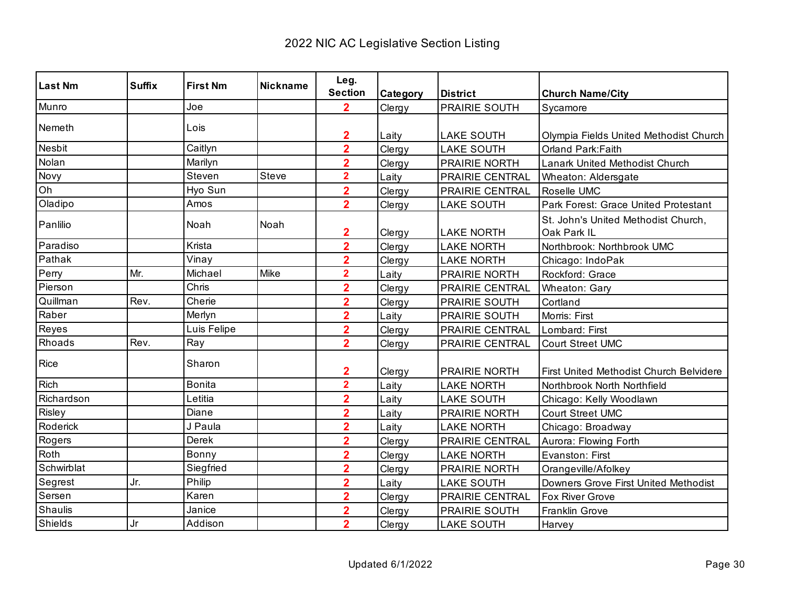| <b>Last Nm</b> | <b>Suffix</b> | <b>First Nm</b> | <b>Nickname</b> | Leg.<br><b>Section</b>  |          |                        |                                         |
|----------------|---------------|-----------------|-----------------|-------------------------|----------|------------------------|-----------------------------------------|
| Munro          |               | Joe             |                 | $\overline{2}$          | Category | <b>District</b>        | <b>Church Name/City</b>                 |
|                |               |                 |                 |                         | Clergy   | <b>PRAIRIE SOUTH</b>   | Sycamore                                |
| Nemeth         |               | Lois            |                 | $\mathbf 2$             | Laity    | <b>LAKE SOUTH</b>      | Olympia Fields United Methodist Church  |
| Nesbit         |               | Caitlyn         |                 | $\overline{\mathbf{2}}$ | Clergy   | <b>LAKE SOUTH</b>      | Orland Park: Faith                      |
| Nolan          |               | Marilyn         |                 | $\overline{\mathbf{2}}$ | Clergy   | PRAIRIE NORTH          | Lanark United Methodist Church          |
| Novy           |               | Steven          | Steve           | $\overline{\mathbf{2}}$ | Laity    | PRAIRIE CENTRAL        | Wheaton: Aldersgate                     |
| Oh             |               | Hyo Sun         |                 | $\overline{\mathbf{2}}$ | Clergy   | PRAIRIE CENTRAL        | Roselle UMC                             |
| Oladipo        |               | Amos            |                 | $\overline{2}$          | Clergy   | <b>LAKE SOUTH</b>      | Park Forest: Grace United Protestant    |
| Panlilio       |               | Noah            | Noah            |                         |          |                        | St. John's United Methodist Church,     |
|                |               |                 |                 | $\mathbf{2}$            | Clergy   | <b>LAKE NORTH</b>      | Oak Park IL                             |
| Paradiso       |               | Krista          |                 | $\overline{2}$          | Clergy   | <b>LAKE NORTH</b>      | Northbrook: Northbrook UMC              |
| Pathak         |               | Vinay           |                 | $\overline{\mathbf{2}}$ | Clergy   | <b>LAKE NORTH</b>      | Chicago: IndoPak                        |
| Perry          | Mr.           | Michael         | Mike            | $\overline{\mathbf{2}}$ | Laity    | <b>PRAIRIE NORTH</b>   | Rockford: Grace                         |
| Pierson        |               | Chris           |                 | $\overline{\mathbf{2}}$ | Clergy   | <b>PRAIRIE CENTRAL</b> | Wheaton: Gary                           |
| Quillman       | Rev.          | Cherie          |                 | $\overline{\mathbf{2}}$ | Clergy   | PRAIRIE SOUTH          | Cortland                                |
| Raber          |               | Merlyn          |                 | $\overline{\mathbf{2}}$ | Laity    | PRAIRIE SOUTH          | Morris: First                           |
| Reyes          |               | Luis Felipe     |                 | $\overline{2}$          | Clergy   | PRAIRIE CENTRAL        | Lombard: First                          |
| Rhoads         | Rev.          | Ray             |                 | $\overline{2}$          | Clergy   | PRAIRIE CENTRAL        | <b>Court Street UMC</b>                 |
| Rice           |               | Sharon          |                 | $\mathbf{2}$            | Clergy   | <b>PRAIRIE NORTH</b>   | First United Methodist Church Belvidere |
| <b>Rich</b>    |               | <b>Bonita</b>   |                 | $\overline{\mathbf{2}}$ | Laity    | <b>LAKE NORTH</b>      | Northbrook North Northfield             |
| Richardson     |               | Letitia         |                 | $\overline{\mathbf{2}}$ | Laity    | <b>LAKE SOUTH</b>      | Chicago: Kelly Woodlawn                 |
| Risley         |               | Diane           |                 | $\overline{\mathbf{2}}$ | Laity    | PRAIRIE NORTH          | Court Street UMC                        |
| Roderick       |               | J Paula         |                 | $\overline{2}$          | Laity    | <b>LAKE NORTH</b>      | Chicago: Broadway                       |
| Rogers         |               | Derek           |                 | $\overline{2}$          | Clergy   | <b>PRAIRIE CENTRAL</b> | Aurora: Flowing Forth                   |
| Roth           |               | Bonny           |                 | $\overline{\mathbf{2}}$ | Clergy   | <b>LAKE NORTH</b>      | Evanston: First                         |
| Schwirblat     |               | Siegfried       |                 | $\overline{\mathbf{2}}$ | Clergy   | PRAIRIE NORTH          | Orangeville/Afolkey                     |
| Segrest        | Jr.           | Philip          |                 | $\overline{2}$          | Laity    | <b>LAKE SOUTH</b>      | Downers Grove First United Methodist    |
| Sersen         |               | Karen           |                 | $\overline{\mathbf{2}}$ | Clergy   | PRAIRIE CENTRAL        | Fox River Grove                         |
| Shaulis        |               | Janice          |                 | $\overline{\mathbf{2}}$ | Clergy   | PRAIRIE SOUTH          | Franklin Grove                          |
| Shields        | Jr            | Addison         |                 | $\overline{\mathbf{2}}$ | Clergy   | <b>LAKE SOUTH</b>      | Harvey                                  |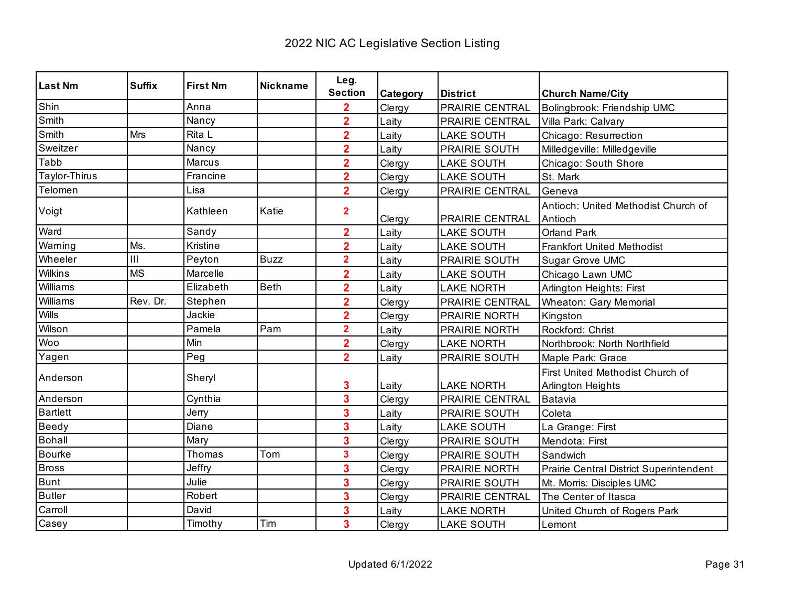| <b>Last Nm</b>  | <b>Suffix</b> | <b>First Nm</b> | <b>Nickname</b> | Leg.                    |          |                        |                                                              |
|-----------------|---------------|-----------------|-----------------|-------------------------|----------|------------------------|--------------------------------------------------------------|
|                 |               |                 |                 | <b>Section</b>          | Category | <b>District</b>        | <b>Church Name/City</b>                                      |
| Shin            |               | Anna            |                 | $\overline{\mathbf{2}}$ | Clergy   | <b>PRAIRIE CENTRAL</b> | Bolingbrook: Friendship UMC                                  |
| Smith           |               | Nancy           |                 | $\overline{2}$          | Laity    | PRAIRIE CENTRAL        | Villa Park: Calvary                                          |
| Smith           | Mrs           | Rita L          |                 | $\overline{2}$          | Laity    | <b>LAKE SOUTH</b>      | Chicago: Resurrection                                        |
| Sweitzer        |               | Nancy           |                 | $\overline{2}$          | Laity    | PRAIRIE SOUTH          | Milledgeville: Milledgeville                                 |
| Tabb            |               | Marcus          |                 | $\overline{\mathbf{2}}$ | Clergy   | <b>LAKE SOUTH</b>      | Chicago: South Shore                                         |
| Taylor-Thirus   |               | Francine        |                 | $\overline{\mathbf{2}}$ | Clergy   | <b>LAKE SOUTH</b>      | St. Mark                                                     |
| Telomen         |               | Lisa            |                 | $\overline{2}$          | Clergy   | PRAIRIE CENTRAL        | Geneva                                                       |
| Voigt           |               | Kathleen        | Katie           | $\overline{\mathbf{2}}$ | Clergy   | PRAIRIE CENTRAL        | Antioch: United Methodist Church of<br>Antioch               |
| Ward            |               | Sandy           |                 | $\overline{2}$          | Laity    | <b>LAKE SOUTH</b>      | <b>Orland Park</b>                                           |
| Warning         | Ms.           | Kristine        |                 | $\overline{\mathbf{2}}$ | Laity    | <b>LAKE SOUTH</b>      | <b>Frankfort United Methodist</b>                            |
| Wheeler         | III           | Peyton          | <b>Buzz</b>     | $\overline{\mathbf{2}}$ | Laity    | PRAIRIE SOUTH          | Sugar Grove UMC                                              |
| Wilkins         | <b>MS</b>     | Marcelle        |                 | $\overline{2}$          | Laity    | <b>LAKE SOUTH</b>      | Chicago Lawn UMC                                             |
| Williams        |               | Elizabeth       | <b>Beth</b>     | $\overline{\mathbf{2}}$ | Laity    | <b>LAKE NORTH</b>      | Arlington Heights: First                                     |
| Williams        | Rev. Dr.      | Stephen         |                 | $\overline{\mathbf{2}}$ | Clergy   | PRAIRIE CENTRAL        | <b>Wheaton: Gary Memorial</b>                                |
| Wills           |               | Jackie          |                 | $\overline{\mathbf{2}}$ | Clergy   | PRAIRIE NORTH          | Kingston                                                     |
| Wilson          |               | Pamela          | Pam             | $\overline{\mathbf{2}}$ | Laity    | PRAIRIE NORTH          | Rockford: Christ                                             |
| Woo             |               | Min             |                 | $\overline{2}$          | Clergy   | <b>LAKE NORTH</b>      | Northbrook: North Northfield                                 |
| Yagen           |               | Peg             |                 | $\overline{2}$          | Laity    | PRAIRIE SOUTH          | Maple Park: Grace                                            |
| Anderson        |               | Sheryl          |                 | 3                       | Laity    | <b>LAKE NORTH</b>      | First United Methodist Church of<br><b>Arlington Heights</b> |
| Anderson        |               | Cynthia         |                 | 3                       | Clergy   | PRAIRIE CENTRAL        | Batavia                                                      |
| <b>Bartlett</b> |               | Jerry           |                 | 3                       | Laity    | <b>PRAIRIE SOUTH</b>   | Coleta                                                       |
| Beedy           |               | Diane           |                 | 3                       | Laity    | <b>LAKE SOUTH</b>      | La Grange: First                                             |
| <b>Bohall</b>   |               | Mary            |                 | 3                       | Clergy   | PRAIRIE SOUTH          | Mendota: First                                               |
| <b>Bourke</b>   |               | Thomas          | Tom             | 3                       | Clergy   | PRAIRIE SOUTH          | Sandwich                                                     |
| <b>Bross</b>    |               | Jeffry          |                 | 3                       | Clergy   | PRAIRIE NORTH          | Prairie Central District Superintendent                      |
| Bunt            |               | Julie           |                 | 3                       | Clergy   | PRAIRIE SOUTH          | Mt. Morris: Disciples UMC                                    |
| <b>Butler</b>   |               | Robert          |                 | 3                       | Clergy   | PRAIRIE CENTRAL        | The Center of Itasca                                         |
| Carroll         |               | David           |                 | 3                       | Laity    | <b>LAKE NORTH</b>      | United Church of Rogers Park                                 |
| Casey           |               | Timothy         | Tim             | 3                       | Clergy   | <b>LAKE SOUTH</b>      | Lemont                                                       |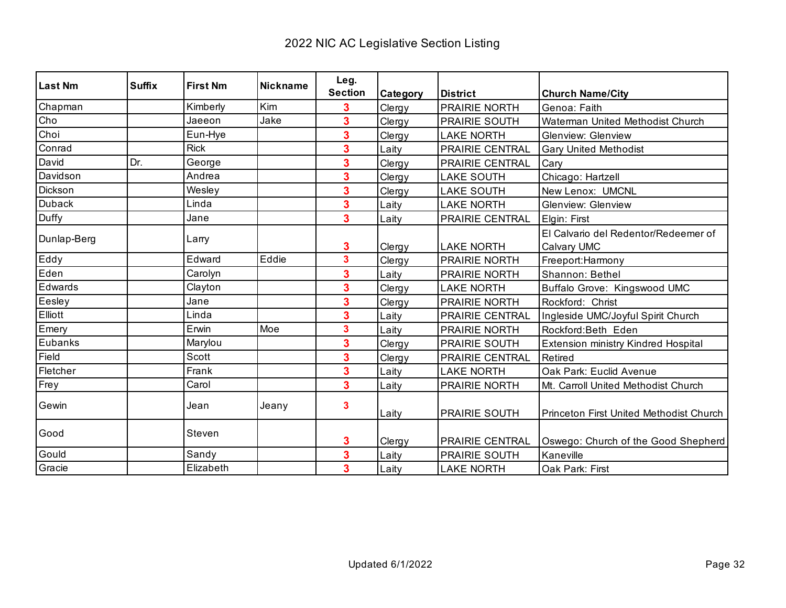| Last Nm     | <b>Suffix</b> | <b>First Nm</b> | Nickname | Leg.                    |          |                        |                                            |
|-------------|---------------|-----------------|----------|-------------------------|----------|------------------------|--------------------------------------------|
|             |               |                 |          | <b>Section</b>          | Category | <b>District</b>        | <b>Church Name/City</b>                    |
| Chapman     |               | Kimberly        | Kim      | 3                       | Clergy   | <b>PRAIRIE NORTH</b>   | Genoa: Faith                               |
| Cho         |               | Jaeeon          | Jake     | 3                       | Clergy   | <b>PRAIRIE SOUTH</b>   | Waterman United Methodist Church           |
| Choi        |               | Eun-Hye         |          | 3                       | Clergy   | <b>LAKE NORTH</b>      | <b>Glenview: Glenview</b>                  |
| Conrad      |               | <b>Rick</b>     |          | 3                       | Laity    | PRAIRIE CENTRAL        | <b>Gary United Methodist</b>               |
| David       | Dr.           | George          |          | 3                       | Clergy   | PRAIRIE CENTRAL        | Cary                                       |
| Davidson    |               | Andrea          |          | 3                       | Clergy   | <b>LAKE SOUTH</b>      | Chicago: Hartzell                          |
| Dickson     |               | Wesley          |          | 3                       | Clergy   | <b>LAKE SOUTH</b>      | New Lenox: UMCNL                           |
| Duback      |               | Linda           |          | 3                       | Laity    | <b>LAKE NORTH</b>      | <b>Glenview: Glenview</b>                  |
| Duffy       |               | Jane            |          | 3                       | Laity    | PRAIRIE CENTRAL        | Elgin: First                               |
| Dunlap-Berg |               | Larry           |          |                         |          |                        | El Calvario del Redentor/Redeemer of       |
|             |               |                 |          | 3                       | Clergy   | <b>LAKE NORTH</b>      | Calvary UMC                                |
| Eddy        |               | Edward          | Eddie    | $\overline{\mathbf{3}}$ | Clergy   | <b>PRAIRIE NORTH</b>   | Freeport:Harmony                           |
| Eden        |               | Carolyn         |          | 3                       | Laity    | PRAIRIE NORTH          | Shannon: Bethel                            |
| Edwards     |               | Clayton         |          | 3                       | Clergy   | <b>LAKE NORTH</b>      | Buffalo Grove: Kingswood UMC               |
| Eesley      |               | Jane            |          | 3                       | Clergy   | PRAIRIE NORTH          | Rockford: Christ                           |
| Elliott     |               | Linda           |          | 3                       | Laity    | <b>PRAIRIE CENTRAL</b> | Ingleside UMC/Joyful Spirit Church         |
| Emery       |               | Erwin           | Moe      | 3                       | Laity    | <b>PRAIRIE NORTH</b>   | Rockford:Beth Eden                         |
| Eubanks     |               | Marylou         |          | 3                       | Clergy   | <b>PRAIRIE SOUTH</b>   | <b>Extension ministry Kindred Hospital</b> |
| Field       |               | Scott           |          | 3                       | Clergy   | PRAIRIE CENTRAL        | Retired                                    |
| Fletcher    |               | Frank           |          | 3                       | Laity    | <b>LAKE NORTH</b>      | Oak Park: Euclid Avenue                    |
| Frey        |               | Carol           |          | 3                       | Laity    | PRAIRIE NORTH          | Mt. Carroll United Methodist Church        |
| Gewin       |               | Jean            | Jeany    | 3                       | Laity    | <b>PRAIRIE SOUTH</b>   | Princeton First United Methodist Church    |
| Good        |               | Steven          |          | 3                       | Clergy   | <b>PRAIRIE CENTRAL</b> | Oswego: Church of the Good Shepherd        |
| Gould       |               | Sandy           |          | 3                       | Laity    | PRAIRIE SOUTH          | Kaneville                                  |
| Gracie      |               | Elizabeth       |          | 3                       | Laity    | <b>LAKE NORTH</b>      | Oak Park: First                            |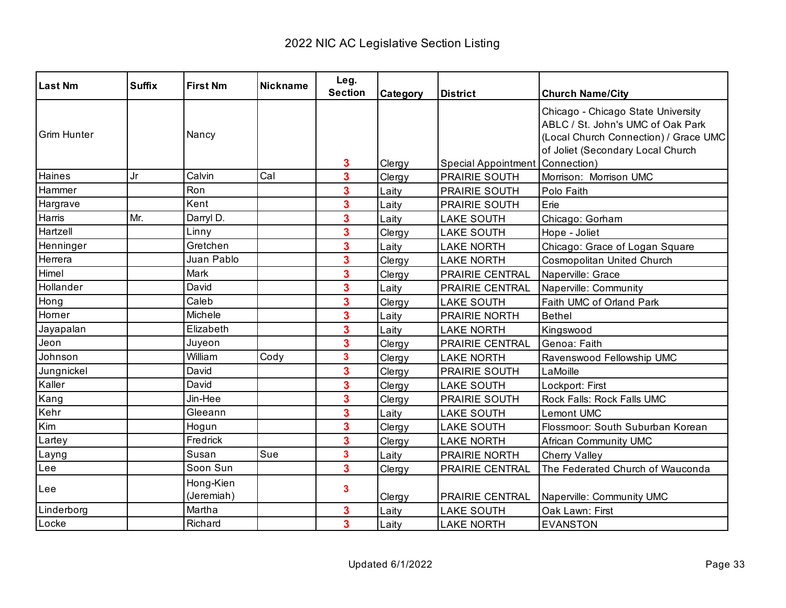| <b>Last Nm</b>     | <b>Suffix</b> | <b>First Nm</b>         | Nickname | Leg.<br><b>Section</b>  | Category | <b>District</b>                   | <b>Church Name/City</b>                                                                                                                               |
|--------------------|---------------|-------------------------|----------|-------------------------|----------|-----------------------------------|-------------------------------------------------------------------------------------------------------------------------------------------------------|
| <b>Grim Hunter</b> |               | Nancy                   |          | 3                       | Clergy   | Special Appointment   Connection) | Chicago - Chicago State University<br>ABLC / St. John's UMC of Oak Park<br>(Local Church Connection) / Grace UMC<br>of Joliet (Secondary Local Church |
| Haines             | Jr            | Calvin                  | Cal      | 3                       | Clergy   | <b>PRAIRIE SOUTH</b>              | Morrison: Morrison UMC                                                                                                                                |
| Hammer             |               | Ron                     |          | 3                       | Laity    | PRAIRIE SOUTH                     | Polo Faith                                                                                                                                            |
| Hargrave           |               | Kent                    |          | 3                       | Laity    | <b>PRAIRIE SOUTH</b>              | Erie                                                                                                                                                  |
| Harris             | Mr.           | Darryl D.               |          | 3                       | Laity    | <b>LAKE SOUTH</b>                 | Chicago: Gorham                                                                                                                                       |
| Hartzell           |               | Linny                   |          | 3                       | Clergy   | <b>LAKE SOUTH</b>                 | Hope - Joliet                                                                                                                                         |
| Henninger          |               | Gretchen                |          | 3                       | Laity    | <b>LAKE NORTH</b>                 | Chicago: Grace of Logan Square                                                                                                                        |
| Herrera            |               | Juan Pablo              |          | 3                       | Clergy   | <b>LAKE NORTH</b>                 | Cosmopolitan United Church                                                                                                                            |
| Himel              |               | Mark                    |          | 3                       | Clergy   | PRAIRIE CENTRAL                   | Naperville: Grace                                                                                                                                     |
| Hollander          |               | David                   |          | 3                       | Laity    | PRAIRIE CENTRAL                   | Naperville: Community                                                                                                                                 |
| Hong               |               | Caleb                   |          | 3                       | Clergy   | <b>LAKE SOUTH</b>                 | Faith UMC of Orland Park                                                                                                                              |
| Horner             |               | Michele                 |          | 3                       | Laity    | PRAIRIE NORTH                     | <b>Bethel</b>                                                                                                                                         |
| Jayapalan          |               | Elizabeth               |          | 3                       | Laity    | <b>LAKE NORTH</b>                 | Kingswood                                                                                                                                             |
| Jeon               |               | Juyeon                  |          | 3                       | Clergy   | PRAIRIE CENTRAL                   | Genoa: Faith                                                                                                                                          |
| Johnson            |               | William                 | Cody     | $\overline{\mathbf{3}}$ | Clergy   | <b>LAKE NORTH</b>                 | Ravenswood Fellowship UMC                                                                                                                             |
| Jungnickel         |               | David                   |          | 3                       | Clergy   | <b>PRAIRIE SOUTH</b>              | LaMoille                                                                                                                                              |
| Kaller             |               | David                   |          | 3                       | Clergy   | <b>LAKE SOUTH</b>                 | Lockport: First                                                                                                                                       |
| Kang               |               | Jin-Hee                 |          | 3                       | Clergy   | PRAIRIE SOUTH                     | Rock Falls: Rock Falls UMC                                                                                                                            |
| Kehr               |               | Gleeann                 |          | 3                       | Laity    | <b>LAKE SOUTH</b>                 | <b>Lemont UMC</b>                                                                                                                                     |
| Kim                |               | Hogun                   |          | 3                       | Clergy   | <b>LAKE SOUTH</b>                 | Flossmoor: South Suburban Korean                                                                                                                      |
| Lartey             |               | Fredrick                |          | 3                       | Clergy   | <b>LAKE NORTH</b>                 | African Community UMC                                                                                                                                 |
| Layng              |               | Susan                   | Sue      | $\overline{\mathbf{3}}$ | Laity    | PRAIRIE NORTH                     | Cherry Valley                                                                                                                                         |
| Lee                |               | Soon Sun                |          | $\overline{\mathbf{3}}$ | Clergy   | PRAIRIE CENTRAL                   | The Federated Church of Wauconda                                                                                                                      |
| Lee                |               | Hong-Kien<br>(Jeremiah) |          | 3                       | Clergy   | PRAIRIE CENTRAL                   | Naperville: Community UMC                                                                                                                             |
| Linderborg         |               | Martha                  |          | 3                       | Laity    | <b>LAKE SOUTH</b>                 | Oak Lawn: First                                                                                                                                       |
| Locke              |               | Richard                 |          | $\overline{\mathbf{3}}$ | Laity    | <b>LAKE NORTH</b>                 | <b>EVANSTON</b>                                                                                                                                       |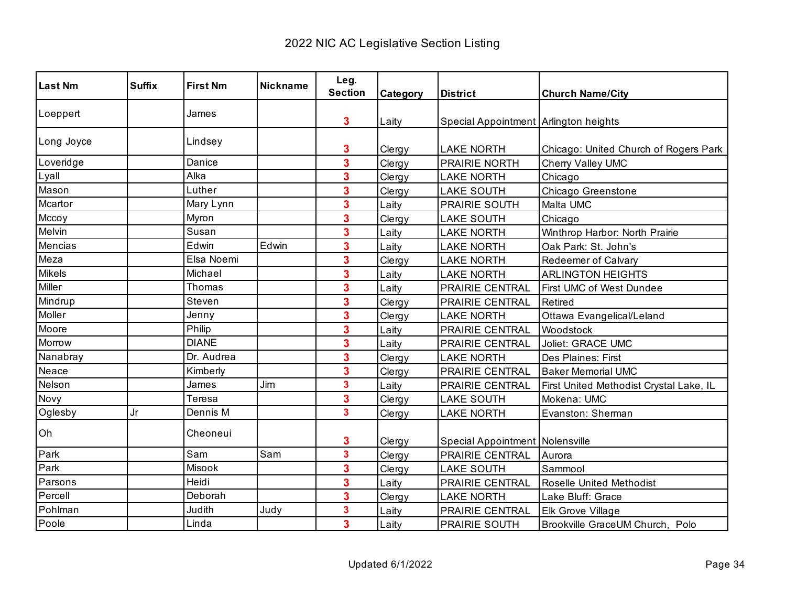| <b>Last Nm</b> | <b>Suffix</b> | <b>First Nm</b> | <b>Nickname</b> | Leg.                    |          |                                       |                                         |
|----------------|---------------|-----------------|-----------------|-------------------------|----------|---------------------------------------|-----------------------------------------|
|                |               |                 |                 | <b>Section</b>          | Category | <b>District</b>                       | <b>Church Name/City</b>                 |
| Loeppert       |               | James           |                 | 3                       | Laity    | Special Appointment Arlington heights |                                         |
| Long Joyce     |               | Lindsey         |                 | 3                       | Clergy   | <b>LAKE NORTH</b>                     | Chicago: United Church of Rogers Park   |
| Loveridge      |               | Danice          |                 | 3                       | Clergy   | PRAIRIE NORTH                         | Cherry Valley UMC                       |
| Lyall          |               | Alka            |                 | 3                       | Clergy   | <b>LAKE NORTH</b>                     | Chicago                                 |
| Mason          |               | Luther          |                 | 3                       | Clergy   | <b>LAKE SOUTH</b>                     | Chicago Greenstone                      |
| Mcartor        |               | Mary Lynn       |                 | 3                       | Laity    | PRAIRIE SOUTH                         | Malta UMC                               |
| Mccoy          |               | Myron           |                 | 3                       | Clergy   | <b>LAKE SOUTH</b>                     | Chicago                                 |
| Melvin         |               | Susan           |                 | 3                       | Laity    | <b>LAKE NORTH</b>                     | Winthrop Harbor: North Prairie          |
| Mencias        |               | Edwin           | Edwin           | 3                       | Laity    | <b>LAKE NORTH</b>                     | Oak Park: St. John's                    |
| Meza           |               | Elsa Noemi      |                 | 3                       | Clergy   | <b>LAKE NORTH</b>                     | Redeemer of Calvary                     |
| <b>Mikels</b>  |               | Michael         |                 | 3                       | Laity    | <b>LAKE NORTH</b>                     | <b>ARLINGTON HEIGHTS</b>                |
| Miller         |               | Thomas          |                 | 3                       | Laity    | PRAIRIE CENTRAL                       | First UMC of West Dundee                |
| Mindrup        |               | Steven          |                 | 3                       | Clergy   | PRAIRIE CENTRAL                       | Retired                                 |
| Moller         |               | Jenny           |                 | 3                       | Clergy   | <b>LAKE NORTH</b>                     | Ottawa Evangelical/Leland               |
| Moore          |               | Philip          |                 | 3                       | Laity    | PRAIRIE CENTRAL                       | Woodstock                               |
| Morrow         |               | <b>DIANE</b>    |                 | 3                       | Laity    | PRAIRIE CENTRAL                       | Joliet: GRACE UMC                       |
| Nanabray       |               | Dr. Audrea      |                 | 3                       | Clergy   | <b>LAKE NORTH</b>                     | Des Plaines: First                      |
| Neace          |               | Kimberly        |                 | 3                       | Clergy   | PRAIRIE CENTRAL                       | <b>Baker Memorial UMC</b>               |
| Nelson         |               | James           | Jim             | 3                       | Laity    | PRAIRIE CENTRAL                       | First United Methodist Crystal Lake, IL |
| Novy           |               | Teresa          |                 | 3                       | Clergy   | <b>LAKE SOUTH</b>                     | Mokena: UMC                             |
| Oglesby        | Jr            | Dennis M        |                 | 3                       | Clergy   | <b>LAKE NORTH</b>                     | Evanston: Sherman                       |
| Oh             |               | Cheoneui        |                 | 3                       | Clergy   | Special Appointment Nolensville       |                                         |
| Park           |               | Sam             | Sam             | $\overline{\mathbf{3}}$ | Clergy   | PRAIRIE CENTRAL                       | Aurora                                  |
| Park           |               | Misook          |                 | 3                       | Clergy   | <b>LAKE SOUTH</b>                     | Sammool                                 |
| Parsons        |               | Heidi           |                 | 3                       | Laity    | PRAIRIE CENTRAL                       | <b>Roselle United Methodist</b>         |
| Percell        |               | Deborah         |                 | 3                       | Clergy   | <b>LAKE NORTH</b>                     | Lake Bluff: Grace                       |
| Pohlman        |               | Judith          | Judy            | 3                       | Laity    | PRAIRIE CENTRAL                       | Elk Grove Village                       |
| Poole          |               | Linda           |                 | 3                       | Laity    | PRAIRIE SOUTH                         | Brookville GraceUM Church, Polo         |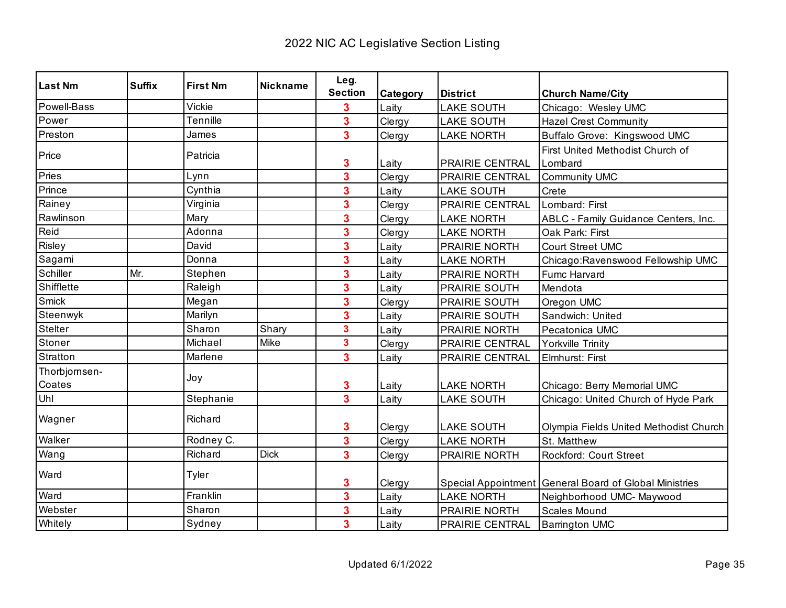| <b>Last Nm</b>          | <b>Suffix</b> | <b>First Nm</b> | Nickname    | Leg.                    |          |                        |                                                          |
|-------------------------|---------------|-----------------|-------------|-------------------------|----------|------------------------|----------------------------------------------------------|
|                         |               |                 |             | <b>Section</b>          | Category | <b>District</b>        | <b>Church Name/City</b>                                  |
| Powell-Bass             |               | Vickie          |             | 3                       | Laity    | <b>LAKE SOUTH</b>      | Chicago: Wesley UMC                                      |
| Power                   |               | Tennille        |             | 3                       | Clergy   | <b>LAKE SOUTH</b>      | <b>Hazel Crest Community</b>                             |
| Preston                 |               | James           |             | $\overline{\mathbf{3}}$ | Clergy   | <b>LAKE NORTH</b>      | Buffalo Grove: Kingswood UMC                             |
| Price                   |               | Patricia        |             | 3                       | Laity    | PRAIRIE CENTRAL        | First United Methodist Church of<br>Lombard              |
| Pries                   |               | Lynn            |             | $\overline{\mathbf{3}}$ | Clergy   | <b>PRAIRIE CENTRAL</b> | Community UMC                                            |
| Prince                  |               | Cynthia         |             | $\overline{\mathbf{3}}$ | Laity    | <b>LAKE SOUTH</b>      | Crete                                                    |
| Rainey                  |               | Virginia        |             | 3                       | Clergy   | PRAIRIE CENTRAL        | Lombard: First                                           |
| Rawlinson               |               | Mary            |             | 3                       | Clergy   | <b>LAKE NORTH</b>      | ABLC - Family Guidance Centers, Inc.                     |
| Reid                    |               | Adonna          |             | $\overline{\mathbf{3}}$ | Clergy   | <b>LAKE NORTH</b>      | Oak Park: First                                          |
| Risley                  |               | David           |             | 3                       | Laity    | PRAIRIE NORTH          | <b>Court Street UMC</b>                                  |
| Sagami                  |               | Donna           |             | 3                       | Laity    | <b>LAKE NORTH</b>      | Chicago: Ravenswood Fellowship UMC                       |
| Schiller                | Mr.           | Stephen         |             | 3                       | Laity    | PRAIRIE NORTH          | Fumc Harvard                                             |
| Shifflette              |               | Raleigh         |             | $\overline{\mathbf{3}}$ | Laity    | PRAIRIE SOUTH          | Mendota                                                  |
| Smick                   |               | Megan           |             | $\overline{\mathbf{3}}$ | Clergy   | <b>PRAIRIE SOUTH</b>   | Oregon UMC                                               |
| Steenwyk                |               | Marilyn         |             | 3                       | Laity    | PRAIRIE SOUTH          | Sandwich: United                                         |
| Stelter                 |               | Sharon          | Shary       | 3                       | Laity    | <b>PRAIRIE NORTH</b>   | Pecatonica UMC                                           |
| Stoner                  |               | Michael         | Mike        | $\overline{\mathbf{3}}$ | Clergy   | PRAIRIE CENTRAL        | Yorkville Trinity                                        |
| Stratton                |               | Marlene         |             | 3                       | Laity    | PRAIRIE CENTRAL        | Elmhurst: First                                          |
| Thorbjornsen-<br>Coates |               | Joy             |             | 3                       | Laity    | <b>LAKE NORTH</b>      | Chicago: Berry Memorial UMC                              |
| Uhl                     |               | Stephanie       |             | 3                       | Laity    | <b>LAKE SOUTH</b>      | Chicago: United Church of Hyde Park                      |
| Wagner                  |               | Richard         |             | 3                       | Clergy   | <b>LAKE SOUTH</b>      | Olympia Fields United Methodist Church                   |
| Walker                  |               | Rodney C.       |             | 3                       | Clergy   | <b>LAKE NORTH</b>      | St. Matthew                                              |
| Wang                    |               | Richard         | <b>Dick</b> | $\overline{\mathbf{3}}$ | Clergy   | PRAIRIE NORTH          | Rockford: Court Street                                   |
| Ward                    |               | Tyler           |             | 3                       | Clergy   |                        | Special Appointment   General Board of Global Ministries |
| Ward                    |               | Franklin        |             | $\overline{\mathbf{3}}$ | Laity    | <b>LAKE NORTH</b>      | Neighborhood UMC- Maywood                                |
| Webster                 |               | Sharon          |             | 3                       | Laity    | PRAIRIE NORTH          | Scales Mound                                             |
| Whitely                 |               | Sydney          |             | $\overline{\mathbf{3}}$ | Laity    | PRAIRIE CENTRAL        | <b>Barrington UMC</b>                                    |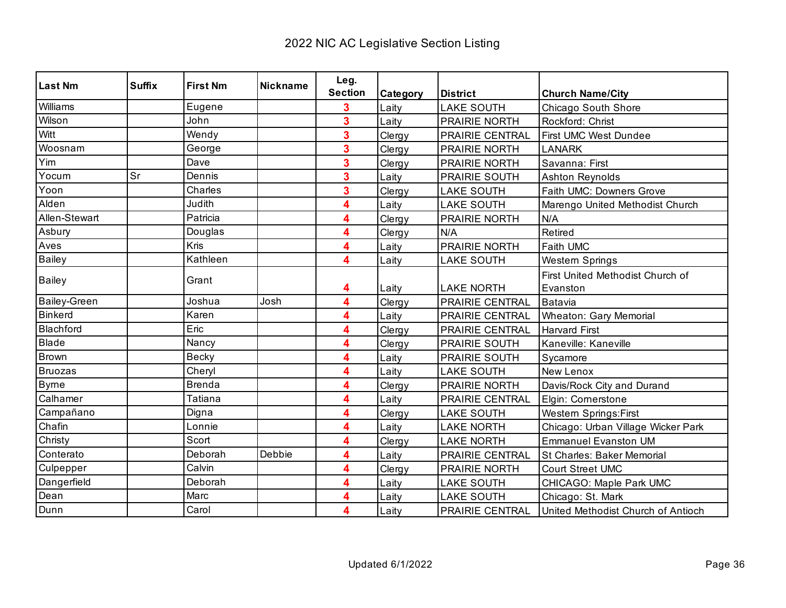| <b>Last Nm</b>      | <b>Suffix</b> | <b>First Nm</b> | <b>Nickname</b> | Leg.           |          |                        |                                    |
|---------------------|---------------|-----------------|-----------------|----------------|----------|------------------------|------------------------------------|
|                     |               |                 |                 | <b>Section</b> | Category | <b>District</b>        | <b>Church Name/City</b>            |
| Williams            |               | Eugene          |                 | 3              | Laity    | <b>LAKE SOUTH</b>      | Chicago South Shore                |
| Wilson              |               | John            |                 | 3              | Laity    | PRAIRIE NORTH          | Rockford: Christ                   |
| Witt                |               | Wendy           |                 | 3              | Clergy   | <b>PRAIRIE CENTRAL</b> | <b>First UMC West Dundee</b>       |
| Woosnam             |               | George          |                 | 3              | Clergy   | PRAIRIE NORTH          | <b>LANARK</b>                      |
| Yim                 |               | Dave            |                 | 3              | Clergy   | PRAIRIE NORTH          | Savanna: First                     |
| Yocum               | Sr            | Dennis          |                 | 3              | Laity    | <b>PRAIRIE SOUTH</b>   | <b>Ashton Reynolds</b>             |
| Yoon                |               | Charles         |                 | 3              | Clergy   | <b>LAKE SOUTH</b>      | Faith UMC: Downers Grove           |
| Alden               |               | Judith          |                 | 4              | Laity    | <b>LAKE SOUTH</b>      | Marengo United Methodist Church    |
| Allen-Stewart       |               | Patricia        |                 | 4              | Clergy   | PRAIRIE NORTH          | N/A                                |
| Asbury              |               | Douglas         |                 | 4              | Clergy   | N/A                    | Retired                            |
| Aves                |               | Kris            |                 | 4              | Laity    | PRAIRIE NORTH          | Faith UMC                          |
| <b>Bailey</b>       |               | Kathleen        |                 | 4              | Laity    | <b>LAKE SOUTH</b>      | Western Springs                    |
|                     |               | Grant           |                 |                |          |                        | First United Methodist Church of   |
| <b>Bailey</b>       |               |                 |                 | 4              | Laity    | <b>LAKE NORTH</b>      | Evanston                           |
| <b>Bailey-Green</b> |               | Joshua          | Josh            | 4              | Clergy   | PRAIRIE CENTRAL        | Batavia                            |
| <b>Binkerd</b>      |               | Karen           |                 | 4              | Laity    | <b>PRAIRIE CENTRAL</b> | <b>Wheaton: Gary Memorial</b>      |
| Blachford           |               | Eric            |                 | 4              | Clergy   | <b>PRAIRIE CENTRAL</b> | <b>Harvard First</b>               |
| Blade               |               | Nancy           |                 | 4              | Clergy   | PRAIRIE SOUTH          | Kaneville: Kaneville               |
| Brown               |               | <b>Becky</b>    |                 | 4              | Laity    | PRAIRIE SOUTH          | Sycamore                           |
| <b>Bruozas</b>      |               | Cheryl          |                 | 4              | Laity    | <b>LAKE SOUTH</b>      | New Lenox                          |
| <b>Byrne</b>        |               | <b>Brenda</b>   |                 | 4              | Clergy   | PRAIRIE NORTH          | Davis/Rock City and Durand         |
| Calhamer            |               | Tatiana         |                 | 4              | Laity    | PRAIRIE CENTRAL        | Elgin: Cornerstone                 |
| Campañano           |               | Digna           |                 | 4              | Clergy   | <b>LAKE SOUTH</b>      | <b>Western Springs:First</b>       |
| Chafin              |               | Lonnie          |                 | 4              | Laity    | <b>LAKE NORTH</b>      | Chicago: Urban Village Wicker Park |
| Christy             |               | Scort           |                 | 4              | Clergy   | <b>LAKE NORTH</b>      | <b>Emmanuel Evanston UM</b>        |
| Conterato           |               | Deborah         | Debbie          | 4              | Laity    | PRAIRIE CENTRAL        | St Charles: Baker Memorial         |
| Culpepper           |               | Calvin          |                 | 4              | Clergy   | PRAIRIE NORTH          | Court Street UMC                   |
| Dangerfield         |               | Deborah         |                 | 4              | Laity    | <b>LAKE SOUTH</b>      | CHICAGO: Maple Park UMC            |
| Dean                |               | Marc            |                 | 4              | Laity    | <b>LAKE SOUTH</b>      | Chicago: St. Mark                  |
| Dunn                |               | Carol           |                 | 4              | Laity    | PRAIRIE CENTRAL        | United Methodist Church of Antioch |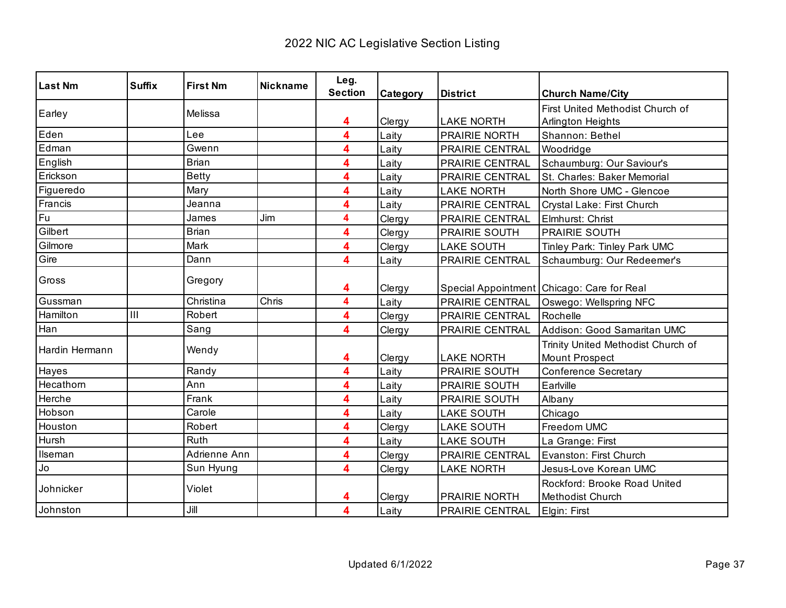| <b>Last Nm</b> | <b>Suffix</b> | <b>First Nm</b> | <b>Nickname</b> | Leg.<br><b>Section</b> |          |                                    |                                                             |
|----------------|---------------|-----------------|-----------------|------------------------|----------|------------------------------------|-------------------------------------------------------------|
|                |               |                 |                 |                        | Category | <b>District</b>                    | <b>Church Name/City</b>                                     |
| Earley         |               | Melissa         |                 |                        |          |                                    | First United Methodist Church of                            |
| Eden           |               | Lee             |                 | 4<br>4                 | Clergy   | <b>LAKE NORTH</b><br>PRAIRIE NORTH | Arlington Heights                                           |
| Edman          |               |                 |                 |                        | Laity    |                                    | Shannon: Bethel                                             |
|                |               | Gwenn           |                 | 4                      | Laity    | PRAIRIE CENTRAL                    | Woodridge                                                   |
| English        |               | <b>Brian</b>    |                 | 4                      | Laity    | PRAIRIE CENTRAL                    | Schaumburg: Our Saviour's                                   |
| Erickson       |               | <b>Betty</b>    |                 | 4                      | Laity    | PRAIRIE CENTRAL                    | St. Charles: Baker Memorial                                 |
| Figueredo      |               | Mary            |                 | 4                      | Laity    | <b>LAKE NORTH</b>                  | North Shore UMC - Glencoe                                   |
| Francis        |               | Jeanna          |                 | 4                      | Laity    | PRAIRIE CENTRAL                    | Crystal Lake: First Church                                  |
| Fu             |               | James           | Jim             | 4                      | Clergy   | PRAIRIE CENTRAL                    | Elmhurst: Christ                                            |
| Gilbert        |               | <b>Brian</b>    |                 | 4                      | Clergy   | PRAIRIE SOUTH                      | <b>PRAIRIE SOUTH</b>                                        |
| Gilmore        |               | Mark            |                 | 4                      | Clergy   | <b>LAKE SOUTH</b>                  | Tinley Park: Tinley Park UMC                                |
| Gire           |               | Dann            |                 | 4                      | Laity    | PRAIRIE CENTRAL                    | Schaumburg: Our Redeemer's                                  |
| Gross          |               | Gregory         |                 | 4                      | Clergy   |                                    | Special Appointment Chicago: Care for Real                  |
| Gussman        |               | Christina       | Chris           | 4                      | Laity    | PRAIRIE CENTRAL                    | Oswego: Wellspring NFC                                      |
| Hamilton       | III           | Robert          |                 | 4                      | Clergy   | PRAIRIE CENTRAL                    | Rochelle                                                    |
| Han            |               | Sang            |                 | 4                      | Clergy   | PRAIRIE CENTRAL                    | Addison: Good Samaritan UMC                                 |
| Hardin Hermann |               | Wendy           |                 | 4                      | Clergy   | <b>LAKE NORTH</b>                  | Trinity United Methodist Church of<br><b>Mount Prospect</b> |
| Hayes          |               | Randy           |                 | 4                      | Laity    | PRAIRIE SOUTH                      | <b>Conference Secretary</b>                                 |
| Hecathorn      |               | Ann             |                 | 4                      | Laity    | PRAIRIE SOUTH                      | Earlville                                                   |
| Herche         |               | Frank           |                 | 4                      | Laity    | PRAIRIE SOUTH                      | Albany                                                      |
| Hobson         |               | Carole          |                 | 4                      | Laity    | <b>LAKE SOUTH</b>                  | Chicago                                                     |
| Houston        |               | Robert          |                 | 4                      | Clergy   | <b>LAKE SOUTH</b>                  | Freedom UMC                                                 |
| Hursh          |               | Ruth            |                 | 4                      | Laity    | <b>LAKE SOUTH</b>                  | La Grange: First                                            |
| Ilseman        |               | Adrienne Ann    |                 | 4                      | Clergy   | PRAIRIE CENTRAL                    | Evanston: First Church                                      |
| Jo             |               | Sun Hyung       |                 | 4                      | Clergy   | <b>LAKE NORTH</b>                  | Jesus-Love Korean UMC                                       |
| Johnicker      |               | Violet          |                 | 4                      | Clergy   | <b>PRAIRIE NORTH</b>               | Rockford: Brooke Road United<br>Methodist Church            |
| Johnston       |               | Jill            |                 | 4                      | Laity    | PRAIRIE CENTRAL                    | Elgin: First                                                |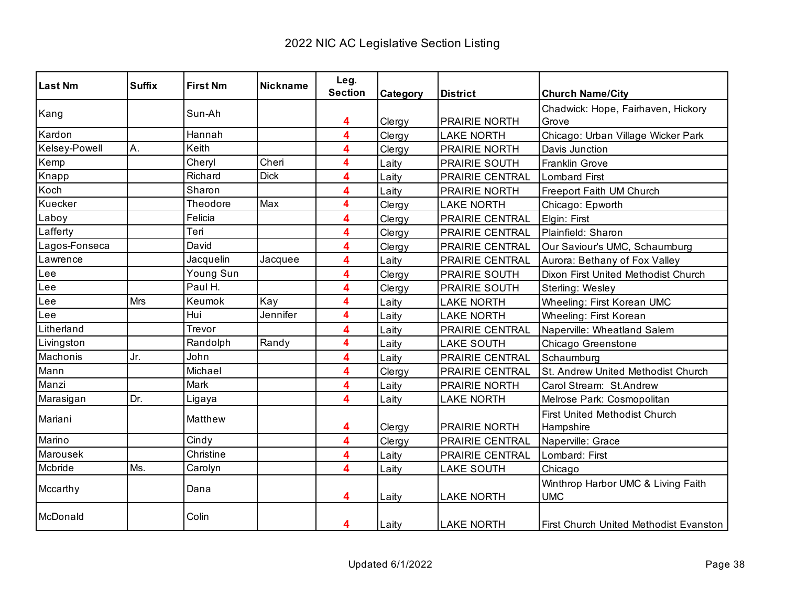| <b>Last Nm</b> | <b>Suffix</b> | <b>First Nm</b> | <b>Nickname</b> | Leg.           |          |                        |                                               |
|----------------|---------------|-----------------|-----------------|----------------|----------|------------------------|-----------------------------------------------|
|                |               |                 |                 | <b>Section</b> | Category | <b>District</b>        | <b>Church Name/City</b>                       |
| Kang           |               | Sun-Ah          |                 |                |          |                        | Chadwick: Hope, Fairhaven, Hickory            |
|                |               |                 |                 | 4              | Clergy   | <b>PRAIRIE NORTH</b>   | Grove                                         |
| Kardon         |               | Hannah          |                 | 4              | Clergy   | <b>LAKE NORTH</b>      | Chicago: Urban Village Wicker Park            |
| Kelsey-Powell  | Α.            | Keith           |                 | 4              | Clergy   | <b>PRAIRIE NORTH</b>   | Davis Junction                                |
| Kemp           |               | Cheryl          | Cheri           | 4              | Laity    | PRAIRIE SOUTH          | Franklin Grove                                |
| Knapp          |               | Richard         | <b>Dick</b>     | 4              | Laity    | PRAIRIE CENTRAL        | <b>Lombard First</b>                          |
| Koch           |               | Sharon          |                 | 4              | Laity    | PRAIRIE NORTH          | Freeport Faith UM Church                      |
| Kuecker        |               | Theodore        | Max             | 4              | Clergy   | <b>LAKE NORTH</b>      | Chicago: Epworth                              |
| Laboy          |               | Felicia         |                 | 4              | Clergy   | PRAIRIE CENTRAL        | Elgin: First                                  |
| Lafferty       |               | Teri            |                 | 4              | Clergy   | PRAIRIE CENTRAL        | Plainfield: Sharon                            |
| Lagos-Fonseca  |               | David           |                 | 4              | Clergy   | PRAIRIE CENTRAL        | Our Saviour's UMC, Schaumburg                 |
| Lawrence       |               | Jacquelin       | Jacquee         | 4              | Laity    | PRAIRIE CENTRAL        | Aurora: Bethany of Fox Valley                 |
| ∟ee            |               | Young Sun       |                 | 4              | Clergy   | <b>PRAIRIE SOUTH</b>   | Dixon First United Methodist Church           |
| Lee            |               | Paul H.         |                 | 4              | Clergy   | PRAIRIE SOUTH          | Sterling: Wesley                              |
| -ee            | Mrs           | Keumok          | Kay             | 4              | Laity    | <b>LAKE NORTH</b>      | Wheeling: First Korean UMC                    |
| -ee            |               | Hui             | Jennifer        | 4              | Laity    | <b>LAKE NORTH</b>      | Wheeling: First Korean                        |
| Litherland     |               | Trevor          |                 | 4              | Laity    | PRAIRIE CENTRAL        | Naperville: Wheatland Salem                   |
| Livingston     |               | Randolph        | Randy           | 4              | Laity    | <b>LAKE SOUTH</b>      | Chicago Greenstone                            |
| Machonis       | Jr.           | John            |                 | 4              | Laity    | <b>PRAIRIE CENTRAL</b> | Schaumburg                                    |
| Mann           |               | Michael         |                 | 4              | Clergy   | <b>PRAIRIE CENTRAL</b> | St. Andrew United Methodist Church            |
| Manzi          |               | Mark            |                 | 4              | Laity    | PRAIRIE NORTH          | Carol Stream: St.Andrew                       |
| Marasigan      | Dr.           | Ligaya          |                 | 4              | Laity    | <b>LAKE NORTH</b>      | Melrose Park: Cosmopolitan                    |
|                |               | Matthew         |                 |                |          |                        | <b>First United Methodist Church</b>          |
| Mariani        |               |                 |                 | 4              | Clergy   | PRAIRIE NORTH          | Hampshire                                     |
| Marino         |               | Cindy           |                 | 4              | Clergy   | PRAIRIE CENTRAL        | Naperville: Grace                             |
| Marousek       |               | Christine       |                 | 4              | Laity    | PRAIRIE CENTRAL        | Lombard: First                                |
| Mcbride        | Ms.           | Carolyn         |                 | 4              | Laity    | <b>LAKE SOUTH</b>      | Chicago                                       |
|                |               |                 |                 |                |          |                        | Winthrop Harbor UMC & Living Faith            |
| Mccarthy       |               | Dana            |                 | 4              | Laity    | <b>LAKE NORTH</b>      | <b>UMC</b>                                    |
| McDonald       |               | Colin           |                 |                |          |                        |                                               |
|                |               |                 |                 | 4              | Laity    | <b>LAKE NORTH</b>      | <b>First Church United Methodist Evanston</b> |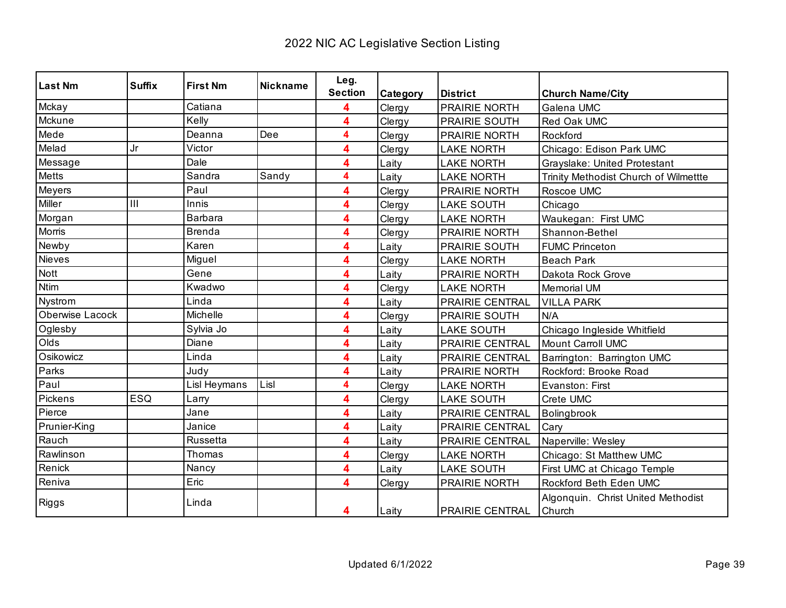| <b>Last Nm</b>  | <b>Suffix</b> | <b>First Nm</b> | <b>Nickname</b> | Leg.           |                 |                        |                                              |
|-----------------|---------------|-----------------|-----------------|----------------|-----------------|------------------------|----------------------------------------------|
|                 |               |                 |                 | <b>Section</b> | <b>Category</b> | <b>District</b>        | <b>Church Name/City</b>                      |
| Mckay           |               | Catiana         |                 | 4              | Clergy          | PRAIRIE NORTH          | Galena UMC                                   |
| Mckune          |               | Kelly           |                 | 4              | Clergy          | PRAIRIE SOUTH          | Red Oak UMC                                  |
| Mede            |               | Deanna          | Dee             | 4              | Clergy          | <b>PRAIRIE NORTH</b>   | Rockford                                     |
| Melad           | Jr            | Victor          |                 | 4              | Clergy          | <b>LAKE NORTH</b>      | Chicago: Edison Park UMC                     |
| Message         |               | Dale            |                 | 4              | Laity           | <b>LAKE NORTH</b>      | Grayslake: United Protestant                 |
| <b>Metts</b>    |               | Sandra          | Sandy           | 4              | Laity           | <b>LAKE NORTH</b>      | Trinity Methodist Church of Wilmettte        |
| Meyers          |               | Paul            |                 | 4              | Clergy          | PRAIRIE NORTH          | Roscoe UMC                                   |
| Miller          | III           | Innis           |                 | 4              | Clergy          | <b>LAKE SOUTH</b>      | Chicago                                      |
| Morgan          |               | Barbara         |                 | 4              | Clergy          | <b>LAKE NORTH</b>      | Waukegan: First UMC                          |
| Morris          |               | <b>Brenda</b>   |                 | 4              | Clergy          | <b>PRAIRIE NORTH</b>   | Shannon-Bethel                               |
| Newby           |               | Karen           |                 | 4              | Laity           | PRAIRIE SOUTH          | <b>FUMC Princeton</b>                        |
| <b>Nieves</b>   |               | Miguel          |                 | 4              | Clergy          | <b>LAKE NORTH</b>      | <b>Beach Park</b>                            |
| Nott            |               | Gene            |                 | 4              | Laity           | <b>PRAIRIE NORTH</b>   | Dakota Rock Grove                            |
| <b>Ntim</b>     |               | Kwadwo          |                 | 4              | Clergy          | <b>LAKE NORTH</b>      | <b>Memorial UM</b>                           |
| Nystrom         |               | Linda           |                 | 4              | Laity           | PRAIRIE CENTRAL        | <b>VILLA PARK</b>                            |
| Oberwise Lacock |               | Michelle        |                 | 4              | Clergy          | <b>PRAIRIE SOUTH</b>   | N/A                                          |
| Oglesby         |               | Sylvia Jo       |                 | 4              | Laity           | <b>LAKE SOUTH</b>      | Chicago Ingleside Whitfield                  |
| Olds            |               | Diane           |                 | 4              | Laity           | PRAIRIE CENTRAL        | Mount Carroll UMC                            |
| Osikowicz       |               | Linda           |                 | 4              | Laity           | PRAIRIE CENTRAL        | Barrington: Barrington UMC                   |
| Parks           |               | Judy            |                 | 4              | Laity           | <b>PRAIRIE NORTH</b>   | Rockford: Brooke Road                        |
| Paul            |               | Lisl Heymans    | Lisl            | 4              | Clergy          | <b>LAKE NORTH</b>      | Evanston: First                              |
| Pickens         | ESQ           | Larry           |                 | 4              | Clergy          | <b>LAKE SOUTH</b>      | Crete UMC                                    |
| Pierce          |               | Jane            |                 | 4              | Laity           | <b>PRAIRIE CENTRAL</b> | Bolingbrook                                  |
| Prunier-King    |               | Janice          |                 | 4              | Laity           | PRAIRIE CENTRAL        | Cary                                         |
| Rauch           |               | Russetta        |                 | 4              | Laity           | PRAIRIE CENTRAL        | Naperville: Wesley                           |
| Rawlinson       |               | Thomas          |                 | 4              | Clergy          | <b>LAKE NORTH</b>      | Chicago: St Matthew UMC                      |
| Renick          |               | Nancy           |                 | 4              | Laity           | <b>LAKE SOUTH</b>      | First UMC at Chicago Temple                  |
| Reniva          |               | Eric            |                 | 4              | Clergy          | PRAIRIE NORTH          | Rockford Beth Eden UMC                       |
| Riggs           |               | Linda           |                 | 4              | Laity           | <b>PRAIRIE CENTRAL</b> | Algonquin. Christ United Methodist<br>Church |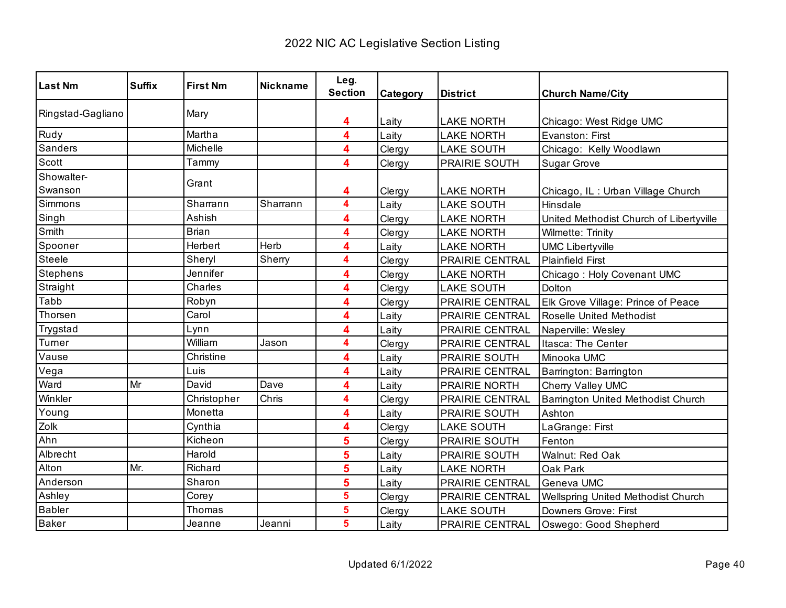| <b>Last Nm</b>        | <b>Suffix</b> | <b>First Nm</b> | <b>Nickname</b> | Leg.<br><b>Section</b> | Category | <b>District</b>        | <b>Church Name/City</b>                 |
|-----------------------|---------------|-----------------|-----------------|------------------------|----------|------------------------|-----------------------------------------|
| Ringstad-Gagliano     |               | Mary            |                 | 4                      | Laity    | <b>LAKE NORTH</b>      | Chicago: West Ridge UMC                 |
| Rudy                  |               | Martha          |                 | 4                      | Laity    | <b>LAKE NORTH</b>      | Evanston: First                         |
| Sanders               |               | Michelle        |                 | 4                      | Clergy   | <b>LAKE SOUTH</b>      | Chicago: Kelly Woodlawn                 |
| Scott                 |               | Tammy           |                 | 4                      | Clergy   | PRAIRIE SOUTH          | <b>Sugar Grove</b>                      |
| Showalter-<br>Swanson |               | Grant           |                 | 4                      | Clergy   | <b>LAKE NORTH</b>      | Chicago, IL: Urban Village Church       |
| Simmons               |               | Sharrann        | Sharrann        | 4                      | Laity    | <b>LAKE SOUTH</b>      | Hinsdale                                |
| Singh                 |               | Ashish          |                 | 4                      | Clergy   | <b>LAKE NORTH</b>      | United Methodist Church of Libertyville |
| Smith                 |               | <b>Brian</b>    |                 | 4                      | Clergy   | <b>LAKE NORTH</b>      | Wilmette: Trinity                       |
| Spooner               |               | Herbert         | Herb            | 4                      | Laity    | <b>LAKE NORTH</b>      | <b>UMC Libertyville</b>                 |
| Steele                |               | Sheryl          | Sherry          | 4                      | Clergy   | PRAIRIE CENTRAL        | <b>Plainfield First</b>                 |
| <b>Stephens</b>       |               | Jennifer        |                 | 4                      | Clergy   | <b>LAKE NORTH</b>      | Chicago: Holy Covenant UMC              |
| Straight              |               | Charles         |                 | 4                      | Clergy   | <b>LAKE SOUTH</b>      | Dolton                                  |
| Tabb                  |               | Robyn           |                 | 4                      | Clergy   | <b>PRAIRIE CENTRAL</b> | Elk Grove Village: Prince of Peace      |
| Thorsen               |               | Carol           |                 | 4                      | Laity    | PRAIRIE CENTRAL        | Roselle United Methodist                |
| Trygstad              |               | Lynn            |                 | 4                      | Laity    | <b>PRAIRIE CENTRAL</b> | Naperville: Wesley                      |
| Turner                |               | William         | Jason           | 4                      | Clergy   | PRAIRIE CENTRAL        | Itasca: The Center                      |
| Vause                 |               | Christine       |                 | 4                      | Laity    | PRAIRIE SOUTH          | Minooka UMC                             |
| Vega                  |               | Luis            |                 | 4                      | Laity    | PRAIRIE CENTRAL        | Barrington: Barrington                  |
| Ward                  | Mr            | David           | Dave            | 4                      | Laity    | PRAIRIE NORTH          | Cherry Valley UMC                       |
| Winkler               |               | Christopher     | Chris           | 4                      | Clergy   | PRAIRIE CENTRAL        | Barrington United Methodist Church      |
| Young                 |               | Monetta         |                 | 4                      | Laity    | <b>PRAIRIE SOUTH</b>   | Ashton                                  |
| Zolk                  |               | Cynthia         |                 | 4                      | Clergy   | <b>LAKE SOUTH</b>      | LaGrange: First                         |
| Ahn                   |               | Kicheon         |                 | 5                      | Clergy   | PRAIRIE SOUTH          | Fenton                                  |
| Albrecht              |               | Harold          |                 | 5                      | Laity    | PRAIRIE SOUTH          | Walnut: Red Oak                         |
| Alton                 | Mr.           | Richard         |                 | 5                      | Laity    | <b>LAKE NORTH</b>      | Oak Park                                |
| Anderson              |               | Sharon          |                 | 5                      | Laity    | PRAIRIE CENTRAL        | Geneva UMC                              |
| Ashley                |               | Corey           |                 | 5                      | Clergy   | PRAIRIE CENTRAL        | Wellspring United Methodist Church      |
| <b>Babler</b>         |               | Thomas          |                 | 5                      | Clergy   | <b>LAKE SOUTH</b>      | Downers Grove: First                    |
| <b>Baker</b>          |               | Jeanne          | Jeanni          | $5\phantom{a}$         | Laity    | PRAIRIE CENTRAL        | Oswego: Good Shepherd                   |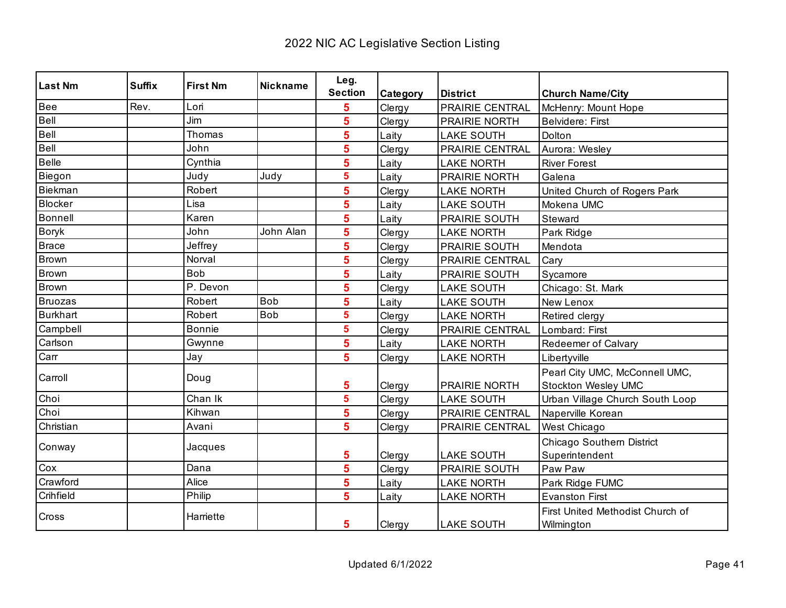| Last Nm      | <b>Suffix</b> | <b>First Nm</b> | <b>Nickname</b> | Leg.                    |          |                        |                                                |
|--------------|---------------|-----------------|-----------------|-------------------------|----------|------------------------|------------------------------------------------|
|              |               |                 |                 | <b>Section</b>          | Category | <b>District</b>        | <b>Church Name/City</b>                        |
| Bee          | Rev.          | Lori            |                 | 5                       | Clergy   | PRAIRIE CENTRAL        | McHenry: Mount Hope                            |
| Bell         |               | Jim             |                 | 5                       | Clergy   | <b>PRAIRIE NORTH</b>   | <b>Belvidere: First</b>                        |
| Bell         |               | Thomas          |                 | 5                       | Laity    | <b>LAKE SOUTH</b>      | Dolton                                         |
| Bell         |               | John            |                 | 5                       | Clergy   | <b>PRAIRIE CENTRAL</b> | Aurora: Wesley                                 |
| Belle        |               | Cynthia         |                 | 5                       | Laity    | <b>LAKE NORTH</b>      | <b>River Forest</b>                            |
| Biegon       |               | Judy            | Judy            | $\overline{\mathbf{5}}$ | Laity    | PRAIRIE NORTH          | Galena                                         |
| Biekman      |               | Robert          |                 | 5                       | Clergy   | <b>LAKE NORTH</b>      | United Church of Rogers Park                   |
| Blocker      |               | Lisa            |                 | 5                       | Laity    | <b>LAKE SOUTH</b>      | Mokena UMC                                     |
| Bonnell      |               | Karen           |                 | 5                       | Laity    | PRAIRIE SOUTH          | Steward                                        |
| <b>Boryk</b> |               | John            | John Alan       | 5                       | Clergy   | <b>LAKE NORTH</b>      | Park Ridge                                     |
| Brace        |               | Jeffrey         |                 | 5                       | Clergy   | <b>PRAIRIE SOUTH</b>   | Mendota                                        |
| Brown        |               | Norval          |                 | 5                       | Clergy   | PRAIRIE CENTRAL        | Cary                                           |
| Brown        |               | <b>Bob</b>      |                 | 5                       | Laity    | PRAIRIE SOUTH          | Sycamore                                       |
| Brown        |               | P. Devon        |                 | 5                       | Clergy   | <b>LAKE SOUTH</b>      | Chicago: St. Mark                              |
| Bruozas      |               | Robert          | <b>Bob</b>      | 5                       | Laity    | <b>LAKE SOUTH</b>      | New Lenox                                      |
| Burkhart     |               | Robert          | <b>Bob</b>      | 5                       | Clergy   | <b>LAKE NORTH</b>      | Retired clergy                                 |
| Campbell     |               | <b>Bonnie</b>   |                 | 5                       | Clergy   | PRAIRIE CENTRAL        | Lombard: First                                 |
| Carlson      |               | Gwynne          |                 | 5                       | Laity    | <b>LAKE NORTH</b>      | Redeemer of Calvary                            |
| Carr         |               | Jay             |                 | 5                       | Clergy   | <b>LAKE NORTH</b>      | Libertyville                                   |
| Carroll      |               | Doug            |                 |                         |          |                        | Pearl City UMC, McConnell UMC,                 |
|              |               |                 |                 | 5                       | Clergy   | PRAIRIE NORTH          | <b>Stockton Wesley UMC</b>                     |
| Choi         |               | Chan Ik         |                 | 5                       | Clergy   | <b>LAKE SOUTH</b>      | Urban Village Church South Loop                |
| Choi         |               | Kihwan          |                 | 5                       | Clergy   | PRAIRIE CENTRAL        | Naperville Korean                              |
| Christian    |               | Avani           |                 | 5                       | Clergy   | PRAIRIE CENTRAL        | West Chicago                                   |
| Conway       |               | Jacques         |                 |                         |          |                        | Chicago Southern District                      |
|              |               |                 |                 | 5                       | Clergy   | <b>LAKE SOUTH</b>      | Superintendent                                 |
| Cox          |               | Dana            |                 | 5                       | Clergy   | PRAIRIE SOUTH          | Paw Paw                                        |
| Crawford     |               | Alice           |                 | 5                       | Laity    | <b>LAKE NORTH</b>      | Park Ridge FUMC                                |
| Crihfield    |               | Philip          |                 | 5                       | Laity    | <b>LAKE NORTH</b>      | <b>Evanston First</b>                          |
| Cross        |               | Harriette       |                 | 5                       | Clergy   | <b>LAKE SOUTH</b>      | First United Methodist Church of<br>Wilmington |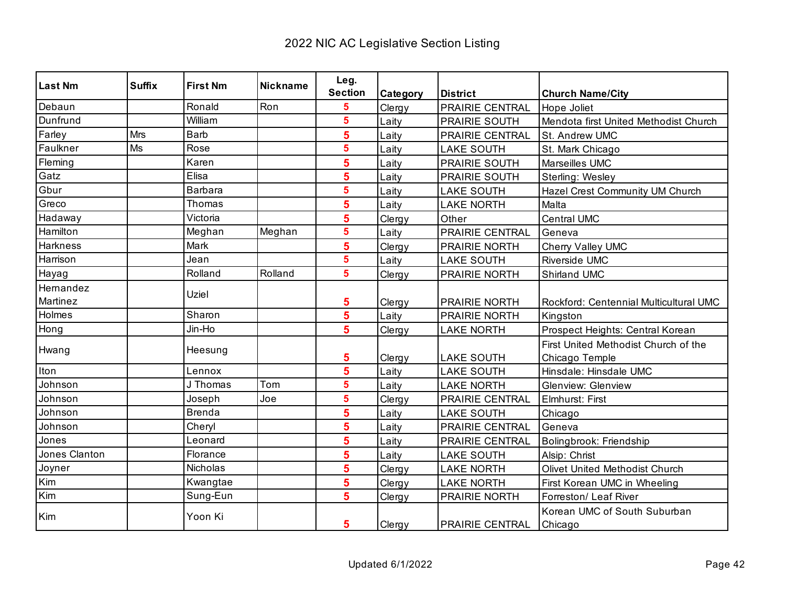| <b>Last Nm</b>  | <b>Suffix</b> | <b>First Nm</b> | <b>Nickname</b> | Leg.                    |                 |                        |                                         |
|-----------------|---------------|-----------------|-----------------|-------------------------|-----------------|------------------------|-----------------------------------------|
|                 |               |                 |                 | <b>Section</b>          | <b>Category</b> | <b>District</b>        | <b>Church Name/City</b>                 |
| Debaun          |               | Ronald          | Ron             | 5                       | Clergy          | PRAIRIE CENTRAL        | Hope Joliet                             |
| Dunfrund        |               | William         |                 | $\overline{\mathbf{5}}$ | Laity           | <b>PRAIRIE SOUTH</b>   | Mendota first United Methodist Church   |
| Farley          | Mrs           | <b>Barb</b>     |                 | 5                       | Laity           | PRAIRIE CENTRAL        | St. Andrew UMC                          |
| Faulkner        | Ms            | Rose            |                 | $\overline{\mathbf{5}}$ | Laity           | <b>LAKE SOUTH</b>      | St. Mark Chicago                        |
| Fleming         |               | Karen           |                 | 5                       | Laity           | PRAIRIE SOUTH          | Marseilles UMC                          |
| Gatz            |               | Elisa           |                 | 5                       | Laity           | PRAIRIE SOUTH          | Sterling: Wesley                        |
| Gbur            |               | <b>Barbara</b>  |                 | $5\phantom{a}$          | Laity           | <b>LAKE SOUTH</b>      | Hazel Crest Community UM Church         |
| Greco           |               | Thomas          |                 | 5                       | Laity           | <b>LAKE NORTH</b>      | Malta                                   |
| Hadaway         |               | Victoria        |                 | 5                       | Clergy          | Other                  | <b>Central UMC</b>                      |
| Hamilton        |               | Meghan          | Meghan          | $\overline{\mathbf{5}}$ | Laity           | PRAIRIE CENTRAL        | Geneva                                  |
| <b>Harkness</b> |               | Mark            |                 | 5                       | Clergy          | <b>PRAIRIE NORTH</b>   | Cherry Valley UMC                       |
| Harrison        |               | Jean            |                 | $\overline{\mathbf{5}}$ | Laity           | <b>LAKE SOUTH</b>      | <b>Riverside UMC</b>                    |
| Hayag           |               | Rolland         | Rolland         | $5\phantom{a}$          | Clergy          | <b>PRAIRIE NORTH</b>   | Shirland UMC                            |
| Hemandez        |               | Uziel           |                 |                         |                 |                        |                                         |
| Martinez        |               |                 |                 | 5                       | Clergy          | PRAIRIE NORTH          | Rockford: Centennial Multicultural UMC  |
| Holmes          |               | Sharon          |                 | $\overline{\mathbf{5}}$ | Laity           | PRAIRIE NORTH          | Kingston                                |
| Hong            |               | Jin-Ho          |                 | $5\phantom{1}$          | Clergy          | <b>LAKE NORTH</b>      | Prospect Heights: Central Korean        |
| Hwang           |               | Heesung         |                 |                         |                 |                        | First United Methodist Church of the    |
|                 |               |                 |                 | 5                       | Clergy          | <b>LAKE SOUTH</b>      | Chicago Temple                          |
| <b>Iton</b>     |               | Lennox          |                 | 5                       | Laity           | <b>LAKE SOUTH</b>      | Hinsdale: Hinsdale UMC                  |
| Johnson         |               | J Thomas        | Tom             | $5\phantom{a}$          | Laity           | <b>LAKE NORTH</b>      | <b>Glenview: Glenview</b>               |
| Johnson         |               | Joseph          | Joe             | $\overline{\mathbf{5}}$ | Clergy          | <b>PRAIRIE CENTRAL</b> | Elmhurst: First                         |
| Johnson         |               | <b>Brenda</b>   |                 | 5                       | Laity           | <b>LAKE SOUTH</b>      | Chicago                                 |
| Johnson         |               | Cheryl          |                 | 5                       | Laity           | <b>PRAIRIE CENTRAL</b> | Geneva                                  |
| Jones           |               | Leonard         |                 | 5                       | Laity           | PRAIRIE CENTRAL        | Bolingbrook: Friendship                 |
| Jones Clanton   |               | Florance        |                 | 5                       | Laity           | <b>LAKE SOUTH</b>      | Alsip: Christ                           |
| Joyner          |               | <b>Nicholas</b> |                 | 5                       | Clergy          | <b>LAKE NORTH</b>      | Olivet United Methodist Church          |
| Kim             |               | Kwangtae        |                 | 5                       | Clergy          | <b>LAKE NORTH</b>      | First Korean UMC in Wheeling            |
| Kim             |               | Sung-Eun        |                 | 5                       | Clergy          | PRAIRIE NORTH          | Forreston/ Leaf River                   |
| Kim             |               | Yoon Ki         |                 | 5                       | Clergy          | <b>PRAIRIE CENTRAL</b> | Korean UMC of South Suburban<br>Chicago |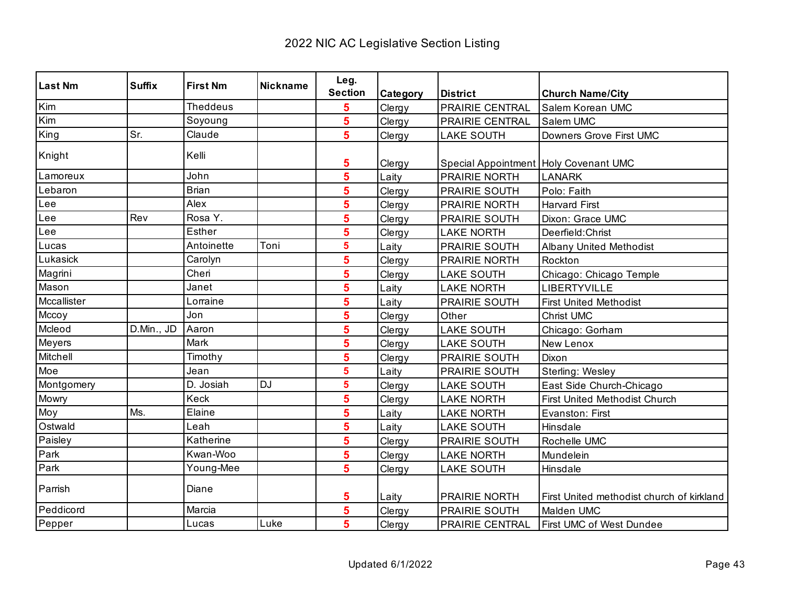| <b>Last Nm</b> | <b>Suffix</b> | <b>First Nm</b> | <b>Nickname</b> | Leg.           |          |                                       |                                           |
|----------------|---------------|-----------------|-----------------|----------------|----------|---------------------------------------|-------------------------------------------|
|                |               |                 |                 | <b>Section</b> | Category | <b>District</b>                       | <b>Church Name/City</b>                   |
| Kim            |               | <b>Theddeus</b> |                 | 5              | Clergy   | PRAIRIE CENTRAL                       | Salem Korean UMC                          |
| Kim            |               | Soyoung         |                 | 5              | Clergy   | PRAIRIE CENTRAL                       | Salem UMC                                 |
| King           | Sr.           | Claude          |                 | 5              | Clergy   | <b>LAKE SOUTH</b>                     | Downers Grove First UMC                   |
| Knight         |               | Kelli           |                 | 5              | Clergy   | Special Appointment Holy Covenant UMC |                                           |
| Lamoreux       |               | John            |                 | 5              | Laity    | PRAIRIE NORTH                         | <b>LANARK</b>                             |
| Lebaron        |               | <b>Brian</b>    |                 | 5              | Clergy   | PRAIRIE SOUTH                         | Polo: Faith                               |
| Lee            |               | Alex            |                 | 5              | Clergy   | PRAIRIE NORTH                         | <b>Harvard First</b>                      |
| Lee            | Rev           | Rosa Y.         |                 | 5              | Clergy   | PRAIRIE SOUTH                         | Dixon: Grace UMC                          |
| Lee            |               | Esther          |                 | 5              | Clergy   | <b>LAKE NORTH</b>                     | Deerfield: Christ                         |
| Lucas          |               | Antoinette      | Toni            | 5              | Laity    | PRAIRIE SOUTH                         | <b>Albany United Methodist</b>            |
| Lukasick       |               | Carolyn         |                 | 5              | Clergy   | PRAIRIE NORTH                         | Rockton                                   |
| Magrini        |               | Cheri           |                 | 5              | Clergy   | <b>LAKE SOUTH</b>                     | Chicago: Chicago Temple                   |
| Mason          |               | Janet           |                 | 5              | Laity    | <b>LAKE NORTH</b>                     | LIBERTYVILLE                              |
| Mccallister    |               | Lorraine        |                 | 5              | Laity    | PRAIRIE SOUTH                         | <b>First United Methodist</b>             |
| Mccoy          |               | Jon             |                 | 5              | Clergy   | Other                                 | Christ UMC                                |
| Mcleod         | D.Min., JD    | Aaron           |                 | 5              | Clergy   | <b>LAKE SOUTH</b>                     | Chicago: Gorham                           |
| Meyers         |               | Mark            |                 | 5              | Clergy   | <b>LAKE SOUTH</b>                     | New Lenox                                 |
| Mitchell       |               | Timothy         |                 | 5              | Clergy   | PRAIRIE SOUTH                         | Dixon                                     |
| Moe            |               | Jean            |                 | 5              | Laity    | PRAIRIE SOUTH                         | Sterling: Wesley                          |
| Montgomery     |               | D. Josiah       | <b>DJ</b>       | 5              | Clergy   | <b>LAKE SOUTH</b>                     | East Side Church-Chicago                  |
| Mowry          |               | Keck            |                 | 5              | Clergy   | <b>LAKE NORTH</b>                     | First United Methodist Church             |
| Moy            | Ms.           | Elaine          |                 | 5              | Laity    | <b>LAKE NORTH</b>                     | Evanston: First                           |
| Ostwald        |               | Leah            |                 | 5              | Laity    | <b>LAKE SOUTH</b>                     | Hinsdale                                  |
| Paisley        |               | Katherine       |                 | 5              | Clergy   | PRAIRIE SOUTH                         | Rochelle UMC                              |
| Park           |               | Kwan-Woo        |                 | 5              | Clergy   | <b>LAKE NORTH</b>                     | Mundelein                                 |
| Park           |               | Young-Mee       |                 | 5              | Clergy   | <b>LAKE SOUTH</b>                     | Hinsdale                                  |
| Parrish        |               | Diane           |                 | 5              | Laity    | PRAIRIE NORTH                         | First United methodist church of kirkland |
| Peddicord      |               | Marcia          |                 | 5              | Clergy   | PRAIRIE SOUTH                         | Malden UMC                                |
| Pepper         |               | Lucas           | Luke            | 5              | Clergy   | PRAIRIE CENTRAL                       | First UMC of West Dundee                  |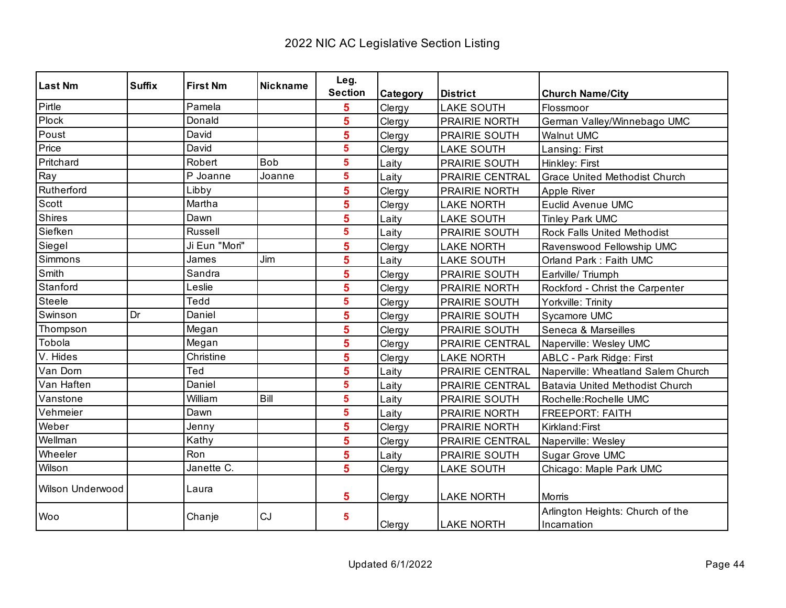| <b>Last Nm</b>   | <b>Suffix</b> | <b>First Nm</b> | <b>Nickname</b> | Leg.           |          |                      |                                                 |
|------------------|---------------|-----------------|-----------------|----------------|----------|----------------------|-------------------------------------------------|
|                  |               |                 |                 | <b>Section</b> | Category | <b>District</b>      | <b>Church Name/City</b>                         |
| Pirtle           |               | Pamela          |                 | 5              | Clergy   | <b>LAKE SOUTH</b>    | Flossmoor                                       |
| Plock            |               | Donald          |                 | 5              | Clergy   | <b>PRAIRIE NORTH</b> | German Valley/Winnebago UMC                     |
| Poust            |               | David           |                 | 5              | Clergy   | PRAIRIE SOUTH        | <b>Walnut UMC</b>                               |
| Price            |               | David           |                 | 5              | Clergy   | <b>LAKE SOUTH</b>    | Lansing: First                                  |
| Pritchard        |               | Robert          | <b>Bob</b>      | 5              | Laity    | PRAIRIE SOUTH        | Hinkley: First                                  |
| Ray              |               | P Joanne        | Joanne          | 5              | Laity    | PRAIRIE CENTRAL      | <b>Grace United Methodist Church</b>            |
| Rutherford       |               | Libby           |                 | 5              | Clergy   | PRAIRIE NORTH        | Apple River                                     |
| Scott            |               | Martha          |                 | 5              | Clergy   | <b>LAKE NORTH</b>    | <b>Euclid Avenue UMC</b>                        |
| Shires           |               | Dawn            |                 | 5              | Laity    | <b>LAKE SOUTH</b>    | <b>Tinley Park UMC</b>                          |
| Siefken          |               | <b>Russell</b>  |                 | 5              | Laity    | PRAIRIE SOUTH        | <b>Rock Falls United Methodist</b>              |
| Siegel           |               | Ji Eun "Mori"   |                 | 5              | Clergy   | <b>LAKE NORTH</b>    | Ravenswood Fellowship UMC                       |
| Simmons          |               | James           | Jim             | 5              | Laity    | <b>LAKE SOUTH</b>    | Orland Park: Faith UMC                          |
| Smith            |               | Sandra          |                 | 5              | Clergy   | PRAIRIE SOUTH        | Earlville/Triumph                               |
| Stanford         |               | Leslie          |                 | 5              | Clergy   | PRAIRIE NORTH        | Rockford - Christ the Carpenter                 |
| <b>Steele</b>    |               | Tedd            |                 | 5              | Clergy   | PRAIRIE SOUTH        | Yorkville: Trinity                              |
| Swinson          | Dr            | Daniel          |                 | 5              | Clergy   | PRAIRIE SOUTH        | Sycamore UMC                                    |
| Thompson         |               | Megan           |                 | 5              | Clergy   | <b>PRAIRIE SOUTH</b> | Seneca & Marseilles                             |
| Tobola           |               | Megan           |                 | 5              | Clergy   | PRAIRIE CENTRAL      | Naperville: Wesley UMC                          |
| V. Hides         |               | Christine       |                 | 5              | Clergy   | <b>LAKE NORTH</b>    | ABLC - Park Ridge: First                        |
| Van Dom          |               | Ted             |                 | 5              | Laity    | PRAIRIE CENTRAL      | Naperville: Wheatland Salem Church              |
| Van Haften       |               | Daniel          |                 | 5              | Laity    | PRAIRIE CENTRAL      | Batavia United Methodist Church                 |
| Vanstone         |               | William         | Bill            | 5              | Laity    | PRAIRIE SOUTH        | Rochelle: Rochelle UMC                          |
| Vehmeier         |               | Dawn            |                 | 5              | Laity    | <b>PRAIRIE NORTH</b> | <b>FREEPORT: FAITH</b>                          |
| Weber            |               | Jenny           |                 | 5              | Clergy   | <b>PRAIRIE NORTH</b> | Kirkland: First                                 |
| Wellman          |               | Kathy           |                 | 5              | Clergy   | PRAIRIE CENTRAL      | Naperville: Wesley                              |
| Wheeler          |               | Ron             |                 | 5              | Laity    | PRAIRIE SOUTH        | Sugar Grove UMC                                 |
| Wilson           |               | Janette C.      |                 | 5              | Clergy   | <b>LAKE SOUTH</b>    | Chicago: Maple Park UMC                         |
| Wilson Underwood |               | Laura           |                 | 5              | Clergy   | <b>LAKE NORTH</b>    | Morris                                          |
| Woo              |               | Chanje          | CJ              | 5              | Clergy   | <b>LAKE NORTH</b>    | Arlington Heights: Church of the<br>Incarnation |